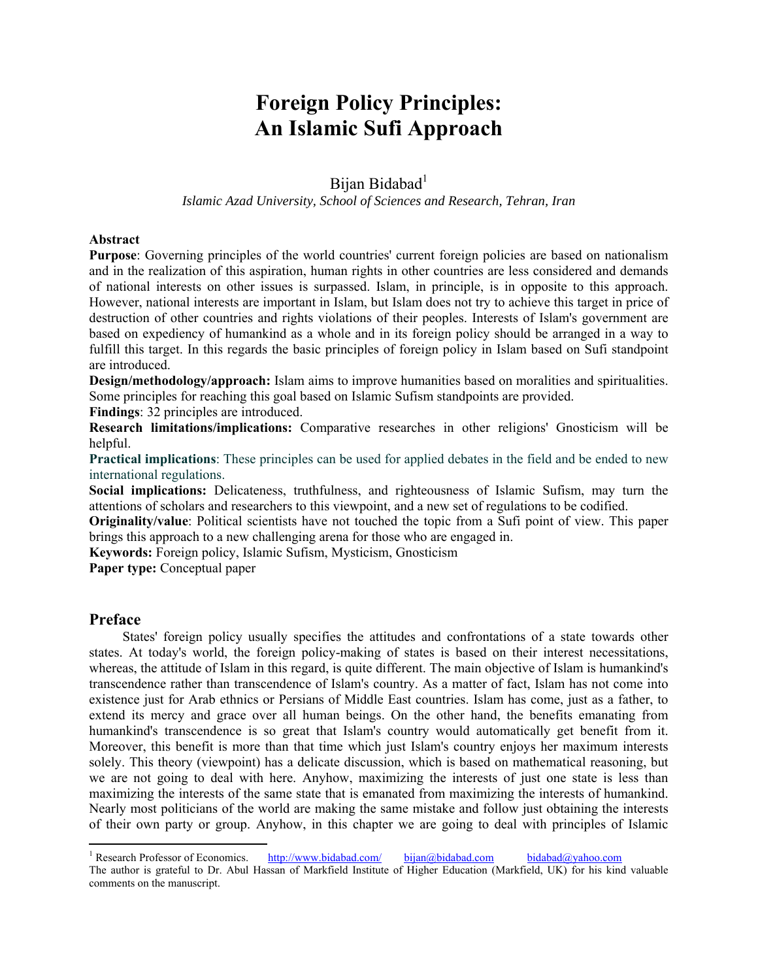# **Foreign Policy Principles: An Islamic Sufi Approach**

Bijan Bidabad<sup>1</sup>

*Islamic Azad University, School of Sciences and Research, Tehran, Iran* 

## **Abstract**

**Purpose**: Governing principles of the world countries' current foreign policies are based on nationalism and in the realization of this aspiration, human rights in other countries are less considered and demands of national interests on other issues is surpassed. Islam, in principle, is in opposite to this approach. However, national interests are important in Islam, but Islam does not try to achieve this target in price of destruction of other countries and rights violations of their peoples. Interests of Islam's government are based on expediency of humankind as a whole and in its foreign policy should be arranged in a way to fulfill this target. In this regards the basic principles of foreign policy in Islam based on Sufi standpoint are introduced.

**Design/methodology/approach:** Islam aims to improve humanities based on moralities and spiritualities. Some principles for reaching this goal based on Islamic Sufism standpoints are provided.

**Findings**: 32 principles are introduced.

**Research limitations/implications:** Comparative researches in other religions' Gnosticism will be helpful.

**Practical implications**: These principles can be used for applied debates in the field and be ended to new international regulations.

**Social implications:** Delicateness, truthfulness, and righteousness of Islamic Sufism, may turn the attentions of scholars and researchers to this viewpoint, and a new set of regulations to be codified.

**Originality/value**: Political scientists have not touched the topic from a Sufi point of view. This paper brings this approach to a new challenging arena for those who are engaged in.

**Keywords:** Foreign policy, Islamic Sufism, Mysticism, Gnosticism

**Paper type:** Conceptual paper

# **Preface**

 $\overline{a}$ 

States' foreign policy usually specifies the attitudes and confrontations of a state towards other states. At today's world, the foreign policy-making of states is based on their interest necessitations, whereas, the attitude of Islam in this regard, is quite different. The main objective of Islam is humankind's transcendence rather than transcendence of Islam's country. As a matter of fact, Islam has not come into existence just for Arab ethnics or Persians of Middle East countries. Islam has come, just as a father, to extend its mercy and grace over all human beings. On the other hand, the benefits emanating from humankind's transcendence is so great that Islam's country would automatically get benefit from it. Moreover, this benefit is more than that time which just Islam's country enjoys her maximum interests solely. This theory (viewpoint) has a delicate discussion, which is based on mathematical reasoning, but we are not going to deal with here. Anyhow, maximizing the interests of just one state is less than maximizing the interests of the same state that is emanated from maximizing the interests of humankind. Nearly most politicians of the world are making the same mistake and follow just obtaining the interests of their own party or group. Anyhow, in this chapter we are going to deal with principles of Islamic

<sup>&</sup>lt;sup>1</sup> Research Professor of Economics. http://www.bidabad.com/ bijan@bidabad.com bidabad@yahoo.com The author is grateful to Dr. Abul Hassan of Markfield Institute of Higher Education (Markfield, UK) for his kind valuable comments on the manuscript.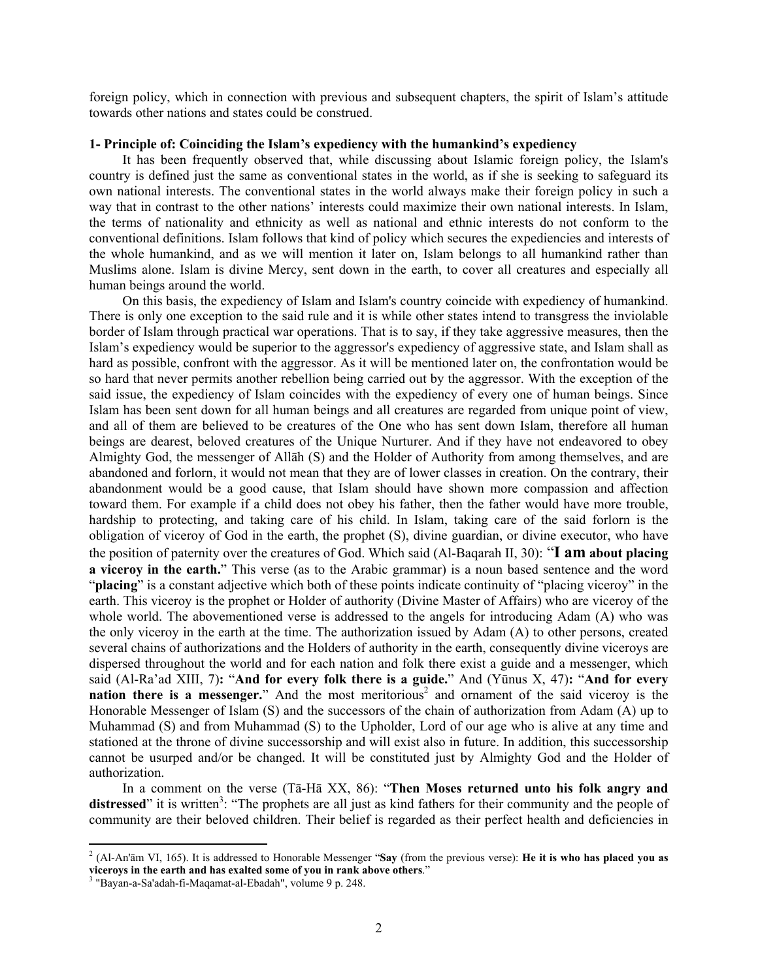foreign policy, which in connection with previous and subsequent chapters, the spirit of Islam's attitude towards other nations and states could be construed.

## **1- Principle of: Coinciding the Islam's expediency with the humankind's expediency**

It has been frequently observed that, while discussing about Islamic foreign policy, the Islam's country is defined just the same as conventional states in the world, as if she is seeking to safeguard its own national interests. The conventional states in the world always make their foreign policy in such a way that in contrast to the other nations' interests could maximize their own national interests. In Islam, the terms of nationality and ethnicity as well as national and ethnic interests do not conform to the conventional definitions. Islam follows that kind of policy which secures the expediencies and interests of the whole humankind, and as we will mention it later on, Islam belongs to all humankind rather than Muslims alone. Islam is divine Mercy, sent down in the earth, to cover all creatures and especially all human beings around the world.

On this basis, the expediency of Islam and Islam's country coincide with expediency of humankind. There is only one exception to the said rule and it is while other states intend to transgress the inviolable border of Islam through practical war operations. That is to say, if they take aggressive measures, then the Islam's expediency would be superior to the aggressor's expediency of aggressive state, and Islam shall as hard as possible, confront with the aggressor. As it will be mentioned later on, the confrontation would be so hard that never permits another rebellion being carried out by the aggressor. With the exception of the said issue, the expediency of Islam coincides with the expediency of every one of human beings. Since Islam has been sent down for all human beings and all creatures are regarded from unique point of view, and all of them are believed to be creatures of the One who has sent down Islam, therefore all human beings are dearest, beloved creatures of the Unique Nurturer. And if they have not endeavored to obey Almighty God, the messenger of Allāh (S) and the Holder of Authority from among themselves, and are abandoned and forlorn, it would not mean that they are of lower classes in creation. On the contrary, their abandonment would be a good cause, that Islam should have shown more compassion and affection toward them. For example if a child does not obey his father, then the father would have more trouble, hardship to protecting, and taking care of his child. In Islam, taking care of the said forlorn is the obligation of viceroy of God in the earth, the prophet (S), divine guardian, or divine executor, who have the position of paternity over the creatures of God. Which said (Al-Baqarah II, 30): "**I am about placing a viceroy in the earth.**" This verse (as to the Arabic grammar) is a noun based sentence and the word "**placing**" is a constant adjective which both of these points indicate continuity of "placing viceroy" in the earth. This viceroy is the prophet or Holder of authority (Divine Master of Affairs) who are viceroy of the whole world. The abovementioned verse is addressed to the angels for introducing Adam (A) who was the only viceroy in the earth at the time. The authorization issued by Adam (A) to other persons, created several chains of authorizations and the Holders of authority in the earth, consequently divine viceroys are dispersed throughout the world and for each nation and folk there exist a guide and a messenger, which said (Al-Ra'ad XIII, 7)**:** "**And for every folk there is a guide.**" And (Yūnus X, 47)**:** "**And for every nation there is a messenger.**" And the most meritorious<sup>2</sup> and ornament of the said viceroy is the Honorable Messenger of Islam (S) and the successors of the chain of authorization from Adam (A) up to Muhammad (S) and from Muhammad (S) to the Upholder, Lord of our age who is alive at any time and stationed at the throne of divine successorship and will exist also in future. In addition, this successorship cannot be usurped and/or be changed. It will be constituted just by Almighty God and the Holder of authorization.

In a comment on the verse (Tā-Hā XX, 86): "**Then Moses returned unto his folk angry and**  distressed" it is written<sup>3</sup>: "The prophets are all just as kind fathers for their community and the people of community are their beloved children. Their belief is regarded as their perfect health and deficiencies in

 2 (Al-An'ām VI, 165). It is addressed to Honorable Messenger "**Say** (from the previous verse): **He it is who has placed you as viceroys in the earth and has exalted some of you in rank above others**." 3 "Bayan-a-Sa'adah-fi-Maqamat-al-Ebadah", volume 9 p. 248.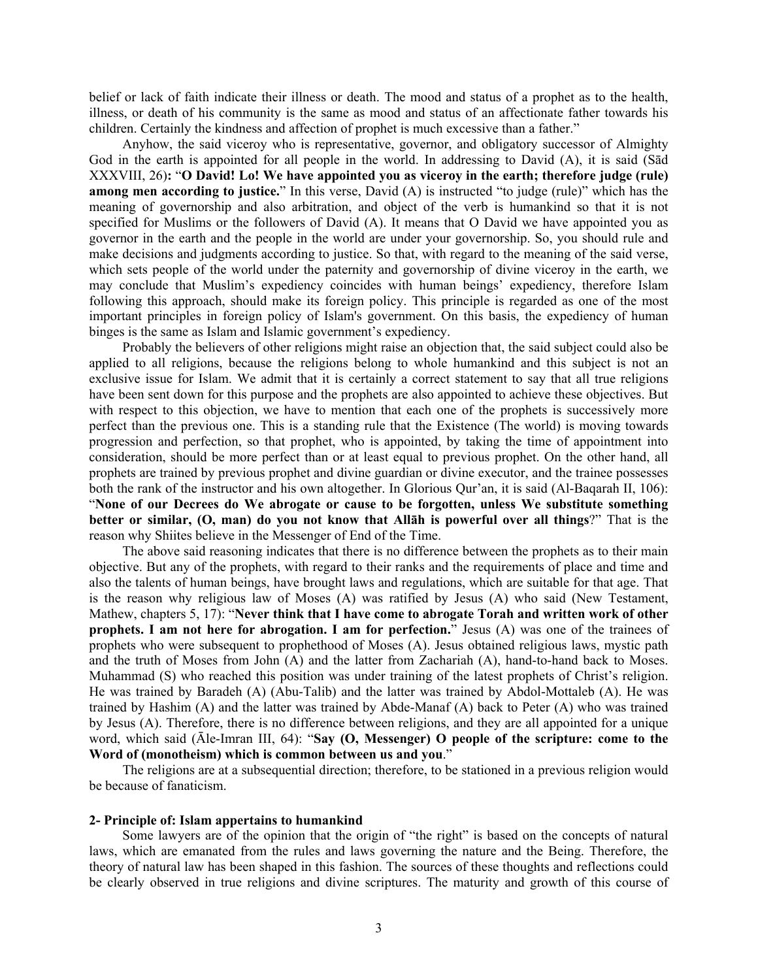belief or lack of faith indicate their illness or death. The mood and status of a prophet as to the health, illness, or death of his community is the same as mood and status of an affectionate father towards his children. Certainly the kindness and affection of prophet is much excessive than a father."

Anyhow, the said viceroy who is representative, governor, and obligatory successor of Almighty God in the earth is appointed for all people in the world. In addressing to David (A), it is said (Sād XXXVIII, 26)**:** "**O David! Lo! We have appointed you as viceroy in the earth; therefore judge (rule) among men according to justice.**" In this verse, David (A) is instructed "to judge (rule)" which has the meaning of governorship and also arbitration, and object of the verb is humankind so that it is not specified for Muslims or the followers of David (A). It means that O David we have appointed you as governor in the earth and the people in the world are under your governorship. So, you should rule and make decisions and judgments according to justice. So that, with regard to the meaning of the said verse, which sets people of the world under the paternity and governorship of divine viceroy in the earth, we may conclude that Muslim's expediency coincides with human beings' expediency, therefore Islam following this approach, should make its foreign policy. This principle is regarded as one of the most important principles in foreign policy of Islam's government. On this basis, the expediency of human binges is the same as Islam and Islamic government's expediency.

Probably the believers of other religions might raise an objection that, the said subject could also be applied to all religions, because the religions belong to whole humankind and this subject is not an exclusive issue for Islam. We admit that it is certainly a correct statement to say that all true religions have been sent down for this purpose and the prophets are also appointed to achieve these objectives. But with respect to this objection, we have to mention that each one of the prophets is successively more perfect than the previous one. This is a standing rule that the Existence (The world) is moving towards progression and perfection, so that prophet, who is appointed, by taking the time of appointment into consideration, should be more perfect than or at least equal to previous prophet. On the other hand, all prophets are trained by previous prophet and divine guardian or divine executor, and the trainee possesses both the rank of the instructor and his own altogether. In Glorious Qur'an, it is said (Al-Baqarah II, 106): "**None of our Decrees do We abrogate or cause to be forgotten, unless We substitute something better or similar, (O, man) do you not know that Allāh is powerful over all things**?" That is the reason why Shiites believe in the Messenger of End of the Time.

The above said reasoning indicates that there is no difference between the prophets as to their main objective. But any of the prophets, with regard to their ranks and the requirements of place and time and also the talents of human beings, have brought laws and regulations, which are suitable for that age. That is the reason why religious law of Moses (A) was ratified by Jesus (A) who said (New Testament, Mathew, chapters 5, 17): "**Never think that I have come to abrogate Torah and written work of other prophets. I am not here for abrogation. I am for perfection.**" Jesus (A) was one of the trainees of prophets who were subsequent to prophethood of Moses (A). Jesus obtained religious laws, mystic path and the truth of Moses from John (A) and the latter from Zachariah (A), hand-to-hand back to Moses. Muhammad (S) who reached this position was under training of the latest prophets of Christ's religion. He was trained by Baradeh (A) (Abu-Talib) and the latter was trained by Abdol-Mottaleb (A). He was trained by Hashim (A) and the latter was trained by Abde-Manaf (A) back to Peter (A) who was trained by Jesus (A). Therefore, there is no difference between religions, and they are all appointed for a unique word, which said (Āle-Imran III, 64): "**Say (O, Messenger) O people of the scripture: come to the Word of (monotheism) which is common between us and you**."

The religions are at a subsequential direction; therefore, to be stationed in a previous religion would be because of fanaticism.

#### **2- Principle of: Islam appertains to humankind**

Some lawyers are of the opinion that the origin of "the right" is based on the concepts of natural laws, which are emanated from the rules and laws governing the nature and the Being. Therefore, the theory of natural law has been shaped in this fashion. The sources of these thoughts and reflections could be clearly observed in true religions and divine scriptures. The maturity and growth of this course of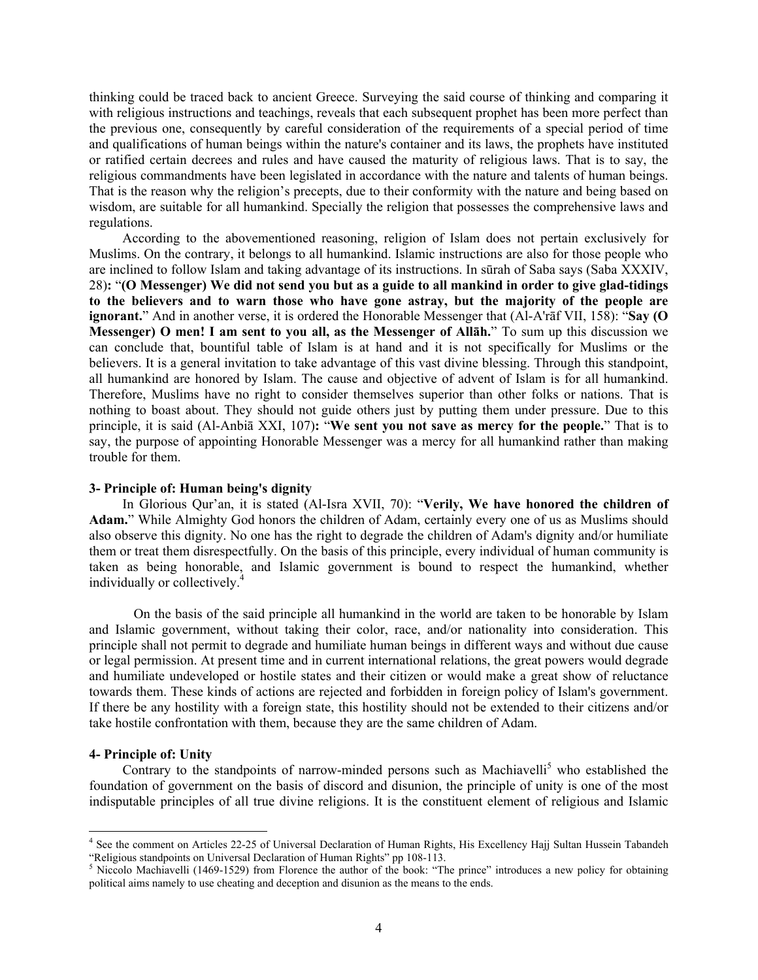thinking could be traced back to ancient Greece. Surveying the said course of thinking and comparing it with religious instructions and teachings, reveals that each subsequent prophet has been more perfect than the previous one, consequently by careful consideration of the requirements of a special period of time and qualifications of human beings within the nature's container and its laws, the prophets have instituted or ratified certain decrees and rules and have caused the maturity of religious laws. That is to say, the religious commandments have been legislated in accordance with the nature and talents of human beings. That is the reason why the religion's precepts, due to their conformity with the nature and being based on wisdom, are suitable for all humankind. Specially the religion that possesses the comprehensive laws and regulations.

According to the abovementioned reasoning, religion of Islam does not pertain exclusively for Muslims. On the contrary, it belongs to all humankind. Islamic instructions are also for those people who are inclined to follow Islam and taking advantage of its instructions. In sūrah of Saba says (Saba XXXIV, 28)**:** "**(O Messenger) We did not send you but as a guide to all mankind in order to give glad-tidings to the believers and to warn those who have gone astray, but the majority of the people are ignorant.**" And in another verse, it is ordered the Honorable Messenger that (Al-A'rāf VII, 158): "**Say (O Messenger) O men! I am sent to you all, as the Messenger of Allāh.**" To sum up this discussion we can conclude that, bountiful table of Islam is at hand and it is not specifically for Muslims or the believers. It is a general invitation to take advantage of this vast divine blessing. Through this standpoint, all humankind are honored by Islam. The cause and objective of advent of Islam is for all humankind. Therefore, Muslims have no right to consider themselves superior than other folks or nations. That is nothing to boast about. They should not guide others just by putting them under pressure. Due to this principle, it is said (Al-Anbiā XXI, 107)**:** "**We sent you not save as mercy for the people.**" That is to say, the purpose of appointing Honorable Messenger was a mercy for all humankind rather than making trouble for them.

#### **3- Principle of: Human being's dignity**

In Glorious Qur'an, it is stated (Al-Isra XVII, 70): "**Verily, We have honored the children of Adam.**" While Almighty God honors the children of Adam, certainly every one of us as Muslims should also observe this dignity. No one has the right to degrade the children of Adam's dignity and/or humiliate them or treat them disrespectfully. On the basis of this principle, every individual of human community is taken as being honorable, and Islamic government is bound to respect the humankind, whether individually or collectively.<sup>4</sup>

On the basis of the said principle all humankind in the world are taken to be honorable by Islam and Islamic government, without taking their color, race, and/or nationality into consideration. This principle shall not permit to degrade and humiliate human beings in different ways and without due cause or legal permission. At present time and in current international relations, the great powers would degrade and humiliate undeveloped or hostile states and their citizen or would make a great show of reluctance towards them. These kinds of actions are rejected and forbidden in foreign policy of Islam's government. If there be any hostility with a foreign state, this hostility should not be extended to their citizens and/or take hostile confrontation with them, because they are the same children of Adam.

## **4- Principle of: Unity**

Contrary to the standpoints of narrow-minded persons such as Machiavelli<sup>5</sup> who established the foundation of government on the basis of discord and disunion, the principle of unity is one of the most indisputable principles of all true divine religions. It is the constituent element of religious and Islamic

 4 See the comment on Articles 22-25 of Universal Declaration of Human Rights, His Excellency Hajj Sultan Hussein Tabandeh "Religious standpoints on Universal Declaration of Human Rights" pp 108-113.<br><sup>5</sup> Niccolo Machiavelli (1469-1529) from Florence the author of the book: "The prince" introduces a new policy for obtaining

political aims namely to use cheating and deception and disunion as the means to the ends.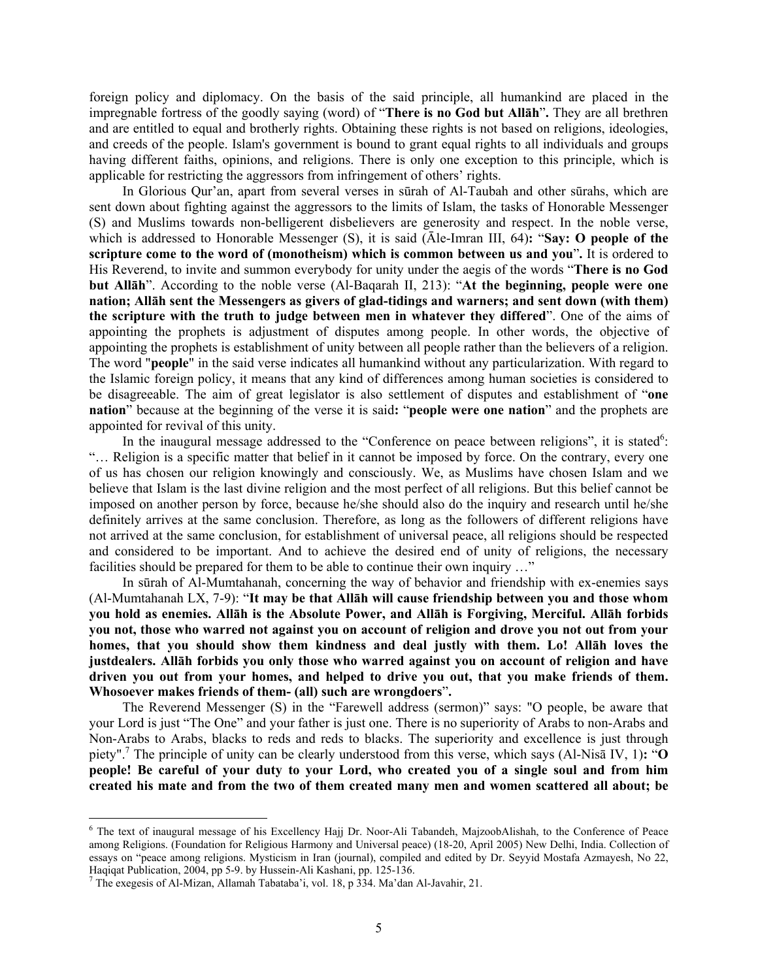foreign policy and diplomacy. On the basis of the said principle, all humankind are placed in the impregnable fortress of the goodly saying (word) of "**There is no God but Allāh**"**.** They are all brethren and are entitled to equal and brotherly rights. Obtaining these rights is not based on religions, ideologies, and creeds of the people. Islam's government is bound to grant equal rights to all individuals and groups having different faiths, opinions, and religions. There is only one exception to this principle, which is applicable for restricting the aggressors from infringement of others' rights.

In Glorious Qur'an, apart from several verses in sūrah of Al-Taubah and other sūrahs, which are sent down about fighting against the aggressors to the limits of Islam, the tasks of Honorable Messenger (S) and Muslims towards non-belligerent disbelievers are generosity and respect. In the noble verse, which is addressed to Honorable Messenger (S), it is said (Āle-Imran III, 64)**:** "**Say: O people of the scripture come to the word of (monotheism) which is common between us and you**"**.** It is ordered to His Reverend, to invite and summon everybody for unity under the aegis of the words "**There is no God but Allāh**". According to the noble verse (Al-Baqarah II, 213): "**At the beginning, people were one nation; Allāh sent the Messengers as givers of glad-tidings and warners; and sent down (with them) the scripture with the truth to judge between men in whatever they differed**". One of the aims of appointing the prophets is adjustment of disputes among people. In other words, the objective of appointing the prophets is establishment of unity between all people rather than the believers of a religion. The word "**people**" in the said verse indicates all humankind without any particularization. With regard to the Islamic foreign policy, it means that any kind of differences among human societies is considered to be disagreeable. The aim of great legislator is also settlement of disputes and establishment of "**one nation**" because at the beginning of the verse it is said**:** "**people were one nation**" and the prophets are appointed for revival of this unity.

In the inaugural message addressed to the "Conference on peace between religions", it is stated<sup>6</sup>: "… Religion is a specific matter that belief in it cannot be imposed by force. On the contrary, every one of us has chosen our religion knowingly and consciously. We, as Muslims have chosen Islam and we believe that Islam is the last divine religion and the most perfect of all religions. But this belief cannot be imposed on another person by force, because he/she should also do the inquiry and research until he/she definitely arrives at the same conclusion. Therefore, as long as the followers of different religions have not arrived at the same conclusion, for establishment of universal peace, all religions should be respected and considered to be important. And to achieve the desired end of unity of religions, the necessary facilities should be prepared for them to be able to continue their own inquiry …"

In sūrah of Al-Mumtahanah, concerning the way of behavior and friendship with ex-enemies says (Al-Mumtahanah LX, 7-9): "**It may be that Allāh will cause friendship between you and those whom you hold as enemies. Allāh is the Absolute Power, and Allāh is Forgiving, Merciful. Allāh forbids you not, those who warred not against you on account of religion and drove you not out from your homes, that you should show them kindness and deal justly with them. Lo! Allāh loves the justdealers. Allāh forbids you only those who warred against you on account of religion and have driven you out from your homes, and helped to drive you out, that you make friends of them. Whosoever makes friends of them- (all) such are wrongdoers**"**.** 

The Reverend Messenger (S) in the "Farewell address (sermon)" says: "O people, be aware that your Lord is just "The One" and your father is just one. There is no superiority of Arabs to non-Arabs and Non-Arabs to Arabs, blacks to reds and reds to blacks. The superiority and excellence is just through piety".7 The principle of unity can be clearly understood from this verse, which says (Al-Nisā IV, 1)**:** "**O people! Be careful of your duty to your Lord, who created you of a single soul and from him created his mate and from the two of them created many men and women scattered all about; be** 

<sup>6</sup> The text of inaugural message of his Excellency Hajj Dr. Noor-Ali Tabandeh, MajzoobAlishah, to the Conference of Peace among Religions. (Foundation for Religious Harmony and Universal peace) (18-20, April 2005) New Delhi, India. Collection of essays on "peace among religions. Mysticism in Iran (journal), compiled and edited by Dr. Seyyid Mostafa Azmayesh, No 22, Haqiqat Publication, 2004, pp 5-9. by Hussein-Ali Kashani, pp. 125-136. 7

The exegesis of Al-Mizan, Allamah Tabataba'i, vol. 18, p 334. Ma'dan Al-Javahir, 21.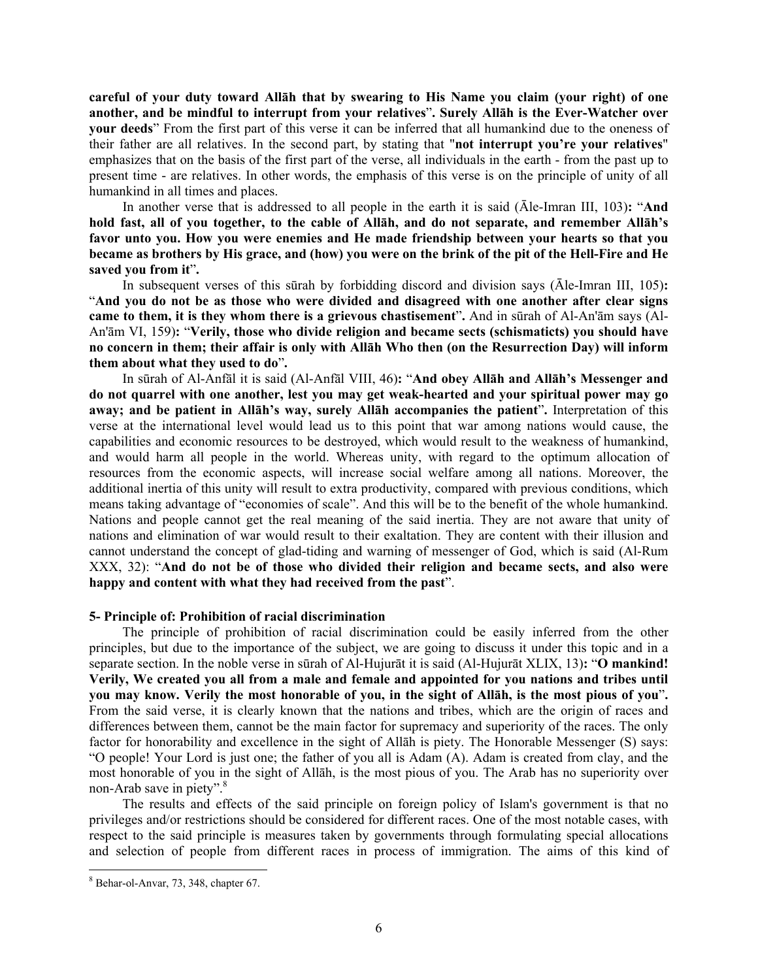**careful of your duty toward Allāh that by swearing to His Name you claim (your right) of one another, and be mindful to interrupt from your relatives**"**. Surely Allāh is the Ever-Watcher over your deeds**" From the first part of this verse it can be inferred that all humankind due to the oneness of their father are all relatives. In the second part, by stating that "**not interrupt you're your relatives**" emphasizes that on the basis of the first part of the verse, all individuals in the earth - from the past up to present time - are relatives. In other words, the emphasis of this verse is on the principle of unity of all humankind in all times and places.

In another verse that is addressed to all people in the earth it is said (Āle-Imran III, 103)**:** "**And hold fast, all of you together, to the cable of Allāh, and do not separate, and remember Allāh's favor unto you. How you were enemies and He made friendship between your hearts so that you became as brothers by His grace, and (how) you were on the brink of the pit of the Hell-Fire and He saved you from it**"**.** 

In subsequent verses of this sūrah by forbidding discord and division says (Āle-Imran III, 105)**:**  "**And you do not be as those who were divided and disagreed with one another after clear signs came to them, it is they whom there is a grievous chastisement**"**.** And in sūrah of Al-An'ām says (Al-An'ām VI, 159)**:** "**Verily, those who divide religion and became sects (schismaticts) you should have no concern in them; their affair is only with Allāh Who then (on the Resurrection Day) will inform them about what they used to do**"**.** 

In sūrah of Al-Anfāl it is said (Al-Anfāl VIII, 46)**:** "**And obey Allāh and Allāh's Messenger and do not quarrel with one another, lest you may get weak-hearted and your spiritual power may go away; and be patient in Allāh's way, surely Allāh accompanies the patient**"**.** Interpretation of this verse at the international level would lead us to this point that war among nations would cause, the capabilities and economic resources to be destroyed, which would result to the weakness of humankind, and would harm all people in the world. Whereas unity, with regard to the optimum allocation of resources from the economic aspects, will increase social welfare among all nations. Moreover, the additional inertia of this unity will result to extra productivity, compared with previous conditions, which means taking advantage of "economies of scale". And this will be to the benefit of the whole humankind. Nations and people cannot get the real meaning of the said inertia. They are not aware that unity of nations and elimination of war would result to their exaltation. They are content with their illusion and cannot understand the concept of glad-tiding and warning of messenger of God, which is said (Al-Rum XXX, 32): "**And do not be of those who divided their religion and became sects, and also were happy and content with what they had received from the past**".

#### **5- Principle of: Prohibition of racial discrimination**

The principle of prohibition of racial discrimination could be easily inferred from the other principles, but due to the importance of the subject, we are going to discuss it under this topic and in a separate section. In the noble verse in sūrah of Al-Hujurāt it is said (Al-Hujurāt XLIX, 13)**:** "**O mankind! Verily, We created you all from a male and female and appointed for you nations and tribes until you may know. Verily the most honorable of you, in the sight of Allāh, is the most pious of you**"**.** From the said verse, it is clearly known that the nations and tribes, which are the origin of races and differences between them, cannot be the main factor for supremacy and superiority of the races. The only factor for honorability and excellence in the sight of Allāh is piety. The Honorable Messenger (S) says: "O people! Your Lord is just one; the father of you all is Adam (A). Adam is created from clay, and the most honorable of you in the sight of Allāh, is the most pious of you. The Arab has no superiority over non-Arab save in piety". $8$ 

The results and effects of the said principle on foreign policy of Islam's government is that no privileges and/or restrictions should be considered for different races. One of the most notable cases, with respect to the said principle is measures taken by governments through formulating special allocations and selection of people from different races in process of immigration. The aims of this kind of

<sup>8</sup> Behar-ol-Anvar, 73, 348, chapter 67.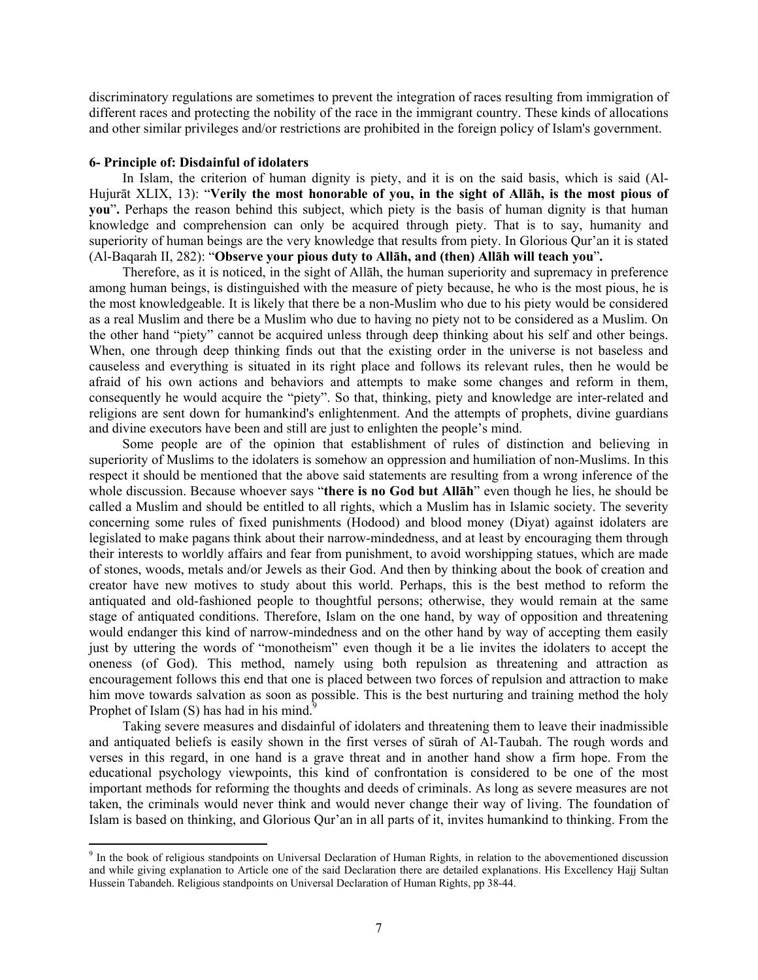discriminatory regulations are sometimes to prevent the integration of races resulting from immigration of different races and protecting the nobility of the race in the immigrant country. These kinds of allocations and other similar privileges and/or restrictions are prohibited in the foreign policy of Islam's government.

## **6- Principle of: Disdainful of idolaters**

 $\overline{a}$ 

In Islam, the criterion of human dignity is piety, and it is on the said basis, which is said (Al-Hujurāt XLIX, 13): "**Verily the most honorable of you, in the sight of Allāh, is the most pious of you**"**.** Perhaps the reason behind this subject, which piety is the basis of human dignity is that human knowledge and comprehension can only be acquired through piety. That is to say, humanity and superiority of human beings are the very knowledge that results from piety. In Glorious Qur'an it is stated (Al-Baqarah II, 282): "**Observe your pious duty to Allāh, and (then) Allāh will teach you**"**.**

Therefore, as it is noticed, in the sight of Allāh, the human superiority and supremacy in preference among human beings, is distinguished with the measure of piety because, he who is the most pious, he is the most knowledgeable. It is likely that there be a non-Muslim who due to his piety would be considered as a real Muslim and there be a Muslim who due to having no piety not to be considered as a Muslim. On the other hand "piety" cannot be acquired unless through deep thinking about his self and other beings. When, one through deep thinking finds out that the existing order in the universe is not baseless and causeless and everything is situated in its right place and follows its relevant rules, then he would be afraid of his own actions and behaviors and attempts to make some changes and reform in them, consequently he would acquire the "piety". So that, thinking, piety and knowledge are inter-related and religions are sent down for humankind's enlightenment. And the attempts of prophets, divine guardians and divine executors have been and still are just to enlighten the people's mind.

Some people are of the opinion that establishment of rules of distinction and believing in superiority of Muslims to the idolaters is somehow an oppression and humiliation of non-Muslims. In this respect it should be mentioned that the above said statements are resulting from a wrong inference of the whole discussion. Because whoever says "**there is no God but Allāh**" even though he lies, he should be called a Muslim and should be entitled to all rights, which a Muslim has in Islamic society. The severity concerning some rules of fixed punishments (Hodood) and blood money (Diyat) against idolaters are legislated to make pagans think about their narrow-mindedness, and at least by encouraging them through their interests to worldly affairs and fear from punishment, to avoid worshipping statues, which are made of stones, woods, metals and/or Jewels as their God. And then by thinking about the book of creation and creator have new motives to study about this world. Perhaps, this is the best method to reform the antiquated and old-fashioned people to thoughtful persons; otherwise, they would remain at the same stage of antiquated conditions. Therefore, Islam on the one hand, by way of opposition and threatening would endanger this kind of narrow-mindedness and on the other hand by way of accepting them easily just by uttering the words of "monotheism" even though it be a lie invites the idolaters to accept the oneness (of God). This method, namely using both repulsion as threatening and attraction as encouragement follows this end that one is placed between two forces of repulsion and attraction to make him move towards salvation as soon as possible. This is the best nurturing and training method the holy Prophet of Islam  $(S)$  has had in his mind.<sup>9</sup>

Taking severe measures and disdainful of idolaters and threatening them to leave their inadmissible and antiquated beliefs is easily shown in the first verses of sūrah of Al-Taubah. The rough words and verses in this regard, in one hand is a grave threat and in another hand show a firm hope. From the educational psychology viewpoints, this kind of confrontation is considered to be one of the most important methods for reforming the thoughts and deeds of criminals. As long as severe measures are not taken, the criminals would never think and would never change their way of living. The foundation of Islam is based on thinking, and Glorious Qur'an in all parts of it, invites humankind to thinking. From the

<sup>&</sup>lt;sup>9</sup> In the book of religious standpoints on Universal Declaration of Human Rights, in relation to the abovementioned discussion and while giving explanation to Article one of the said Declaration there are detailed explanations. His Excellency Hajj Sultan Hussein Tabandeh. Religious standpoints on Universal Declaration of Human Rights, pp 38-44.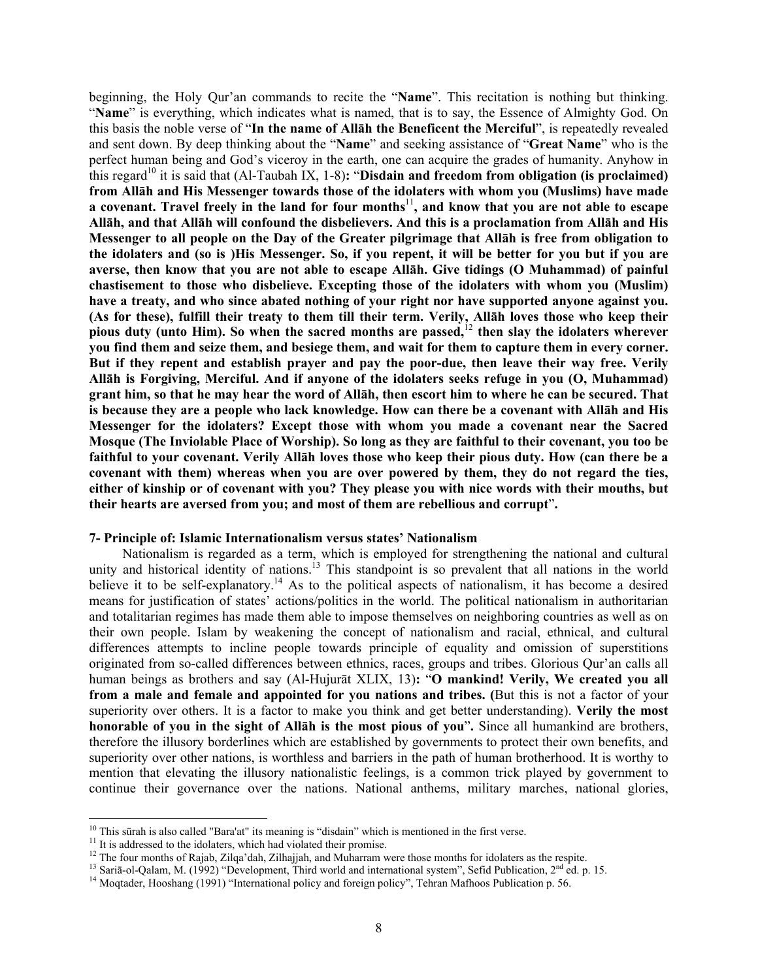beginning, the Holy Qur'an commands to recite the "**Name**". This recitation is nothing but thinking. "**Name**" is everything, which indicates what is named, that is to say, the Essence of Almighty God. On this basis the noble verse of "**In the name of Allāh the Beneficent the Merciful**", is repeatedly revealed and sent down. By deep thinking about the "**Name**" and seeking assistance of "**Great Name**" who is the perfect human being and God's viceroy in the earth, one can acquire the grades of humanity. Anyhow in this regard<sup>10</sup> it is said that  $(AI-Taubah IX, 1-8)$ : "**Disdain and freedom from obligation (is proclaimed) from Allāh and His Messenger towards those of the idolaters with whom you (Muslims) have made a covenant. Travel freely in the land for four months**<sup>11</sup>**, and know that you are not able to escape Allāh, and that Allāh will confound the disbelievers. And this is a proclamation from Allāh and His Messenger to all people on the Day of the Greater pilgrimage that Allāh is free from obligation to the idolaters and (so is )His Messenger. So, if you repent, it will be better for you but if you are averse, then know that you are not able to escape Allāh. Give tidings (O Muhammad) of painful chastisement to those who disbelieve. Excepting those of the idolaters with whom you (Muslim) have a treaty, and who since abated nothing of your right nor have supported anyone against you. (As for these), fulfill their treaty to them till their term. Verily, Allāh loves those who keep their pious duty (unto Him). So when the sacred months are passed,**<sup>12</sup> **then slay the idolaters wherever you find them and seize them, and besiege them, and wait for them to capture them in every corner. But if they repent and establish prayer and pay the poor-due, then leave their way free. Verily Allāh is Forgiving, Merciful. And if anyone of the idolaters seeks refuge in you (O, Muhammad) grant him, so that he may hear the word of Allāh, then escort him to where he can be secured. That is because they are a people who lack knowledge. How can there be a covenant with Allāh and His Messenger for the idolaters? Except those with whom you made a covenant near the Sacred Mosque (The Inviolable Place of Worship). So long as they are faithful to their covenant, you too be faithful to your covenant. Verily Allāh loves those who keep their pious duty. How (can there be a covenant with them) whereas when you are over powered by them, they do not regard the ties, either of kinship or of covenant with you? They please you with nice words with their mouths, but their hearts are aversed from you; and most of them are rebellious and corrupt**"**.** 

#### **7- Principle of: Islamic Internationalism versus states' Nationalism**

Nationalism is regarded as a term, which is employed for strengthening the national and cultural unity and historical identity of nations.<sup>13</sup> This standpoint is so prevalent that all nations in the world believe it to be self-explanatory.<sup>14</sup> As to the political aspects of nationalism, it has become a desired means for justification of states' actions/politics in the world. The political nationalism in authoritarian and totalitarian regimes has made them able to impose themselves on neighboring countries as well as on their own people. Islam by weakening the concept of nationalism and racial, ethnical, and cultural differences attempts to incline people towards principle of equality and omission of superstitions originated from so-called differences between ethnics, races, groups and tribes. Glorious Qur'an calls all human beings as brothers and say (Al-Hujurāt XLIX, 13)**:** "**O mankind! Verily, We created you all from a male and female and appointed for you nations and tribes. (**But this is not a factor of your superiority over others. It is a factor to make you think and get better understanding). **Verily the most honorable of you in the sight of Allāh is the most pious of you**"**.** Since all humankind are brothers, therefore the illusory borderlines which are established by governments to protect their own benefits, and superiority over other nations, is worthless and barriers in the path of human brotherhood. It is worthy to mention that elevating the illusory nationalistic feelings, is a common trick played by government to continue their governance over the nations. National anthems, military marches, national glories,

 $10$  This sūrah is also called "Bara'at" its meaning is "disdain" which is mentioned in the first verse.

<sup>&</sup>lt;sup>11</sup> It is addressed to the idolaters, which had violated their promise.<br><sup>12</sup> The four months of Rajab, Zilqa'dah, Zilhajjah, and Muharram were those months for idolaters as the respite.<br><sup>13</sup> Sariā-ol-Qalam, M. (1992) "De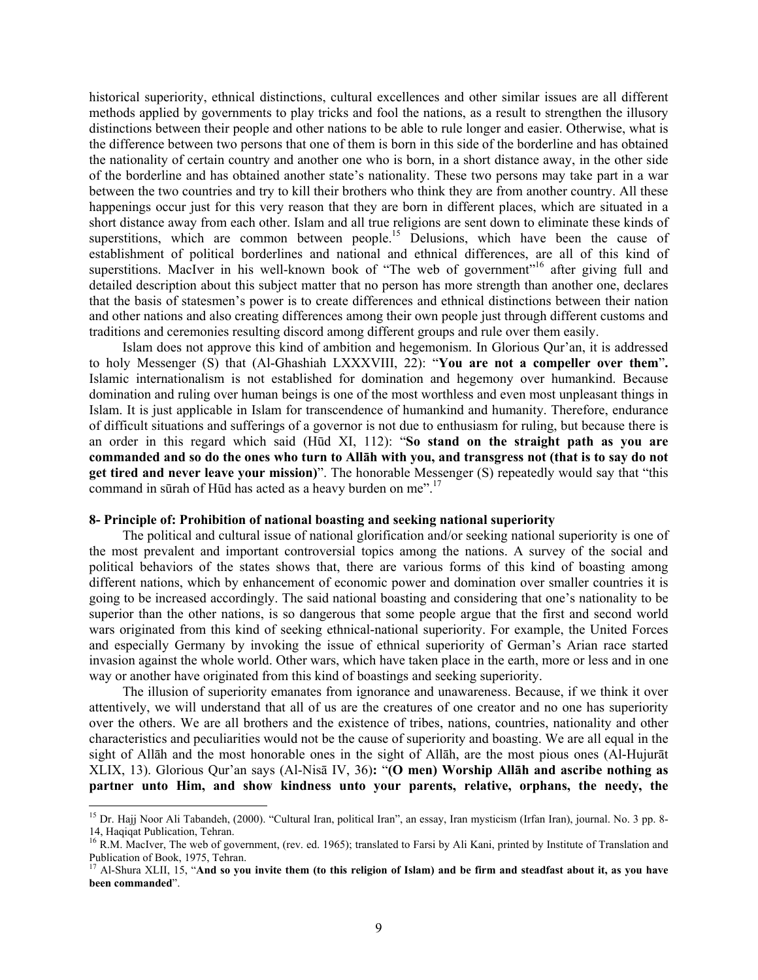historical superiority, ethnical distinctions, cultural excellences and other similar issues are all different methods applied by governments to play tricks and fool the nations, as a result to strengthen the illusory distinctions between their people and other nations to be able to rule longer and easier. Otherwise, what is the difference between two persons that one of them is born in this side of the borderline and has obtained the nationality of certain country and another one who is born, in a short distance away, in the other side of the borderline and has obtained another state's nationality. These two persons may take part in a war between the two countries and try to kill their brothers who think they are from another country. All these happenings occur just for this very reason that they are born in different places, which are situated in a short distance away from each other. Islam and all true religions are sent down to eliminate these kinds of superstitions, which are common between people.<sup>15</sup> Delusions, which have been the cause of establishment of political borderlines and national and ethnical differences, are all of this kind of superstitions. MacIver in his well-known book of "The web of government"<sup>16</sup> after giving full and detailed description about this subject matter that no person has more strength than another one, declares that the basis of statesmen's power is to create differences and ethnical distinctions between their nation and other nations and also creating differences among their own people just through different customs and traditions and ceremonies resulting discord among different groups and rule over them easily.

Islam does not approve this kind of ambition and hegemonism. In Glorious Qur'an, it is addressed to holy Messenger (S) that (Al-Ghashiah LXXXVIII, 22): "**You are not a compeller over them**"**.**  Islamic internationalism is not established for domination and hegemony over humankind. Because domination and ruling over human beings is one of the most worthless and even most unpleasant things in Islam. It is just applicable in Islam for transcendence of humankind and humanity. Therefore, endurance of difficult situations and sufferings of a governor is not due to enthusiasm for ruling, but because there is an order in this regard which said (Hūd XI, 112): "**So stand on the straight path as you are commanded and so do the ones who turn to Allāh with you, and transgress not (that is to say do not get tired and never leave your mission)**". The honorable Messenger (S) repeatedly would say that "this command in sūrah of Hūd has acted as a heavy burden on me".<sup>17</sup>

## **8- Principle of: Prohibition of national boasting and seeking national superiority**

 $\overline{a}$ 

The political and cultural issue of national glorification and/or seeking national superiority is one of the most prevalent and important controversial topics among the nations. A survey of the social and political behaviors of the states shows that, there are various forms of this kind of boasting among different nations, which by enhancement of economic power and domination over smaller countries it is going to be increased accordingly. The said national boasting and considering that one's nationality to be superior than the other nations, is so dangerous that some people argue that the first and second world wars originated from this kind of seeking ethnical-national superiority. For example, the United Forces and especially Germany by invoking the issue of ethnical superiority of German's Arian race started invasion against the whole world. Other wars, which have taken place in the earth, more or less and in one way or another have originated from this kind of boastings and seeking superiority.

The illusion of superiority emanates from ignorance and unawareness. Because, if we think it over attentively, we will understand that all of us are the creatures of one creator and no one has superiority over the others. We are all brothers and the existence of tribes, nations, countries, nationality and other characteristics and peculiarities would not be the cause of superiority and boasting. We are all equal in the sight of Allāh and the most honorable ones in the sight of Allāh, are the most pious ones (Al-Hujurāt XLIX, 13). Glorious Qur'an says (Al-Nisā IV, 36)**:** "**(O men) Worship Allāh and ascribe nothing as partner unto Him, and show kindness unto your parents, relative, orphans, the needy, the** 

<sup>&</sup>lt;sup>15</sup> Dr. Hajj Noor Ali Tabandeh, (2000). "Cultural Iran, political Iran", an essay, Iran mysticism (Irfan Iran), journal. No. 3 pp. 8-14, Haqiqat Publication, Tehran.

<sup>&</sup>lt;sup>16</sup> R.M. MacIver, The web of government, (rev. ed. 1965); translated to Farsi by Ali Kani, printed by Institute of Translation and Publication of Book, 1975, Tehran.

<sup>17</sup> Al-Shura XLII, 15, "**And so you invite them (to this religion of Islam) and be firm and steadfast about it, as you have been commanded**".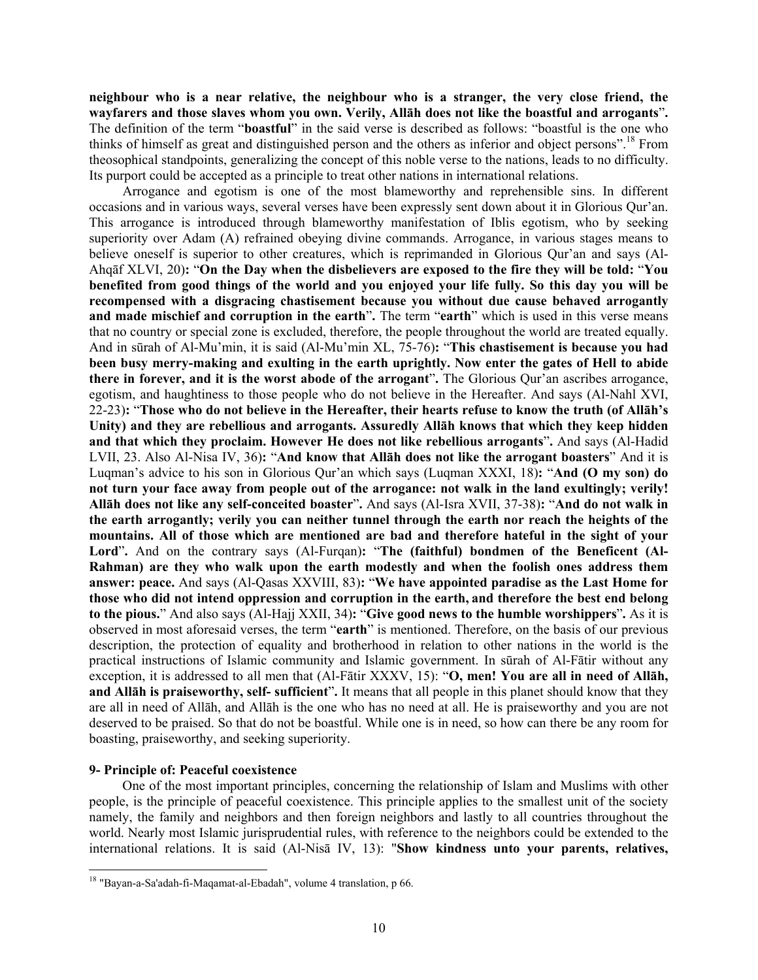**neighbour who is a near relative, the neighbour who is a stranger, the very close friend, the wayfarers and those slaves whom you own. Verily, Allāh does not like the boastful and arrogants**"**.**  The definition of the term "**boastful**" in the said verse is described as follows: "boastful is the one who thinks of himself as great and distinguished person and the others as inferior and object persons".18 From theosophical standpoints, generalizing the concept of this noble verse to the nations, leads to no difficulty. Its purport could be accepted as a principle to treat other nations in international relations.

Arrogance and egotism is one of the most blameworthy and reprehensible sins. In different occasions and in various ways, several verses have been expressly sent down about it in Glorious Qur'an. This arrogance is introduced through blameworthy manifestation of Iblis egotism, who by seeking superiority over Adam (A) refrained obeying divine commands. Arrogance, in various stages means to believe oneself is superior to other creatures, which is reprimanded in Glorious Qur'an and says (Al-Ahqāf XLVI, 20)**:** "**On the Day when the disbelievers are exposed to the fire they will be told:** "**You benefited from good things of the world and you enjoyed your life fully. So this day you will be recompensed with a disgracing chastisement because you without due cause behaved arrogantly and made mischief and corruption in the earth**"**.** The term "**earth**" which is used in this verse means that no country or special zone is excluded, therefore, the people throughout the world are treated equally. And in sūrah of Al-Mu'min, it is said (Al-Mu'min XL, 75-76)**:** "**This chastisement is because you had been busy merry-making and exulting in the earth uprightly. Now enter the gates of Hell to abide there in forever, and it is the worst abode of the arrogant**"**.** The Glorious Qur'an ascribes arrogance, egotism, and haughtiness to those people who do not believe in the Hereafter. And says (Al-Nahl XVI, 22-23)**:** "**Those who do not believe in the Hereafter, their hearts refuse to know the truth (of Allāh's Unity) and they are rebellious and arrogants. Assuredly Allāh knows that which they keep hidden and that which they proclaim. However He does not like rebellious arrogants**"**.** And says (Al-Hadid LVII, 23. Also Al-Nisa IV, 36)**:** "**And know that Allāh does not like the arrogant boasters**" And it is Luqman's advice to his son in Glorious Qur'an which says (Luqman XXXI, 18)**:** "**And (O my son) do not turn your face away from people out of the arrogance: not walk in the land exultingly; verily! Allāh does not like any self-conceited boaster**"**.** And says (Al-Isra XVII, 37-38)**:** "**And do not walk in the earth arrogantly; verily you can neither tunnel through the earth nor reach the heights of the mountains. All of those which are mentioned are bad and therefore hateful in the sight of your**  Lord". And on the contrary says (Al-Furqan): "The (faithful) bondmen of the Beneficent (Al-**Rahman) are they who walk upon the earth modestly and when the foolish ones address them answer: peace.** And says (Al-Qasas XXVIII, 83)**:** "**We have appointed paradise as the Last Home for those who did not intend oppression and corruption in the earth, and therefore the best end belong to the pious.**" And also says (Al-Hajj XXII, 34)**:** "**Give good news to the humble worshippers**"**.** As it is observed in most aforesaid verses, the term "**earth**" is mentioned. Therefore, on the basis of our previous description, the protection of equality and brotherhood in relation to other nations in the world is the practical instructions of Islamic community and Islamic government. In sūrah of Al-Fātir without any exception, it is addressed to all men that (Al-Fātir XXXV, 15): "**O, men! You are all in need of Allāh, and Allāh is praiseworthy, self- sufficient**"**.** It means that all people in this planet should know that they are all in need of Allāh, and Allāh is the one who has no need at all. He is praiseworthy and you are not deserved to be praised. So that do not be boastful. While one is in need, so how can there be any room for boasting, praiseworthy, and seeking superiority.

## **9- Principle of: Peaceful coexistence**

 $\overline{a}$ 

One of the most important principles, concerning the relationship of Islam and Muslims with other people, is the principle of peaceful coexistence. This principle applies to the smallest unit of the society namely, the family and neighbors and then foreign neighbors and lastly to all countries throughout the world. Nearly most Islamic jurisprudential rules, with reference to the neighbors could be extended to the international relations. It is said (Al-Nisā IV, 13): "**Show kindness unto your parents, relatives,** 

<sup>&</sup>lt;sup>18</sup> "Bayan-a-Sa'adah-fi-Maqamat-al-Ebadah", volume 4 translation, p 66.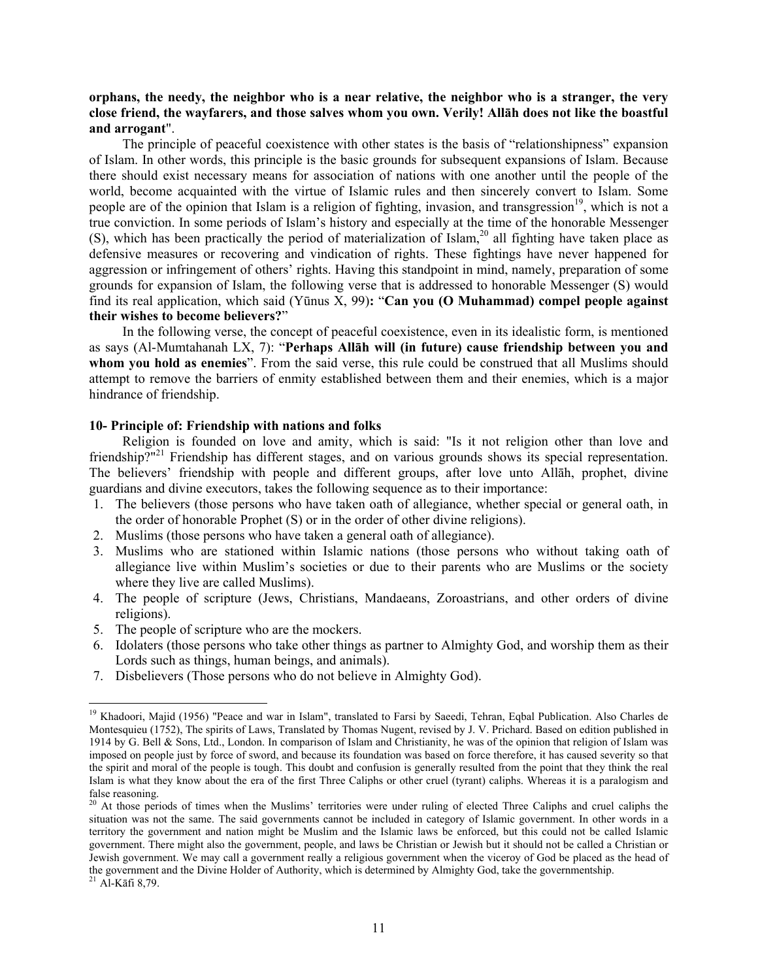# **orphans, the needy, the neighbor who is a near relative, the neighbor who is a stranger, the very close friend, the wayfarers, and those salves whom you own. Verily! Allāh does not like the boastful and arrogant**".

The principle of peaceful coexistence with other states is the basis of "relationshipness" expansion of Islam. In other words, this principle is the basic grounds for subsequent expansions of Islam. Because there should exist necessary means for association of nations with one another until the people of the world, become acquainted with the virtue of Islamic rules and then sincerely convert to Islam. Some people are of the opinion that Islam is a religion of fighting, invasion, and transgression<sup>19</sup>, which is not a true conviction. In some periods of Islam's history and especially at the time of the honorable Messenger (S), which has been practically the period of materialization of Islam,<sup>20</sup> all fighting have taken place as defensive measures or recovering and vindication of rights. These fightings have never happened for aggression or infringement of others' rights. Having this standpoint in mind, namely, preparation of some grounds for expansion of Islam, the following verse that is addressed to honorable Messenger (S) would find its real application, which said (Yūnus X, 99)**:** "**Can you (O Muhammad) compel people against their wishes to become believers?**"

In the following verse, the concept of peaceful coexistence, even in its idealistic form, is mentioned as says (Al-Mumtahanah LX, 7): "**Perhaps Allāh will (in future) cause friendship between you and whom you hold as enemies**". From the said verse, this rule could be construed that all Muslims should attempt to remove the barriers of enmity established between them and their enemies, which is a major hindrance of friendship.

## **10- Principle of: Friendship with nations and folks**

Religion is founded on love and amity, which is said: "Is it not religion other than love and friendship?"21 Friendship has different stages, and on various grounds shows its special representation. The believers' friendship with people and different groups, after love unto Allāh, prophet, divine guardians and divine executors, takes the following sequence as to their importance:

- 1. The believers (those persons who have taken oath of allegiance, whether special or general oath, in the order of honorable Prophet (S) or in the order of other divine religions).
- 2. Muslims (those persons who have taken a general oath of allegiance).
- 3. Muslims who are stationed within Islamic nations (those persons who without taking oath of allegiance live within Muslim's societies or due to their parents who are Muslims or the society where they live are called Muslims).
- 4. The people of scripture (Jews, Christians, Mandaeans, Zoroastrians, and other orders of divine religions).
- 5. The people of scripture who are the mockers.
- 6. Idolaters (those persons who take other things as partner to Almighty God, and worship them as their Lords such as things, human beings, and animals).
- 7. Disbelievers (Those persons who do not believe in Almighty God).

<sup>&</sup>lt;sup>19</sup> Khadoori, Majid (1956) "Peace and war in Islam", translated to Farsi by Saeedi, Tehran, Eqbal Publication. Also Charles de Montesquieu (1752), The spirits of Laws, Translated by Thomas Nugent, revised by J. V. Prichard. Based on edition published in 1914 by G. Bell & Sons, Ltd., London. In comparison of Islam and Christianity, he was of the opinion that religion of Islam was imposed on people just by force of sword, and because its foundation was based on force therefore, it has caused severity so that the spirit and moral of the people is tough. This doubt and confusion is generally resulted from the point that they think the real Islam is what they know about the era of the first Three Caliphs or other cruel (tyrant) caliphs. Whereas it is a paralogism and false reasoning.

<sup>&</sup>lt;sup>20</sup> At those periods of times when the Muslims' territories were under ruling of elected Three Caliphs and cruel caliphs the situation was not the same. The said governments cannot be included in category of Islamic government. In other words in a territory the government and nation might be Muslim and the Islamic laws be enforced, but this could not be called Islamic government. There might also the government, people, and laws be Christian or Jewish but it should not be called a Christian or Jewish government. We may call a government really a religious government when the viceroy of God be placed as the head of the government and the Divine Holder of Authority, which is determined by Almighty God, take the governmentship.<br><sup>21</sup> Al-Kāfi 8,79.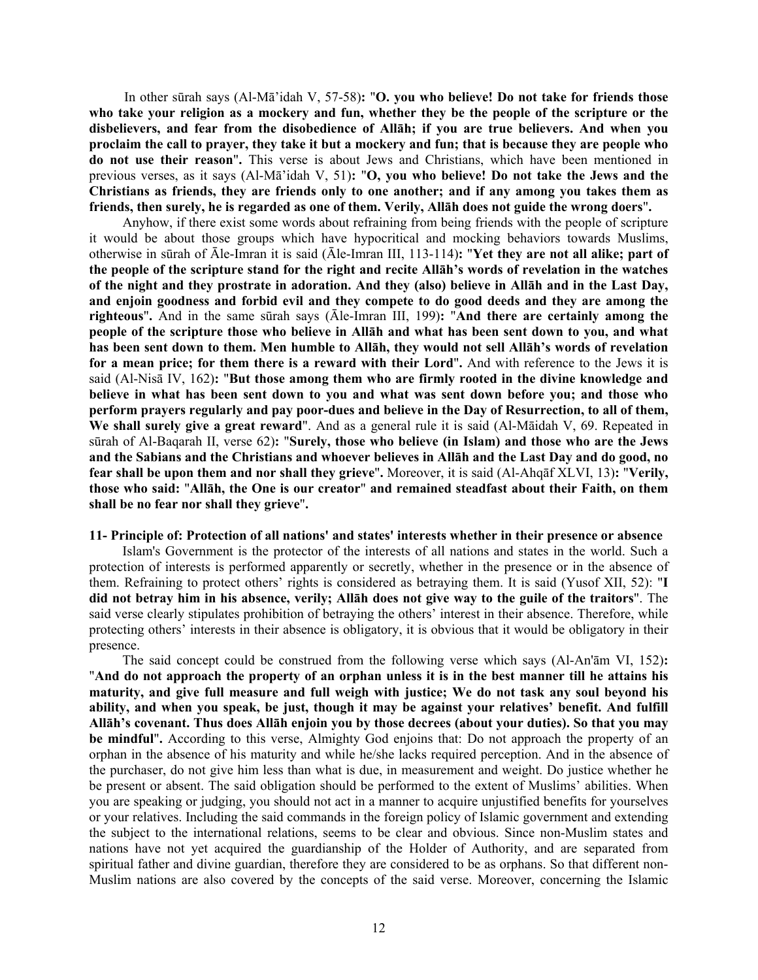In other sūrah says (Al-Mā'idah V, 57-58)**:** "**O. you who believe! Do not take for friends those who take your religion as a mockery and fun, whether they be the people of the scripture or the disbelievers, and fear from the disobedience of Allāh; if you are true believers. And when you proclaim the call to prayer, they take it but a mockery and fun; that is because they are people who do not use their reason**"**.** This verse is about Jews and Christians, which have been mentioned in previous verses, as it says (Al-Mā'idah V, 51)**:** "**O, you who believe! Do not take the Jews and the Christians as friends, they are friends only to one another; and if any among you takes them as friends, then surely, he is regarded as one of them. Verily, Allāh does not guide the wrong doers**"**.** 

Anyhow, if there exist some words about refraining from being friends with the people of scripture it would be about those groups which have hypocritical and mocking behaviors towards Muslims, otherwise in sūrah of Āle-Imran it is said (Āle-Imran III, 113-114)**:** "**Yet they are not all alike; part of the people of the scripture stand for the right and recite Allāh's words of revelation in the watches of the night and they prostrate in adoration. And they (also) believe in Allāh and in the Last Day, and enjoin goodness and forbid evil and they compete to do good deeds and they are among the righteous**"**.** And in the same sūrah says (Āle-Imran III, 199)**:** "**And there are certainly among the people of the scripture those who believe in Allāh and what has been sent down to you, and what has been sent down to them. Men humble to Allāh, they would not sell Allāh's words of revelation for a mean price; for them there is a reward with their Lord**"**.** And with reference to the Jews it is said (Al-Nisā IV, 162)**:** "**But those among them who are firmly rooted in the divine knowledge and believe in what has been sent down to you and what was sent down before you; and those who perform prayers regularly and pay poor-dues and believe in the Day of Resurrection, to all of them, We shall surely give a great reward**". And as a general rule it is said (Al-Māidah V, 69. Repeated in sūrah of Al-Baqarah II, verse 62)**:** "**Surely, those who believe (in Islam) and those who are the Jews and the Sabians and the Christians and whoever believes in Allāh and the Last Day and do good, no fear shall be upon them and nor shall they grieve**"**.** Moreover, it is said (Al-Ahqāf XLVI, 13)**:** "**Verily, those who said:** "**Allāh, the One is our creator**" **and remained steadfast about their Faith, on them shall be no fear nor shall they grieve**"**.** 

## **11- Principle of: Protection of all nations' and states' interests whether in their presence or absence**

Islam's Government is the protector of the interests of all nations and states in the world. Such a protection of interests is performed apparently or secretly, whether in the presence or in the absence of them. Refraining to protect others' rights is considered as betraying them. It is said (Yusof XII, 52): "**I did not betray him in his absence, verily; Allāh does not give way to the guile of the traitors**". The said verse clearly stipulates prohibition of betraying the others' interest in their absence. Therefore, while protecting others' interests in their absence is obligatory, it is obvious that it would be obligatory in their presence.

The said concept could be construed from the following verse which says (Al-An'ām VI, 152)**:**  "**And do not approach the property of an orphan unless it is in the best manner till he attains his maturity, and give full measure and full weigh with justice; We do not task any soul beyond his ability, and when you speak, be just, though it may be against your relatives' benefit. And fulfill Allāh's covenant. Thus does Allāh enjoin you by those decrees (about your duties). So that you may be mindful**"**.** According to this verse, Almighty God enjoins that: Do not approach the property of an orphan in the absence of his maturity and while he/she lacks required perception. And in the absence of the purchaser, do not give him less than what is due, in measurement and weight. Do justice whether he be present or absent. The said obligation should be performed to the extent of Muslims' abilities. When you are speaking or judging, you should not act in a manner to acquire unjustified benefits for yourselves or your relatives. Including the said commands in the foreign policy of Islamic government and extending the subject to the international relations, seems to be clear and obvious. Since non-Muslim states and nations have not yet acquired the guardianship of the Holder of Authority, and are separated from spiritual father and divine guardian, therefore they are considered to be as orphans. So that different non-Muslim nations are also covered by the concepts of the said verse. Moreover, concerning the Islamic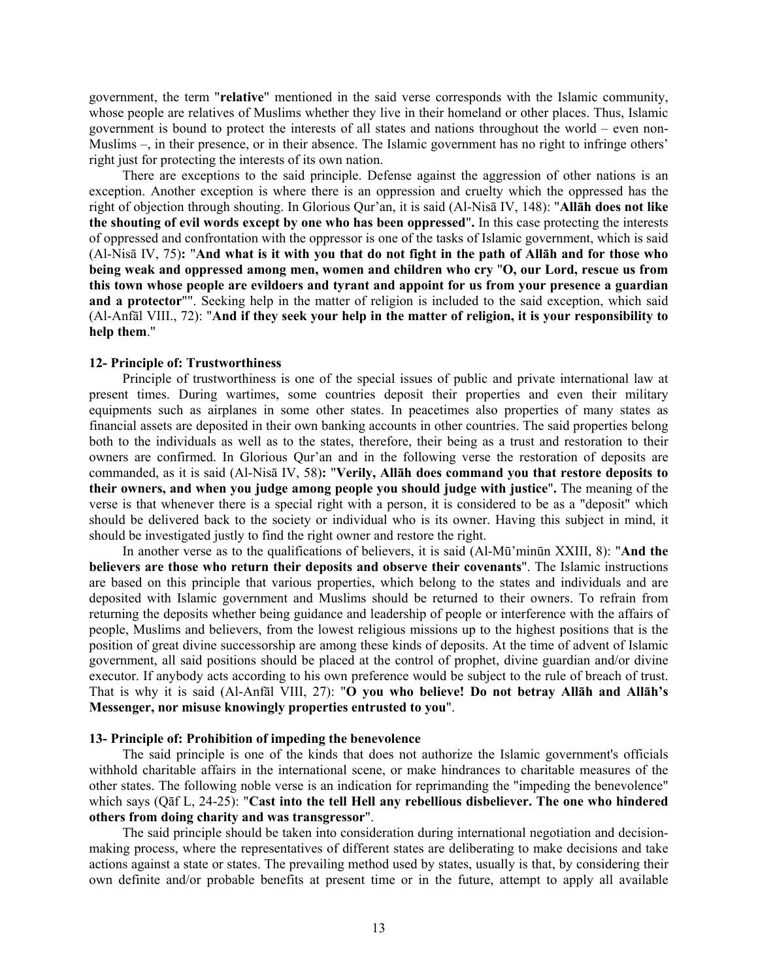government, the term "**relative**" mentioned in the said verse corresponds with the Islamic community, whose people are relatives of Muslims whether they live in their homeland or other places. Thus, Islamic government is bound to protect the interests of all states and nations throughout the world – even non-Muslims –, in their presence, or in their absence. The Islamic government has no right to infringe others' right just for protecting the interests of its own nation.

There are exceptions to the said principle. Defense against the aggression of other nations is an exception. Another exception is where there is an oppression and cruelty which the oppressed has the right of objection through shouting. In Glorious Qur'an, it is said (Al-Nisā IV, 148): "**Allāh does not like the shouting of evil words except by one who has been oppressed**"**.** In this case protecting the interests of oppressed and confrontation with the oppressor is one of the tasks of Islamic government, which is said (Al-Nisā IV, 75)**:** "**And what is it with you that do not fight in the path of Allāh and for those who being weak and oppressed among men, women and children who cry** "**O, our Lord, rescue us from this town whose people are evildoers and tyrant and appoint for us from your presence a guardian and a protector**"". Seeking help in the matter of religion is included to the said exception, which said (Al-Anfāl VIII., 72): "**And if they seek your help in the matter of religion, it is your responsibility to help them**."

## **12- Principle of: Trustworthiness**

Principle of trustworthiness is one of the special issues of public and private international law at present times. During wartimes, some countries deposit their properties and even their military equipments such as airplanes in some other states. In peacetimes also properties of many states as financial assets are deposited in their own banking accounts in other countries. The said properties belong both to the individuals as well as to the states, therefore, their being as a trust and restoration to their owners are confirmed. In Glorious Qur'an and in the following verse the restoration of deposits are commanded, as it is said (Al-Nisā IV, 58)**:** "**Verily, Allāh does command you that restore deposits to their owners, and when you judge among people you should judge with justice**"**.** The meaning of the verse is that whenever there is a special right with a person, it is considered to be as a "deposit" which should be delivered back to the society or individual who is its owner. Having this subject in mind, it should be investigated justly to find the right owner and restore the right.

In another verse as to the qualifications of believers, it is said (Al-Mū'minūn XXIII, 8): "**And the believers are those who return their deposits and observe their covenants**". The Islamic instructions are based on this principle that various properties, which belong to the states and individuals and are deposited with Islamic government and Muslims should be returned to their owners. To refrain from returning the deposits whether being guidance and leadership of people or interference with the affairs of people, Muslims and believers, from the lowest religious missions up to the highest positions that is the position of great divine successorship are among these kinds of deposits. At the time of advent of Islamic government, all said positions should be placed at the control of prophet, divine guardian and/or divine executor. If anybody acts according to his own preference would be subject to the rule of breach of trust. That is why it is said (Al-Anfāl VIII, 27): "**O you who believe! Do not betray Allāh and Allāh's Messenger, nor misuse knowingly properties entrusted to you**".

## **13- Principle of: Prohibition of impeding the benevolence**

The said principle is one of the kinds that does not authorize the Islamic government's officials withhold charitable affairs in the international scene, or make hindrances to charitable measures of the other states. The following noble verse is an indication for reprimanding the "impeding the benevolence" which says (Qāf L, 24-25): "**Cast into the tell Hell any rebellious disbeliever. The one who hindered others from doing charity and was transgressor**".

The said principle should be taken into consideration during international negotiation and decisionmaking process, where the representatives of different states are deliberating to make decisions and take actions against a state or states. The prevailing method used by states, usually is that, by considering their own definite and/or probable benefits at present time or in the future, attempt to apply all available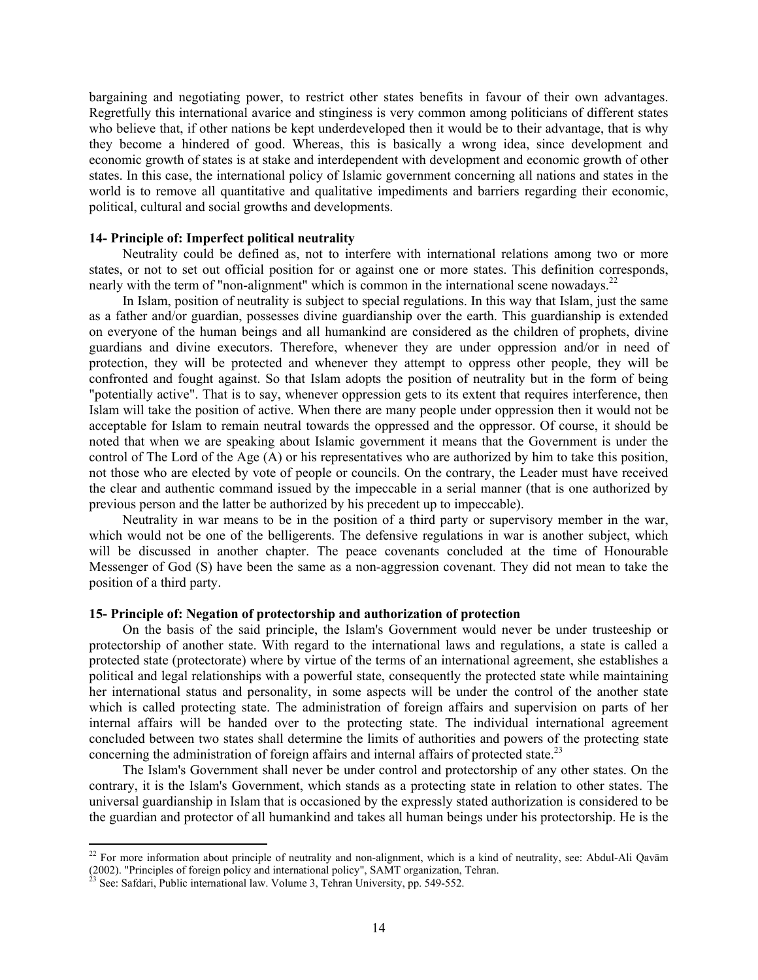bargaining and negotiating power, to restrict other states benefits in favour of their own advantages. Regretfully this international avarice and stinginess is very common among politicians of different states who believe that, if other nations be kept underdeveloped then it would be to their advantage, that is why they become a hindered of good. Whereas, this is basically a wrong idea, since development and economic growth of states is at stake and interdependent with development and economic growth of other states. In this case, the international policy of Islamic government concerning all nations and states in the world is to remove all quantitative and qualitative impediments and barriers regarding their economic, political, cultural and social growths and developments.

# **14- Principle of: Imperfect political neutrality**

Neutrality could be defined as, not to interfere with international relations among two or more states, or not to set out official position for or against one or more states. This definition corresponds, nearly with the term of "non-alignment" which is common in the international scene nowadays.<sup>22</sup>

In Islam, position of neutrality is subject to special regulations. In this way that Islam, just the same as a father and/or guardian, possesses divine guardianship over the earth. This guardianship is extended on everyone of the human beings and all humankind are considered as the children of prophets, divine guardians and divine executors. Therefore, whenever they are under oppression and/or in need of protection, they will be protected and whenever they attempt to oppress other people, they will be confronted and fought against. So that Islam adopts the position of neutrality but in the form of being "potentially active". That is to say, whenever oppression gets to its extent that requires interference, then Islam will take the position of active. When there are many people under oppression then it would not be acceptable for Islam to remain neutral towards the oppressed and the oppressor. Of course, it should be noted that when we are speaking about Islamic government it means that the Government is under the control of The Lord of the Age (A) or his representatives who are authorized by him to take this position, not those who are elected by vote of people or councils. On the contrary, the Leader must have received the clear and authentic command issued by the impeccable in a serial manner (that is one authorized by previous person and the latter be authorized by his precedent up to impeccable).

Neutrality in war means to be in the position of a third party or supervisory member in the war, which would not be one of the belligerents. The defensive regulations in war is another subject, which will be discussed in another chapter. The peace covenants concluded at the time of Honourable Messenger of God (S) have been the same as a non-aggression covenant. They did not mean to take the position of a third party.

## **15- Principle of: Negation of protectorship and authorization of protection**

On the basis of the said principle, the Islam's Government would never be under trusteeship or protectorship of another state. With regard to the international laws and regulations, a state is called a protected state (protectorate) where by virtue of the terms of an international agreement, she establishes a political and legal relationships with a powerful state, consequently the protected state while maintaining her international status and personality, in some aspects will be under the control of the another state which is called protecting state. The administration of foreign affairs and supervision on parts of her internal affairs will be handed over to the protecting state. The individual international agreement concluded between two states shall determine the limits of authorities and powers of the protecting state concerning the administration of foreign affairs and internal affairs of protected state.<sup>23</sup>

The Islam's Government shall never be under control and protectorship of any other states. On the contrary, it is the Islam's Government, which stands as a protecting state in relation to other states. The universal guardianship in Islam that is occasioned by the expressly stated authorization is considered to be the guardian and protector of all humankind and takes all human beings under his protectorship. He is the

<sup>&</sup>lt;sup>22</sup> For more information about principle of neutrality and non-alignment, which is a kind of neutrality, see: Abdul-Ali Qavām (2002). "Principles of foreign policy and international policy", SAMT organization, Tehran. 23 See: Safdari, Public international law. Volume 3, Tehran University, pp. 549-552.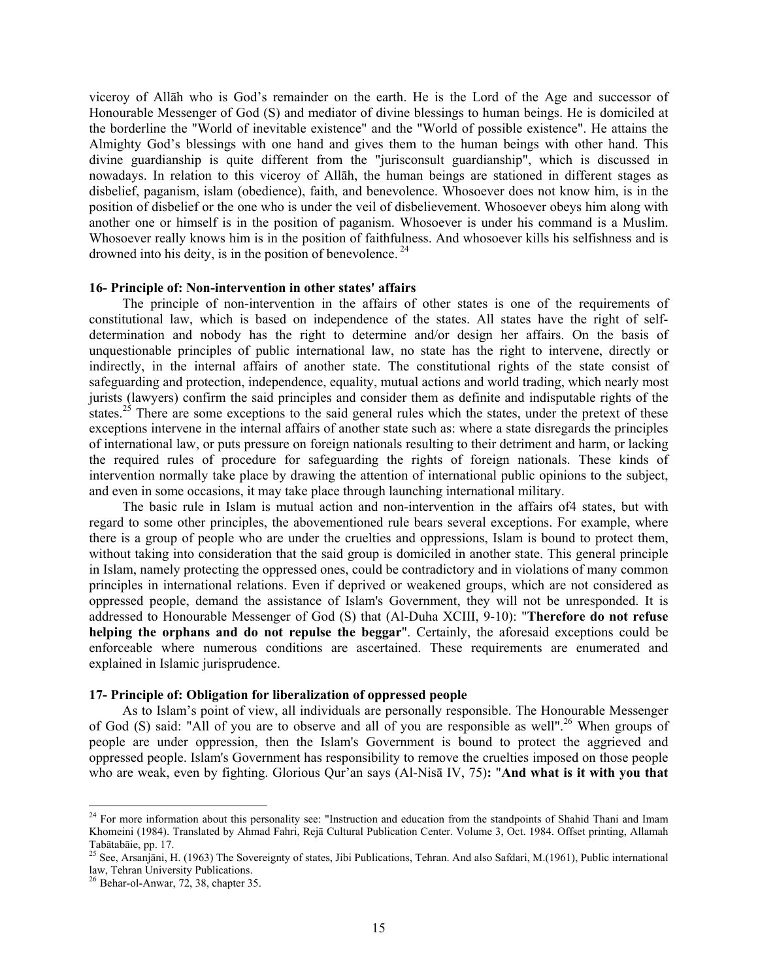viceroy of Allāh who is God's remainder on the earth. He is the Lord of the Age and successor of Honourable Messenger of God (S) and mediator of divine blessings to human beings. He is domiciled at the borderline the "World of inevitable existence" and the "World of possible existence". He attains the Almighty God's blessings with one hand and gives them to the human beings with other hand. This divine guardianship is quite different from the "jurisconsult guardianship", which is discussed in nowadays. In relation to this viceroy of Allāh, the human beings are stationed in different stages as disbelief, paganism, islam (obedience), faith, and benevolence. Whosoever does not know him, is in the position of disbelief or the one who is under the veil of disbelievement. Whosoever obeys him along with another one or himself is in the position of paganism. Whosoever is under his command is a Muslim. Whosoever really knows him is in the position of faithfulness. And whosoever kills his selfishness and is drowned into his deity, is in the position of benevolence.  $24$ 

#### **16- Principle of: Non-intervention in other states' affairs**

The principle of non-intervention in the affairs of other states is one of the requirements of constitutional law, which is based on independence of the states. All states have the right of selfdetermination and nobody has the right to determine and/or design her affairs. On the basis of unquestionable principles of public international law, no state has the right to intervene, directly or indirectly, in the internal affairs of another state. The constitutional rights of the state consist of safeguarding and protection, independence, equality, mutual actions and world trading, which nearly most jurists (lawyers) confirm the said principles and consider them as definite and indisputable rights of the states.<sup>25</sup> There are some exceptions to the said general rules which the states, under the pretext of these exceptions intervene in the internal affairs of another state such as: where a state disregards the principles of international law, or puts pressure on foreign nationals resulting to their detriment and harm, or lacking the required rules of procedure for safeguarding the rights of foreign nationals. These kinds of intervention normally take place by drawing the attention of international public opinions to the subject, and even in some occasions, it may take place through launching international military.

The basic rule in Islam is mutual action and non-intervention in the affairs of4 states, but with regard to some other principles, the abovementioned rule bears several exceptions. For example, where there is a group of people who are under the cruelties and oppressions, Islam is bound to protect them, without taking into consideration that the said group is domiciled in another state. This general principle in Islam, namely protecting the oppressed ones, could be contradictory and in violations of many common principles in international relations. Even if deprived or weakened groups, which are not considered as oppressed people, demand the assistance of Islam's Government, they will not be unresponded. It is addressed to Honourable Messenger of God (S) that (Al-Duha XCIII, 9-10): "**Therefore do not refuse helping the orphans and do not repulse the beggar**". Certainly, the aforesaid exceptions could be enforceable where numerous conditions are ascertained. These requirements are enumerated and explained in Islamic jurisprudence.

## **17- Principle of: Obligation for liberalization of oppressed people**

As to Islam's point of view, all individuals are personally responsible. The Honourable Messenger of God (S) said: "All of you are to observe and all of you are responsible as well".<sup>26</sup> When groups of people are under oppression, then the Islam's Government is bound to protect the aggrieved and oppressed people. Islam's Government has responsibility to remove the cruelties imposed on those people who are weak, even by fighting. Glorious Qur'an says (Al-Nis<del>a</del> IV, 75): "And what is it with you that

 $^{24}$  For more information about this personality see: "Instruction and education from the standpoints of Shahid Thani and Imam Khomeini (1984). Translated by Ahmad Fahri, Rejā Cultural Publication Center. Volume 3, Oct. 1984. Offset printing, Allamah Tabātabāie, pp. 17.

<sup>&</sup>lt;sup>25</sup> See, Arsanjāni, H. (1963) The Sovereignty of states, Jibi Publications, Tehran. And also Safdari, M. (1961), Public international law, Tehran University Publications.

 $26$  Behar-ol-Anwar, 72, 38, chapter 35.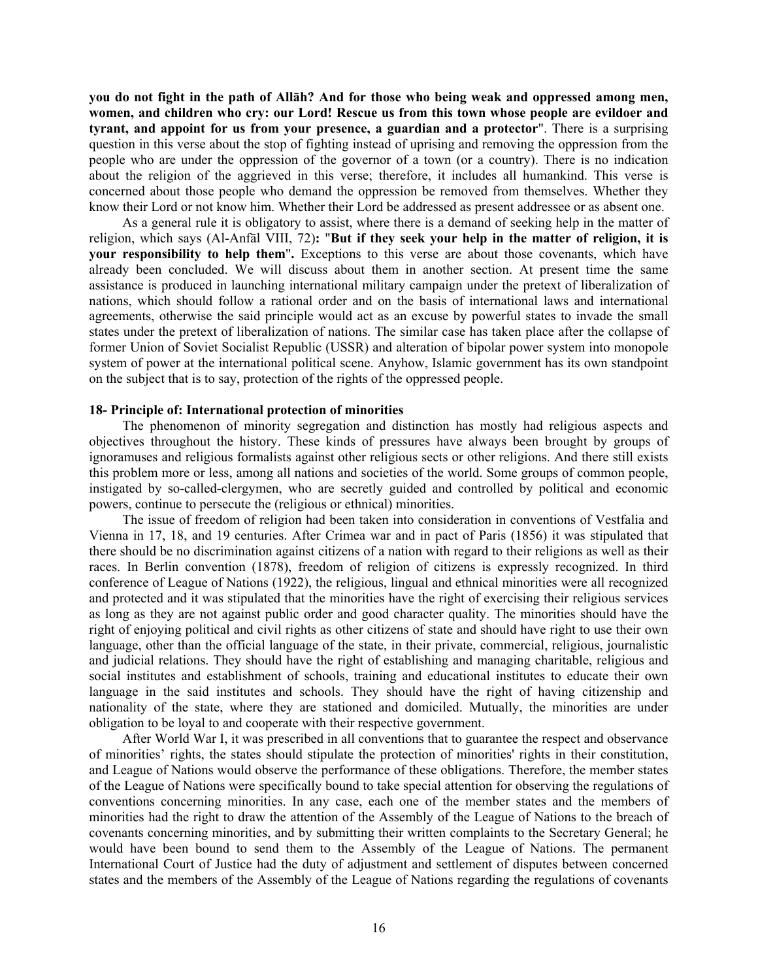**you do not fight in the path of Allāh? And for those who being weak and oppressed among men, women, and children who cry: our Lord! Rescue us from this town whose people are evildoer and tyrant, and appoint for us from your presence, a guardian and a protector**". There is a surprising question in this verse about the stop of fighting instead of uprising and removing the oppression from the people who are under the oppression of the governor of a town (or a country). There is no indication about the religion of the aggrieved in this verse; therefore, it includes all humankind. This verse is concerned about those people who demand the oppression be removed from themselves. Whether they know their Lord or not know him. Whether their Lord be addressed as present addressee or as absent one.

As a general rule it is obligatory to assist, where there is a demand of seeking help in the matter of religion, which says (Al-Anfāl VIII, 72)**:** "**But if they seek your help in the matter of religion, it is your responsibility to help them**"**.** Exceptions to this verse are about those covenants, which have already been concluded. We will discuss about them in another section. At present time the same assistance is produced in launching international military campaign under the pretext of liberalization of nations, which should follow a rational order and on the basis of international laws and international agreements, otherwise the said principle would act as an excuse by powerful states to invade the small states under the pretext of liberalization of nations. The similar case has taken place after the collapse of former Union of Soviet Socialist Republic (USSR) and alteration of bipolar power system into monopole system of power at the international political scene. Anyhow, Islamic government has its own standpoint on the subject that is to say, protection of the rights of the oppressed people.

## **18- Principle of: International protection of minorities**

The phenomenon of minority segregation and distinction has mostly had religious aspects and objectives throughout the history. These kinds of pressures have always been brought by groups of ignoramuses and religious formalists against other religious sects or other religions. And there still exists this problem more or less, among all nations and societies of the world. Some groups of common people, instigated by so-called-clergymen, who are secretly guided and controlled by political and economic powers, continue to persecute the (religious or ethnical) minorities.

The issue of freedom of religion had been taken into consideration in conventions of Vestfalia and Vienna in 17, 18, and 19 centuries. After Crimea war and in pact of Paris (1856) it was stipulated that there should be no discrimination against citizens of a nation with regard to their religions as well as their races. In Berlin convention (1878), freedom of religion of citizens is expressly recognized. In third conference of League of Nations (1922), the religious, lingual and ethnical minorities were all recognized and protected and it was stipulated that the minorities have the right of exercising their religious services as long as they are not against public order and good character quality. The minorities should have the right of enjoying political and civil rights as other citizens of state and should have right to use their own language, other than the official language of the state, in their private, commercial, religious, journalistic and judicial relations. They should have the right of establishing and managing charitable, religious and social institutes and establishment of schools, training and educational institutes to educate their own language in the said institutes and schools. They should have the right of having citizenship and nationality of the state, where they are stationed and domiciled. Mutually, the minorities are under obligation to be loyal to and cooperate with their respective government.

After World War I, it was prescribed in all conventions that to guarantee the respect and observance of minorities' rights, the states should stipulate the protection of minorities' rights in their constitution, and League of Nations would observe the performance of these obligations. Therefore, the member states of the League of Nations were specifically bound to take special attention for observing the regulations of conventions concerning minorities. In any case, each one of the member states and the members of minorities had the right to draw the attention of the Assembly of the League of Nations to the breach of covenants concerning minorities, and by submitting their written complaints to the Secretary General; he would have been bound to send them to the Assembly of the League of Nations. The permanent International Court of Justice had the duty of adjustment and settlement of disputes between concerned states and the members of the Assembly of the League of Nations regarding the regulations of covenants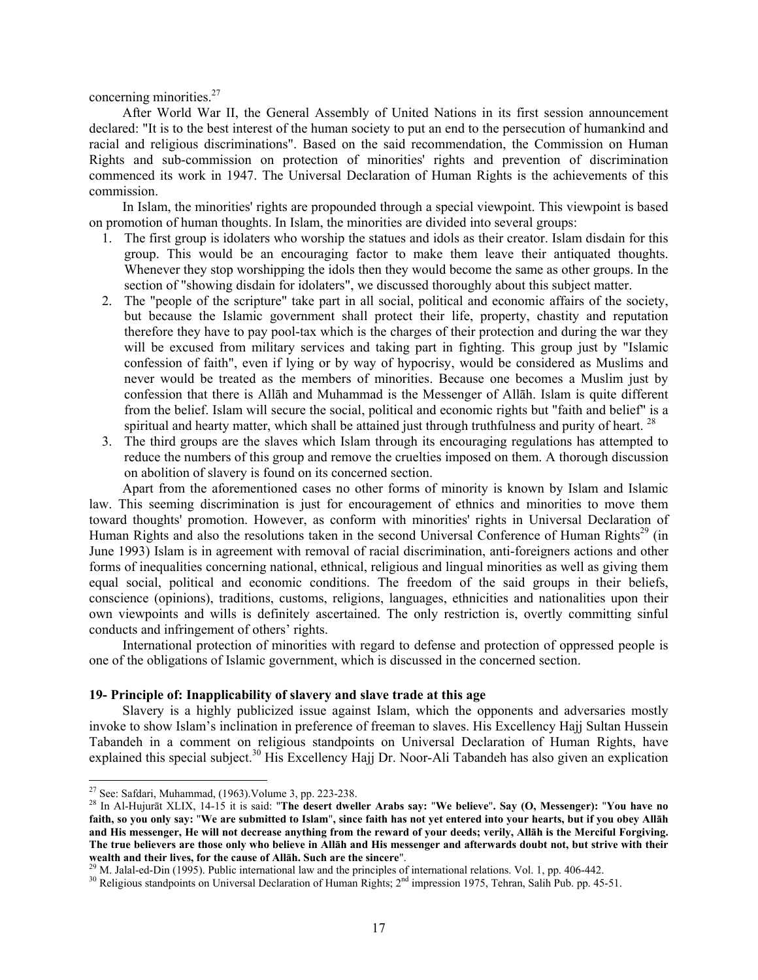concerning minorities.<sup>27</sup>

After World War II, the General Assembly of United Nations in its first session announcement declared: "It is to the best interest of the human society to put an end to the persecution of humankind and racial and religious discriminations". Based on the said recommendation, the Commission on Human Rights and sub-commission on protection of minorities' rights and prevention of discrimination commenced its work in 1947. The Universal Declaration of Human Rights is the achievements of this commission.

In Islam, the minorities' rights are propounded through a special viewpoint. This viewpoint is based on promotion of human thoughts. In Islam, the minorities are divided into several groups:

- 1. The first group is idolaters who worship the statues and idols as their creator. Islam disdain for this group. This would be an encouraging factor to make them leave their antiquated thoughts. Whenever they stop worshipping the idols then they would become the same as other groups. In the section of "showing disdain for idolaters", we discussed thoroughly about this subject matter.
- 2. The "people of the scripture" take part in all social, political and economic affairs of the society, but because the Islamic government shall protect their life, property, chastity and reputation therefore they have to pay pool-tax which is the charges of their protection and during the war they will be excused from military services and taking part in fighting. This group just by "Islamic confession of faith", even if lying or by way of hypocrisy, would be considered as Muslims and never would be treated as the members of minorities. Because one becomes a Muslim just by confession that there is Allāh and Muhammad is the Messenger of Allāh. Islam is quite different from the belief. Islam will secure the social, political and economic rights but "faith and belief" is a spiritual and hearty matter, which shall be attained just through truthfulness and purity of heart. <sup>28</sup>
- 3. The third groups are the slaves which Islam through its encouraging regulations has attempted to reduce the numbers of this group and remove the cruelties imposed on them. A thorough discussion on abolition of slavery is found on its concerned section.

Apart from the aforementioned cases no other forms of minority is known by Islam and Islamic law. This seeming discrimination is just for encouragement of ethnics and minorities to move them toward thoughts' promotion. However, as conform with minorities' rights in Universal Declaration of Human Rights and also the resolutions taken in the second Universal Conference of Human Rights<sup>29</sup> (in June 1993) Islam is in agreement with removal of racial discrimination, anti-foreigners actions and other forms of inequalities concerning national, ethnical, religious and lingual minorities as well as giving them equal social, political and economic conditions. The freedom of the said groups in their beliefs, conscience (opinions), traditions, customs, religions, languages, ethnicities and nationalities upon their own viewpoints and wills is definitely ascertained. The only restriction is, overtly committing sinful conducts and infringement of others' rights.

International protection of minorities with regard to defense and protection of oppressed people is one of the obligations of Islamic government, which is discussed in the concerned section.

## **19- Principle of: Inapplicability of slavery and slave trade at this age**

Slavery is a highly publicized issue against Islam, which the opponents and adversaries mostly invoke to show Islam's inclination in preference of freeman to slaves. His Excellency Hajj Sultan Hussein Tabandeh in a comment on religious standpoints on Universal Declaration of Human Rights, have explained this special subject.<sup>30</sup> His Excellency Hajj Dr. Noor-Ali Tabandeh has also given an explication

 $27$  See: Safdari, Muhammad, (1963). Volume 3, pp. 223-238.

<sup>&</sup>lt;sup>28</sup> In Al-Hujurāt XLIX, 14-15 it is said: "The desert dweller Arabs say: "We believe". Say (O, Messenger): "You have no **faith, so you only say:** "**We are submitted to Islam**"**, since faith has not yet entered into your hearts, but if you obey Allāh and His messenger, He will not decrease anything from the reward of your deeds; verily, Allāh is the Merciful Forgiving.**  The true believers are those only who believe in All**āh and His messenger and afterwards doubt not**, but strive with their wealth and their lives, for the cause of All**ah.** Such are the sincere".

<sup>&</sup>lt;sup>29</sup> M. Jalal-ed-Din (1995). Public international law and the principles of international relations. Vol. 1, pp. 406-442.<br><sup>30</sup> Religious standpoints on Universal Declaration of Human Rights; 2<sup>nd</sup> impression 1975, Tehran,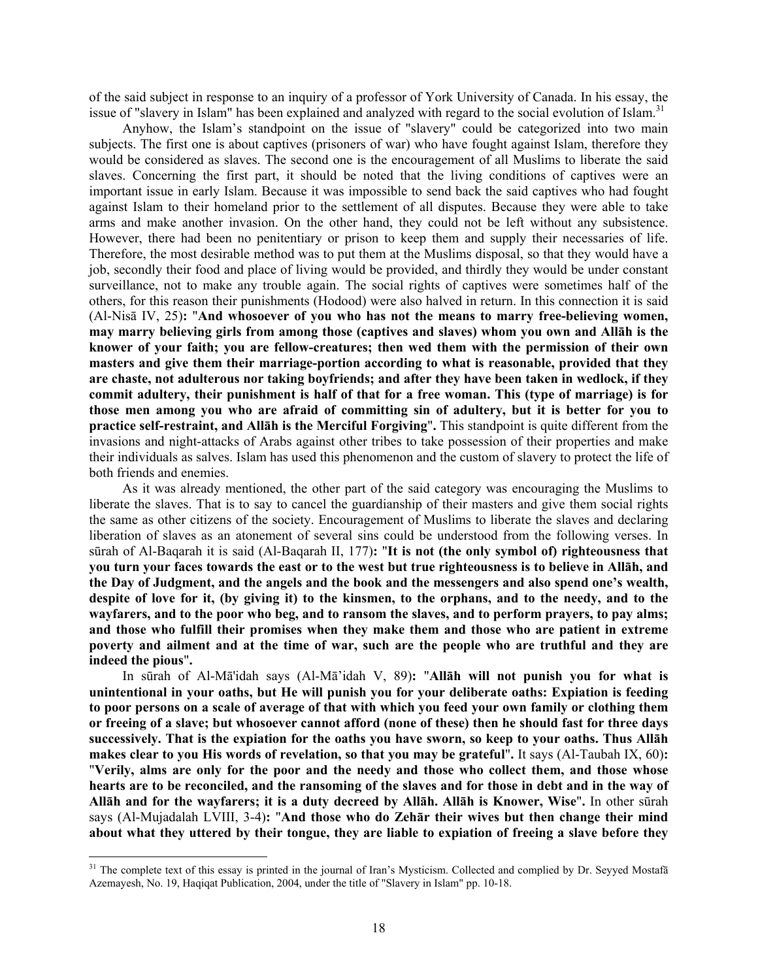of the said subject in response to an inquiry of a professor of York University of Canada. In his essay, the issue of "slavery in Islam" has been explained and analyzed with regard to the social evolution of Islam.<sup>31</sup>

Anyhow, the Islam's standpoint on the issue of "slavery" could be categorized into two main subjects. The first one is about captives (prisoners of war) who have fought against Islam, therefore they would be considered as slaves. The second one is the encouragement of all Muslims to liberate the said slaves. Concerning the first part, it should be noted that the living conditions of captives were an important issue in early Islam. Because it was impossible to send back the said captives who had fought against Islam to their homeland prior to the settlement of all disputes. Because they were able to take arms and make another invasion. On the other hand, they could not be left without any subsistence. However, there had been no penitentiary or prison to keep them and supply their necessaries of life. Therefore, the most desirable method was to put them at the Muslims disposal, so that they would have a job, secondly their food and place of living would be provided, and thirdly they would be under constant surveillance, not to make any trouble again. The social rights of captives were sometimes half of the others, for this reason their punishments (Hodood) were also halved in return. In this connection it is said (Al-Nisā IV, 25)**:** "**And whosoever of you who has not the means to marry free-believing women, may marry believing girls from among those (captives and slaves) whom you own and Allāh is the knower of your faith; you are fellow-creatures; then wed them with the permission of their own masters and give them their marriage-portion according to what is reasonable, provided that they are chaste, not adulterous nor taking boyfriends; and after they have been taken in wedlock, if they commit adultery, their punishment is half of that for a free woman. This (type of marriage) is for those men among you who are afraid of committing sin of adultery, but it is better for you to practice self-restraint, and Allāh is the Merciful Forgiving**"**.** This standpoint is quite different from the invasions and night-attacks of Arabs against other tribes to take possession of their properties and make their individuals as salves. Islam has used this phenomenon and the custom of slavery to protect the life of both friends and enemies.

As it was already mentioned, the other part of the said category was encouraging the Muslims to liberate the slaves. That is to say to cancel the guardianship of their masters and give them social rights the same as other citizens of the society. Encouragement of Muslims to liberate the slaves and declaring liberation of slaves as an atonement of several sins could be understood from the following verses. In sūrah of Al-Baqarah it is said (Al-Baqarah II, 177)**:** "**It is not (the only symbol of) righteousness that you turn your faces towards the east or to the west but true righteousness is to believe in Allāh, and the Day of Judgment, and the angels and the book and the messengers and also spend one's wealth, despite of love for it, (by giving it) to the kinsmen, to the orphans, and to the needy, and to the wayfarers, and to the poor who beg, and to ransom the slaves, and to perform prayers, to pay alms; and those who fulfill their promises when they make them and those who are patient in extreme poverty and ailment and at the time of war, such are the people who are truthful and they are indeed the pious**"**.** 

In sūrah of Al-Mā'idah says (Al-Mā'idah V, 89)**:** "**Allāh will not punish you for what is unintentional in your oaths, but He will punish you for your deliberate oaths: Expiation is feeding to poor persons on a scale of average of that with which you feed your own family or clothing them or freeing of a slave; but whosoever cannot afford (none of these) then he should fast for three days successively. That is the expiation for the oaths you have sworn, so keep to your oaths. Thus Allāh makes clear to you His words of revelation, so that you may be grateful**"**.** It says (Al-Taubah IX, 60)**:**  "**Verily, alms are only for the poor and the needy and those who collect them, and those whose hearts are to be reconciled, and the ransoming of the slaves and for those in debt and in the way of Allāh and for the wayfarers; it is a duty decreed by Allāh. Allāh is Knower, Wise**"**.** In other sūrah says (Al-Mujadalah LVIII, 3-4)**:** "**And those who do Zehār their wives but then change their mind about what they uttered by their tongue, they are liable to expiation of freeing a slave before they** 

<sup>&</sup>lt;sup>31</sup> The complete text of this essay is printed in the journal of Iran's Mysticism. Collected and complied by Dr. Seyyed Mostafā Azemayesh, No. 19, Haqiqat Publication, 2004, under the title of "Slavery in Islam" pp. 10-18.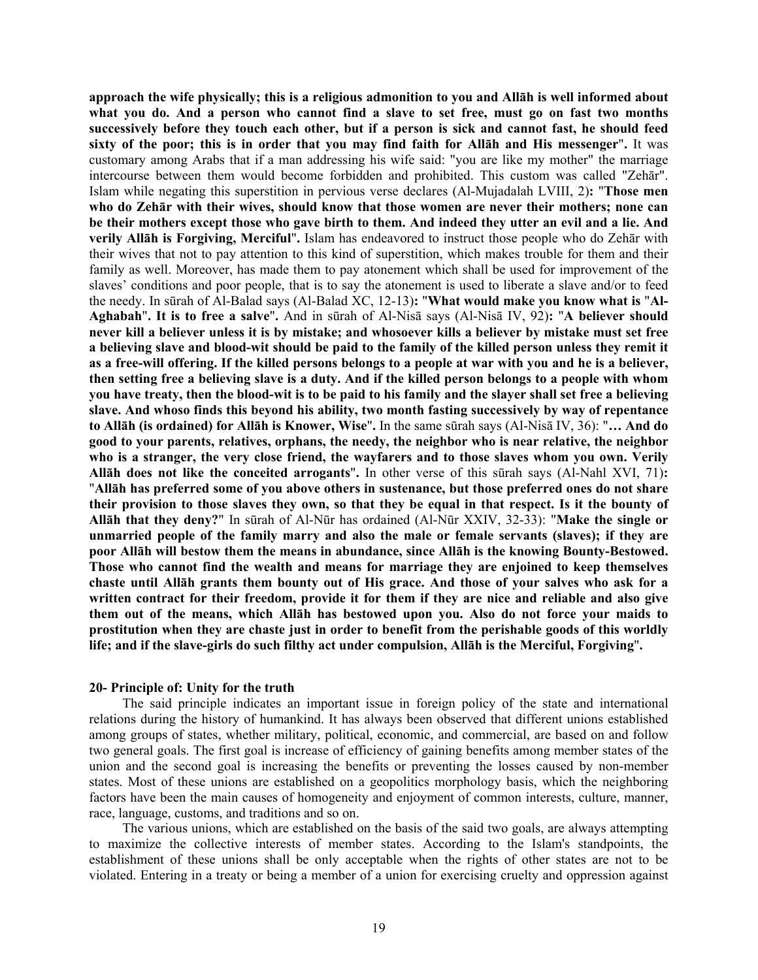**approach the wife physically; this is a religious admonition to you and Allāh is well informed about what you do. And a person who cannot find a slave to set free, must go on fast two months successively before they touch each other, but if a person is sick and cannot fast, he should feed sixty of the poor; this is in order that you may find faith for Allāh and His messenger**"**.** It was customary among Arabs that if a man addressing his wife said: "you are like my mother" the marriage intercourse between them would become forbidden and prohibited. This custom was called "Zehār". Islam while negating this superstition in pervious verse declares (Al-Mujadalah LVIII, 2)**:** "**Those men who do Zehār with their wives, should know that those women are never their mothers; none can be their mothers except those who gave birth to them. And indeed they utter an evil and a lie. And verily Allāh is Forgiving, Merciful**"**.** Islam has endeavored to instruct those people who do Zehār with their wives that not to pay attention to this kind of superstition, which makes trouble for them and their family as well. Moreover, has made them to pay atonement which shall be used for improvement of the slaves' conditions and poor people, that is to say the atonement is used to liberate a slave and/or to feed the needy. In sūrah of Al-Balad says (Al-Balad XC, 12-13)**:** "**What would make you know what is** "**Al-Aghabah**"**. It is to free a salve**"**.** And in sūrah of Al-Nisā says (Al-Nisā IV, 92)**:** "**A believer should never kill a believer unless it is by mistake; and whosoever kills a believer by mistake must set free a believing slave and blood-wit should be paid to the family of the killed person unless they remit it as a free-will offering. If the killed persons belongs to a people at war with you and he is a believer, then setting free a believing slave is a duty. And if the killed person belongs to a people with whom you have treaty, then the blood-wit is to be paid to his family and the slayer shall set free a believing slave. And whoso finds this beyond his ability, two month fasting successively by way of repentance to Allāh (is ordained) for Allāh is Knower, Wise**"**.** In the same sūrah says (Al-Nisā IV, 36): "**… And do good to your parents, relatives, orphans, the needy, the neighbor who is near relative, the neighbor who is a stranger, the very close friend, the wayfarers and to those slaves whom you own. Verily Allāh does not like the conceited arrogants**"**.** In other verse of this sūrah says (Al-Nahl XVI, 71)**:**  "**Allāh has preferred some of you above others in sustenance, but those preferred ones do not share their provision to those slaves they own, so that they be equal in that respect. Is it the bounty of Allāh that they deny?**" In sūrah of Al-Nūr has ordained (Al-Nūr XXIV, 32-33): "**Make the single or unmarried people of the family marry and also the male or female servants (slaves); if they are poor Allāh will bestow them the means in abundance, since Allāh is the knowing Bounty-Bestowed. Those who cannot find the wealth and means for marriage they are enjoined to keep themselves chaste until Allāh grants them bounty out of His grace. And those of your salves who ask for a written contract for their freedom, provide it for them if they are nice and reliable and also give them out of the means, which Allāh has bestowed upon you. Also do not force your maids to prostitution when they are chaste just in order to benefit from the perishable goods of this worldly life; and if the slave-girls do such filthy act under compulsion, Allāh is the Merciful, Forgiving**"**.** 

## **20- Principle of: Unity for the truth**

The said principle indicates an important issue in foreign policy of the state and international relations during the history of humankind. It has always been observed that different unions established among groups of states, whether military, political, economic, and commercial, are based on and follow two general goals. The first goal is increase of efficiency of gaining benefits among member states of the union and the second goal is increasing the benefits or preventing the losses caused by non-member states. Most of these unions are established on a geopolitics morphology basis, which the neighboring factors have been the main causes of homogeneity and enjoyment of common interests, culture, manner, race, language, customs, and traditions and so on.

The various unions, which are established on the basis of the said two goals, are always attempting to maximize the collective interests of member states. According to the Islam's standpoints, the establishment of these unions shall be only acceptable when the rights of other states are not to be violated. Entering in a treaty or being a member of a union for exercising cruelty and oppression against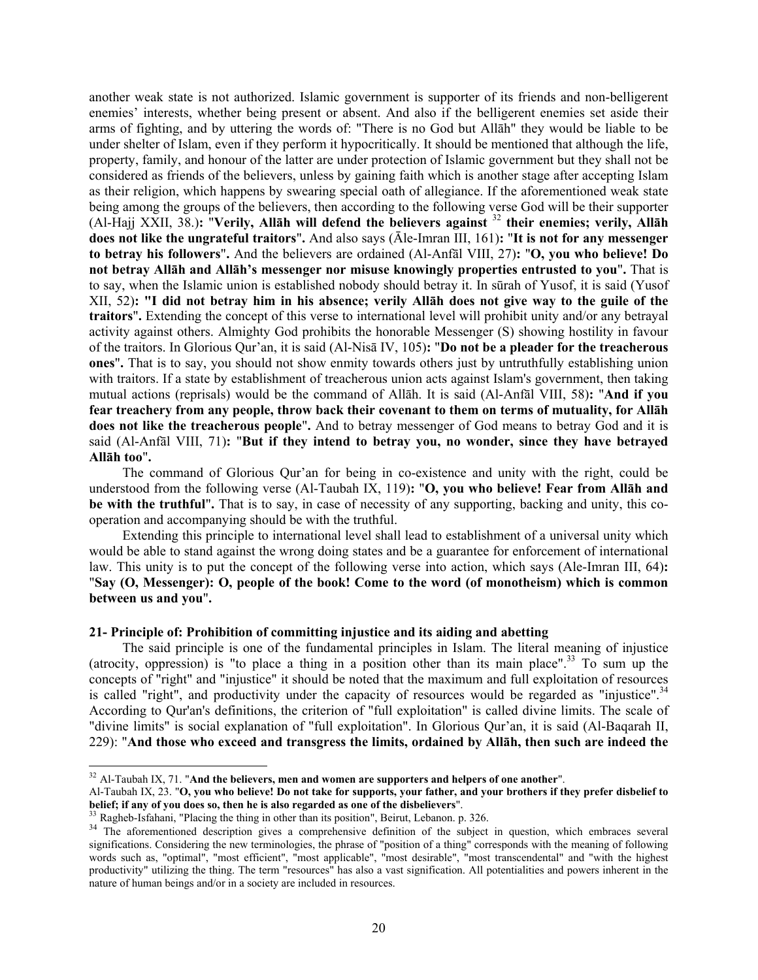another weak state is not authorized. Islamic government is supporter of its friends and non-belligerent enemies' interests, whether being present or absent. And also if the belligerent enemies set aside their arms of fighting, and by uttering the words of: "There is no God but Allāh" they would be liable to be under shelter of Islam, even if they perform it hypocritically. It should be mentioned that although the life, property, family, and honour of the latter are under protection of Islamic government but they shall not be considered as friends of the believers, unless by gaining faith which is another stage after accepting Islam as their religion, which happens by swearing special oath of allegiance. If the aforementioned weak state being among the groups of the believers, then according to the following verse God will be their supporter (Al-Hajj XXII, 38.)**:** "**Verily, Allāh will defend the believers against** <sup>32</sup> **their enemies; verily, Allāh does not like the ungrateful traitors**"**.** And also says (Āle-Imran III, 161)**:** "**It is not for any messenger to betray his followers**"**.** And the believers are ordained (Al-Anfāl VIII, 27)**:** "**O, you who believe! Do not betray Allāh and Allāh's messenger nor misuse knowingly properties entrusted to you**"**.** That is to say, when the Islamic union is established nobody should betray it. In sūrah of Yusof, it is said (Yusof XII, 52)**: "I did not betray him in his absence; verily Allāh does not give way to the guile of the traitors**"**.** Extending the concept of this verse to international level will prohibit unity and/or any betrayal activity against others. Almighty God prohibits the honorable Messenger (S) showing hostility in favour of the traitors. In Glorious Qur'an, it is said (Al-Nisā IV, 105)**:** "**Do not be a pleader for the treacherous ones**"**.** That is to say, you should not show enmity towards others just by untruthfully establishing union with traitors. If a state by establishment of treacherous union acts against Islam's government, then taking mutual actions (reprisals) would be the command of Allāh. It is said (Al-Anfāl VIII, 58)**:** "**And if you fear treachery from any people, throw back their covenant to them on terms of mutuality, for Allāh does not like the treacherous people**"**.** And to betray messenger of God means to betray God and it is said (Al-Anfāl VIII, 71)**:** "**But if they intend to betray you, no wonder, since they have betrayed Allāh too**"**.** 

The command of Glorious Qur'an for being in co-existence and unity with the right, could be understood from the following verse (Al-Taubah IX, 119)**:** "**O, you who believe! Fear from Allāh and be with the truthful**"**.** That is to say, in case of necessity of any supporting, backing and unity, this cooperation and accompanying should be with the truthful.

Extending this principle to international level shall lead to establishment of a universal unity which would be able to stand against the wrong doing states and be a guarantee for enforcement of international law. This unity is to put the concept of the following verse into action, which says (Ale-Imran III, 64)**:**  "**Say (O, Messenger): O, people of the book! Come to the word (of monotheism) which is common between us and you**"**.** 

# **21- Principle of: Prohibition of committing injustice and its aiding and abetting**

The said principle is one of the fundamental principles in Islam. The literal meaning of injustice (atrocity, oppression) is "to place a thing in a position other than its main place".<sup>33</sup> To sum up the concepts of "right" and "injustice" it should be noted that the maximum and full exploitation of resources is called "right", and productivity under the capacity of resources would be regarded as "injustice".<sup>34</sup> According to Qur'an's definitions, the criterion of "full exploitation" is called divine limits. The scale of "divine limits" is social explanation of "full exploitation". In Glorious Qur'an, it is said (Al-Baqarah II, 229): "**And those who exceed and transgress the limits, ordained by Allāh, then such are indeed the** 

 $32$  Al-Taubah IX, 71. "And the believers, men and women are supporters and helpers of one another".

Al-Taubah IX, 23. "**O, you who believe! Do not take for supports, your father, and your brothers if they prefer disbelief to** 

 $33$  Ragheb-Isfahani, "Placing the thing in other than its position", Beirut, Lebanon. p. 326.<br><sup>34</sup> The aforementioned description gives a comprehensive definition of the subject in question, which embraces several significations. Considering the new terminologies, the phrase of "position of a thing" corresponds with the meaning of following words such as, "optimal", "most efficient", "most applicable", "most desirable", "most transcendental" and "with the highest productivity" utilizing the thing. The term "resources" has also a vast signification. All potentialities and powers inherent in the nature of human beings and/or in a society are included in resources.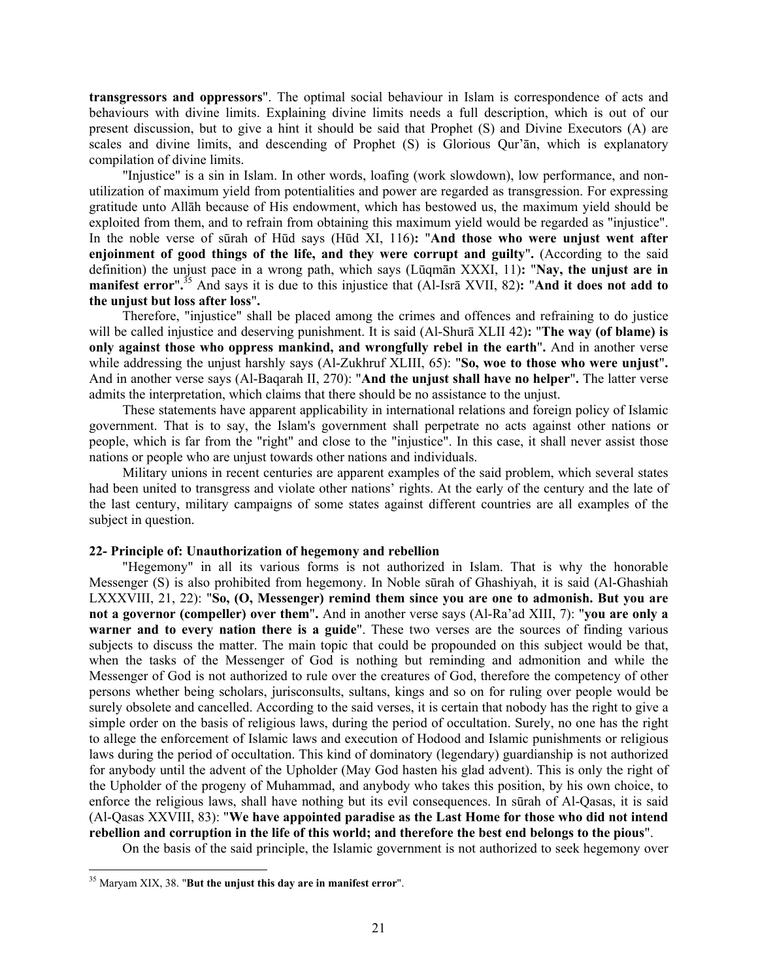**transgressors and oppressors**". The optimal social behaviour in Islam is correspondence of acts and behaviours with divine limits. Explaining divine limits needs a full description, which is out of our present discussion, but to give a hint it should be said that Prophet (S) and Divine Executors (A) are scales and divine limits, and descending of Prophet (S) is Glorious Qur'ān, which is explanatory compilation of divine limits.

"Injustice" is a sin in Islam. In other words, loafing (work slowdown), low performance, and nonutilization of maximum yield from potentialities and power are regarded as transgression. For expressing gratitude unto Allāh because of His endowment, which has bestowed us, the maximum yield should be exploited from them, and to refrain from obtaining this maximum yield would be regarded as "injustice". In the noble verse of sūrah of Hūd says (Hūd XI, 116)**:** "**And those who were unjust went after enjoinment of good things of the life, and they were corrupt and guilty**"**.** (According to the said definition) the unjust pace in a wrong path, which says (Lūqmān XXXI, 11)**:** "**Nay, the unjust are in manifest error**"**.** 35 And says it is due to this injustice that (Al-Isrā XVII, 82)**:** "**And it does not add to the unjust but loss after loss**"**.** 

Therefore, "injustice" shall be placed among the crimes and offences and refraining to do justice will be called injustice and deserving punishment. It is said (Al-Shurā XLII 42)**:** "**The way (of blame) is only against those who oppress mankind, and wrongfully rebel in the earth**"**.** And in another verse while addressing the unjust harshly says (Al-Zukhruf XLIII, 65): "**So, woe to those who were unjust**"**.** And in another verse says (Al-Baqarah II, 270): "**And the unjust shall have no helper**"**.** The latter verse admits the interpretation, which claims that there should be no assistance to the unjust.

These statements have apparent applicability in international relations and foreign policy of Islamic government. That is to say, the Islam's government shall perpetrate no acts against other nations or people, which is far from the "right" and close to the "injustice". In this case, it shall never assist those nations or people who are unjust towards other nations and individuals.

Military unions in recent centuries are apparent examples of the said problem, which several states had been united to transgress and violate other nations' rights. At the early of the century and the late of the last century, military campaigns of some states against different countries are all examples of the subject in question.

# **22- Principle of: Unauthorization of hegemony and rebellion**

"Hegemony" in all its various forms is not authorized in Islam. That is why the honorable Messenger (S) is also prohibited from hegemony. In Noble sūrah of Ghashiyah, it is said (Al-Ghashiah LXXXVIII, 21, 22): "**So, (O, Messenger) remind them since you are one to admonish. But you are not a governor (compeller) over them**"**.** And in another verse says (Al-Ra'ad XIII, 7): "**you are only a warner and to every nation there is a guide**". These two verses are the sources of finding various subjects to discuss the matter. The main topic that could be propounded on this subject would be that, when the tasks of the Messenger of God is nothing but reminding and admonition and while the Messenger of God is not authorized to rule over the creatures of God, therefore the competency of other persons whether being scholars, jurisconsults, sultans, kings and so on for ruling over people would be surely obsolete and cancelled. According to the said verses, it is certain that nobody has the right to give a simple order on the basis of religious laws, during the period of occultation. Surely, no one has the right to allege the enforcement of Islamic laws and execution of Hodood and Islamic punishments or religious laws during the period of occultation. This kind of dominatory (legendary) guardianship is not authorized for anybody until the advent of the Upholder (May God hasten his glad advent). This is only the right of the Upholder of the progeny of Muhammad, and anybody who takes this position, by his own choice, to enforce the religious laws, shall have nothing but its evil consequences. In sūrah of Al-Qasas, it is said (Al-Qasas XXVIII, 83): "**We have appointed paradise as the Last Home for those who did not intend rebellion and corruption in the life of this world; and therefore the best end belongs to the pious**".

On the basis of the said principle, the Islamic government is not authorized to seek hegemony over

<sup>35</sup> Maryam XIX, 38. "**But the unjust this day are in manifest error**".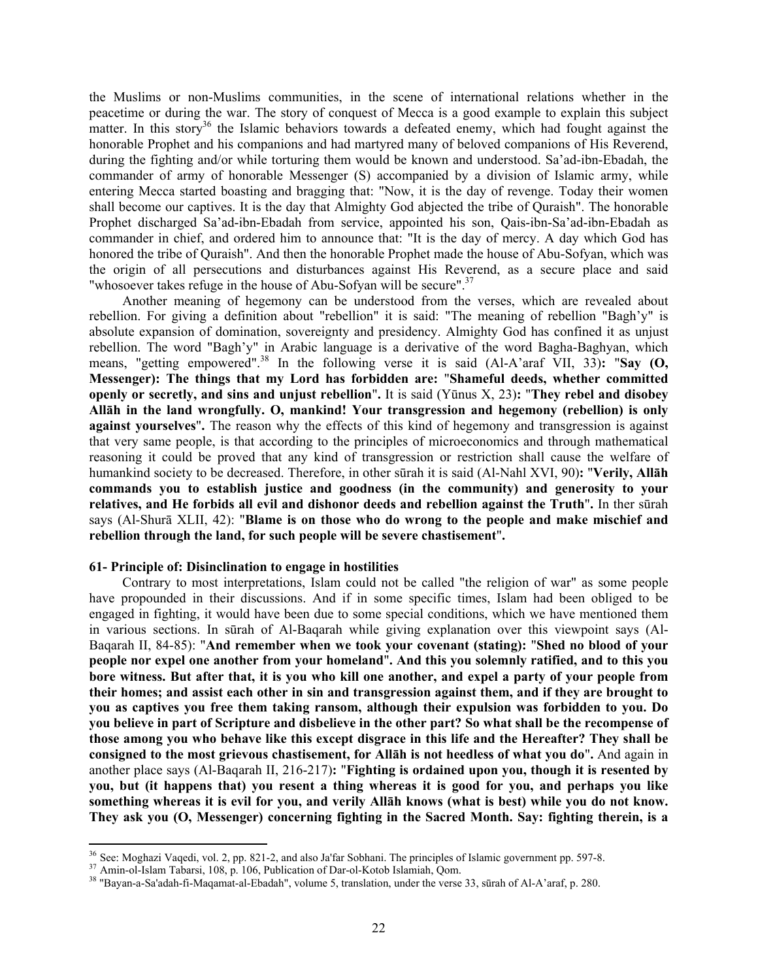the Muslims or non-Muslims communities, in the scene of international relations whether in the peacetime or during the war. The story of conquest of Mecca is a good example to explain this subject matter. In this story<sup>36</sup> the Islamic behaviors towards a defeated enemy, which had fought against the honorable Prophet and his companions and had martyred many of beloved companions of His Reverend, during the fighting and/or while torturing them would be known and understood. Sa'ad-ibn-Ebadah, the commander of army of honorable Messenger (S) accompanied by a division of Islamic army, while entering Mecca started boasting and bragging that: "Now, it is the day of revenge. Today their women shall become our captives. It is the day that Almighty God abjected the tribe of Quraish". The honorable Prophet discharged Sa'ad-ibn-Ebadah from service, appointed his son, Qais-ibn-Sa'ad-ibn-Ebadah as commander in chief, and ordered him to announce that: "It is the day of mercy. A day which God has honored the tribe of Quraish". And then the honorable Prophet made the house of Abu-Sofyan, which was the origin of all persecutions and disturbances against His Reverend, as a secure place and said "whosoever takes refuge in the house of Abu-Sofyan will be secure".<sup>37</sup>

Another meaning of hegemony can be understood from the verses, which are revealed about rebellion. For giving a definition about "rebellion" it is said: "The meaning of rebellion "Bagh'y" is absolute expansion of domination, sovereignty and presidency. Almighty God has confined it as unjust rebellion. The word "Bagh'y" in Arabic language is a derivative of the word Bagha-Baghyan, which means, "getting empowered".<sup>38</sup> In the following verse it is said (Al-A'araf VII, 33): "Say (O, **Messenger): The things that my Lord has forbidden are:** "**Shameful deeds, whether committed openly or secretly, and sins and unjust rebellion**"**.** It is said (Yūnus X, 23)**:** "**They rebel and disobey Allāh in the land wrongfully. O, mankind! Your transgression and hegemony (rebellion) is only against yourselves**"**.** The reason why the effects of this kind of hegemony and transgression is against that very same people, is that according to the principles of microeconomics and through mathematical reasoning it could be proved that any kind of transgression or restriction shall cause the welfare of humankind society to be decreased. Therefore, in other sūrah it is said (Al-Nahl XVI, 90)**:** "**Verily, Allāh commands you to establish justice and goodness (in the community) and generosity to your relatives, and He forbids all evil and dishonor deeds and rebellion against the Truth**"**.** In ther sūrah says (Al-Shurā XLII, 42): "**Blame is on those who do wrong to the people and make mischief and rebellion through the land, for such people will be severe chastisement**"**.**

## **61- Principle of: Disinclination to engage in hostilities**

Contrary to most interpretations, Islam could not be called "the religion of war" as some people have propounded in their discussions. And if in some specific times, Islam had been obliged to be engaged in fighting, it would have been due to some special conditions, which we have mentioned them in various sections. In sūrah of Al-Baqarah while giving explanation over this viewpoint says (Al-Baqarah II, 84-85): "**And remember when we took your covenant (stating):** "**Shed no blood of your people nor expel one another from your homeland**"**. And this you solemnly ratified, and to this you bore witness. But after that, it is you who kill one another, and expel a party of your people from their homes; and assist each other in sin and transgression against them, and if they are brought to you as captives you free them taking ransom, although their expulsion was forbidden to you. Do you believe in part of Scripture and disbelieve in the other part? So what shall be the recompense of those among you who behave like this except disgrace in this life and the Hereafter? They shall be consigned to the most grievous chastisement, for Allāh is not heedless of what you do**"**.** And again in another place says (Al-Baqarah II, 216-217)**:** "**Fighting is ordained upon you, though it is resented by you, but (it happens that) you resent a thing whereas it is good for you, and perhaps you like something whereas it is evil for you, and verily Allāh knows (what is best) while you do not know. They ask you (O, Messenger) concerning fighting in the Sacred Month. Say: fighting therein, is a** 

<sup>&</sup>lt;sup>36</sup> See: Moghazi Vaqedi, vol. 2, pp. 821-2, and also Ja'far Sobhani. The principles of Islamic government pp. 597-8.<br><sup>37</sup> Amin-ol-Islam Tabarsi, 108, p. 106, Publication of Dar-ol-Kotob Islamiah, Qom.<br><sup>38</sup> "Bayan-a-Sa'ad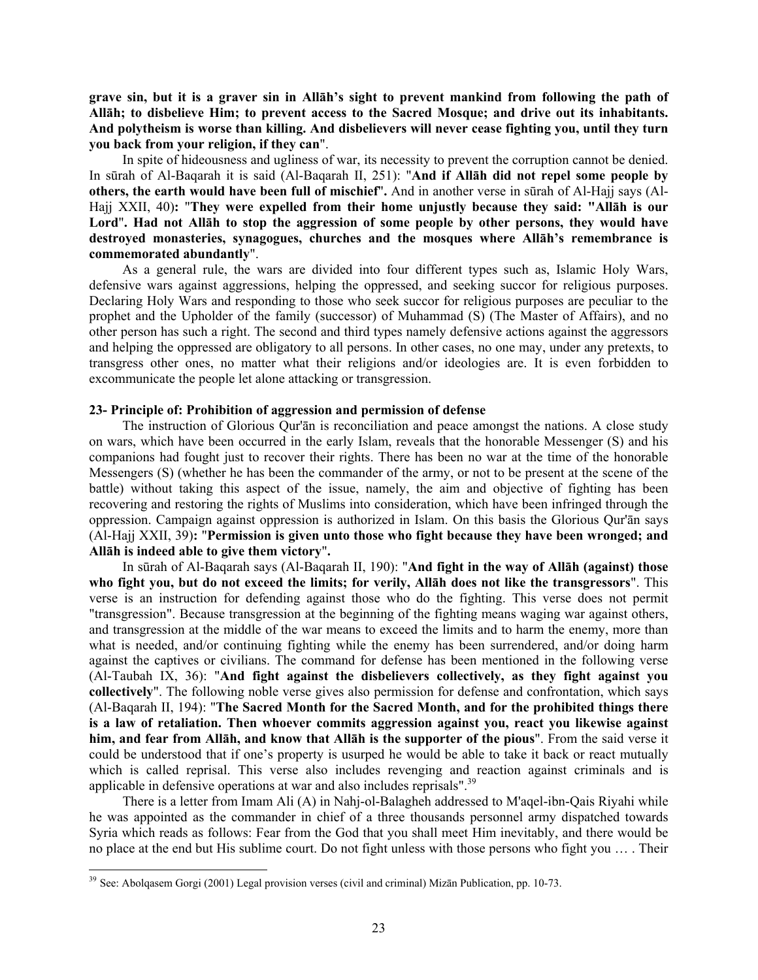**grave sin, but it is a graver sin in Allāh's sight to prevent mankind from following the path of Allāh; to disbelieve Him; to prevent access to the Sacred Mosque; and drive out its inhabitants. And polytheism is worse than killing. And disbelievers will never cease fighting you, until they turn you back from your religion, if they can**".

In spite of hideousness and ugliness of war, its necessity to prevent the corruption cannot be denied. In sūrah of Al-Baqarah it is said (Al-Baqarah II, 251): "**And if Allāh did not repel some people by others, the earth would have been full of mischief**"**.** And in another verse in sūrah of Al-Hajj says (Al-Hajj XXII, 40)**:** "**They were expelled from their home unjustly because they said: "Allāh is our Lord**"**. Had not Allāh to stop the aggression of some people by other persons, they would have destroyed monasteries, synagogues, churches and the mosques where Allāh's remembrance is commemorated abundantly**".

As a general rule, the wars are divided into four different types such as, Islamic Holy Wars, defensive wars against aggressions, helping the oppressed, and seeking succor for religious purposes. Declaring Holy Wars and responding to those who seek succor for religious purposes are peculiar to the prophet and the Upholder of the family (successor) of Muhammad (S) (The Master of Affairs), and no other person has such a right. The second and third types namely defensive actions against the aggressors and helping the oppressed are obligatory to all persons. In other cases, no one may, under any pretexts, to transgress other ones, no matter what their religions and/or ideologies are. It is even forbidden to excommunicate the people let alone attacking or transgression.

## **23- Principle of: Prohibition of aggression and permission of defense**

The instruction of Glorious Qur'ān is reconciliation and peace amongst the nations. A close study on wars, which have been occurred in the early Islam, reveals that the honorable Messenger (S) and his companions had fought just to recover their rights. There has been no war at the time of the honorable Messengers (S) (whether he has been the commander of the army, or not to be present at the scene of the battle) without taking this aspect of the issue, namely, the aim and objective of fighting has been recovering and restoring the rights of Muslims into consideration, which have been infringed through the oppression. Campaign against oppression is authorized in Islam. On this basis the Glorious Qur'ān says (Al-Hajj XXII, 39)**:** "**Permission is given unto those who fight because they have been wronged; and Allāh is indeed able to give them victory**"**.** 

In sūrah of Al-Baqarah says (Al-Baqarah II, 190): "**And fight in the way of Allāh (against) those who fight you, but do not exceed the limits; for verily, Allāh does not like the transgressors**". This verse is an instruction for defending against those who do the fighting. This verse does not permit "transgression". Because transgression at the beginning of the fighting means waging war against others, and transgression at the middle of the war means to exceed the limits and to harm the enemy, more than what is needed, and/or continuing fighting while the enemy has been surrendered, and/or doing harm against the captives or civilians. The command for defense has been mentioned in the following verse (Al-Taubah IX, 36): "**And fight against the disbelievers collectively, as they fight against you collectively**". The following noble verse gives also permission for defense and confrontation, which says (Al-Baqarah II, 194): "**The Sacred Month for the Sacred Month, and for the prohibited things there is a law of retaliation. Then whoever commits aggression against you, react you likewise against him, and fear from Allāh, and know that Allāh is the supporter of the pious**". From the said verse it could be understood that if one's property is usurped he would be able to take it back or react mutually which is called reprisal. This verse also includes revenging and reaction against criminals and is applicable in defensive operations at war and also includes reprisals".39

There is a letter from Imam Ali (A) in Nahj-ol-Balagheh addressed to M'aqel-ibn-Qais Riyahi while he was appointed as the commander in chief of a three thousands personnel army dispatched towards Syria which reads as follows: Fear from the God that you shall meet Him inevitably, and there would be no place at the end but His sublime court. Do not fight unless with those persons who fight you … . Their

<sup>&</sup>lt;sup>39</sup> See: Abolqasem Gorgi (2001) Legal provision verses (civil and criminal) Mizān Publication, pp. 10-73.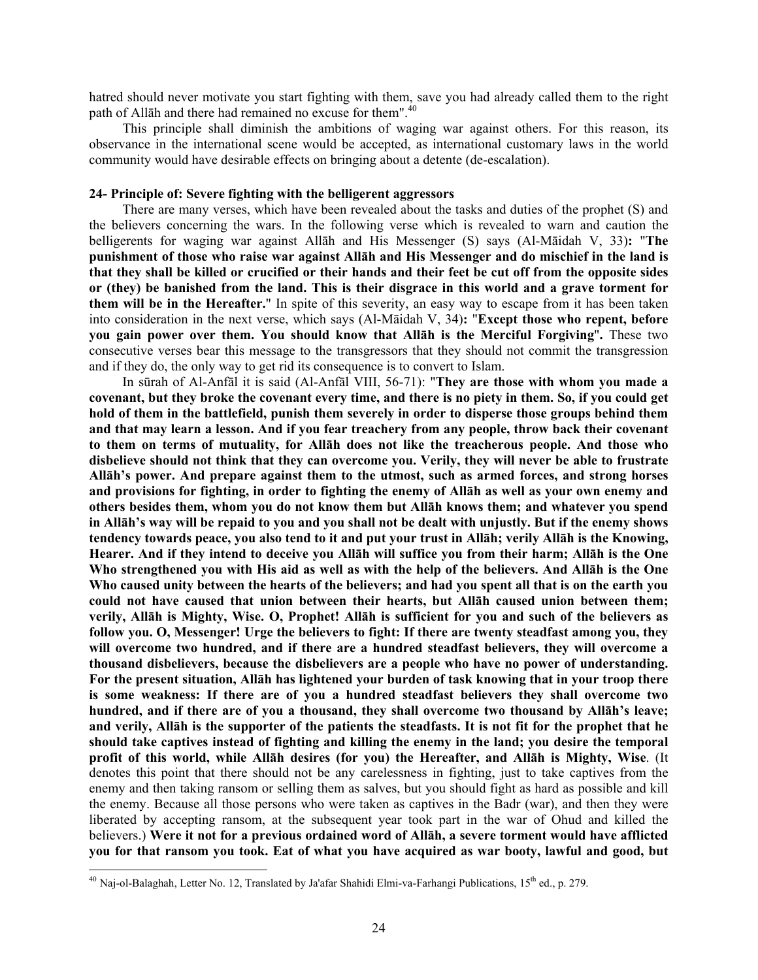hatred should never motivate you start fighting with them, save you had already called them to the right path of Allāh and there had remained no excuse for them".<sup>40</sup>

This principle shall diminish the ambitions of waging war against others. For this reason, its observance in the international scene would be accepted, as international customary laws in the world community would have desirable effects on bringing about a detente (de-escalation).

## **24- Principle of: Severe fighting with the belligerent aggressors**

There are many verses, which have been revealed about the tasks and duties of the prophet (S) and the believers concerning the wars. In the following verse which is revealed to warn and caution the belligerents for waging war against Allāh and His Messenger (S) says (Al-Māidah V, 33)**:** "**The punishment of those who raise war against Allāh and His Messenger and do mischief in the land is that they shall be killed or crucified or their hands and their feet be cut off from the opposite sides or (they) be banished from the land. This is their disgrace in this world and a grave torment for them will be in the Hereafter.**" In spite of this severity, an easy way to escape from it has been taken into consideration in the next verse, which says (Al-Māidah V, 34)**:** "**Except those who repent, before you gain power over them. You should know that Allāh is the Merciful Forgiving**"**.** These two consecutive verses bear this message to the transgressors that they should not commit the transgression and if they do, the only way to get rid its consequence is to convert to Islam.

In sūrah of Al-Anfāl it is said (Al-Anfāl VIII, 56-71): "**They are those with whom you made a covenant, but they broke the covenant every time, and there is no piety in them. So, if you could get hold of them in the battlefield, punish them severely in order to disperse those groups behind them and that may learn a lesson. And if you fear treachery from any people, throw back their covenant to them on terms of mutuality, for Allāh does not like the treacherous people. And those who disbelieve should not think that they can overcome you. Verily, they will never be able to frustrate Allāh's power. And prepare against them to the utmost, such as armed forces, and strong horses and provisions for fighting, in order to fighting the enemy of Allāh as well as your own enemy and others besides them, whom you do not know them but Allāh knows them; and whatever you spend in Allāh's way will be repaid to you and you shall not be dealt with unjustly. But if the enemy shows tendency towards peace, you also tend to it and put your trust in Allāh; verily Allāh is the Knowing, Hearer. And if they intend to deceive you Allāh will suffice you from their harm; Allāh is the One Who strengthened you with His aid as well as with the help of the believers. And Allāh is the One Who caused unity between the hearts of the believers; and had you spent all that is on the earth you could not have caused that union between their hearts, but Allāh caused union between them; verily, Allāh is Mighty, Wise. O, Prophet! Allāh is sufficient for you and such of the believers as follow you. O, Messenger! Urge the believers to fight: If there are twenty steadfast among you, they will overcome two hundred, and if there are a hundred steadfast believers, they will overcome a thousand disbelievers, because the disbelievers are a people who have no power of understanding. For the present situation, Allāh has lightened your burden of task knowing that in your troop there is some weakness: If there are of you a hundred steadfast believers they shall overcome two hundred, and if there are of you a thousand, they shall overcome two thousand by Allāh's leave; and verily, Allāh is the supporter of the patients the steadfasts. It is not fit for the prophet that he should take captives instead of fighting and killing the enemy in the land; you desire the temporal profit of this world, while Allāh desires (for you) the Hereafter, and Allāh is Mighty, Wise**. (It denotes this point that there should not be any carelessness in fighting, just to take captives from the enemy and then taking ransom or selling them as salves, but you should fight as hard as possible and kill the enemy. Because all those persons who were taken as captives in the Badr (war), and then they were liberated by accepting ransom, at the subsequent year took part in the war of Ohud and killed the believers.) **Were it not for a previous ordained word of Allāh, a severe torment would have afflicted you for that ransom you took. Eat of what you have acquired as war booty, lawful and good, but** 

<sup>&</sup>lt;sup>40</sup> Naj-ol-Balaghah, Letter No. 12, Translated by Ja'afar Shahidi Elmi-va-Farhangi Publications, 15<sup>th</sup> ed., p. 279.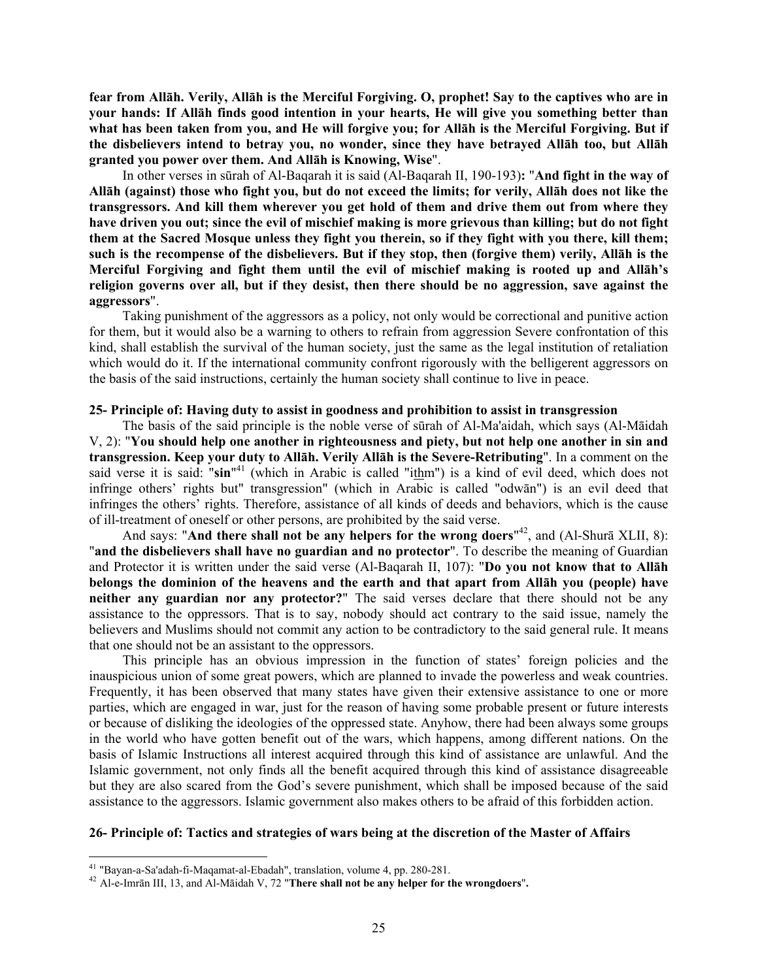**fear from Allāh. Verily, Allāh is the Merciful Forgiving. O, prophet! Say to the captives who are in your hands: If Allāh finds good intention in your hearts, He will give you something better than what has been taken from you, and He will forgive you; for Allāh is the Merciful Forgiving. But if the disbelievers intend to betray you, no wonder, since they have betrayed Allāh too, but Allāh granted you power over them. And Allāh is Knowing, Wise**".

In other verses in sūrah of Al-Baqarah it is said (Al-Baqarah II, 190-193)**:** "**And fight in the way of Allāh (against) those who fight you, but do not exceed the limits; for verily, Allāh does not like the transgressors. And kill them wherever you get hold of them and drive them out from where they have driven you out; since the evil of mischief making is more grievous than killing; but do not fight them at the Sacred Mosque unless they fight you therein, so if they fight with you there, kill them; such is the recompense of the disbelievers. But if they stop, then (forgive them) verily, Allāh is the Merciful Forgiving and fight them until the evil of mischief making is rooted up and Allāh's religion governs over all, but if they desist, then there should be no aggression, save against the aggressors**".

Taking punishment of the aggressors as a policy, not only would be correctional and punitive action for them, but it would also be a warning to others to refrain from aggression Severe confrontation of this kind, shall establish the survival of the human society, just the same as the legal institution of retaliation which would do it. If the international community confront rigorously with the belligerent aggressors on the basis of the said instructions, certainly the human society shall continue to live in peace.

## **25- Principle of: Having duty to assist in goodness and prohibition to assist in transgression**

The basis of the said principle is the noble verse of sūrah of Al-Ma'aidah, which says (Al-Māidah V, 2): "**You should help one another in righteousness and piety, but not help one another in sin and transgression. Keep your duty to Allāh. Verily Allāh is the Severe-Retributing**". In a comment on the said verse it is said: "**sin**" 41 (which in Arabic is called "ithm") is a kind of evil deed, which does not infringe others' rights but" transgression" (which in Arabic is called "odwān") is an evil deed that infringes the others' rights. Therefore, assistance of all kinds of deeds and behaviors, which is the cause of ill-treatment of oneself or other persons, are prohibited by the said verse.

And says: "And there shall not be any helpers for the wrong doers"<sup>42</sup>, and (Al-Shurā XLII, 8): "**and the disbelievers shall have no guardian and no protector**". To describe the meaning of Guardian and Protector it is written under the said verse (Al-Baqarah II, 107): "**Do you not know that to Allāh belongs the dominion of the heavens and the earth and that apart from Allāh you (people) have neither any guardian nor any protector?**" The said verses declare that there should not be any assistance to the oppressors. That is to say, nobody should act contrary to the said issue, namely the believers and Muslims should not commit any action to be contradictory to the said general rule. It means that one should not be an assistant to the oppressors.

This principle has an obvious impression in the function of states' foreign policies and the inauspicious union of some great powers, which are planned to invade the powerless and weak countries. Frequently, it has been observed that many states have given their extensive assistance to one or more parties, which are engaged in war, just for the reason of having some probable present or future interests or because of disliking the ideologies of the oppressed state. Anyhow, there had been always some groups in the world who have gotten benefit out of the wars, which happens, among different nations. On the basis of Islamic Instructions all interest acquired through this kind of assistance are unlawful. And the Islamic government, not only finds all the benefit acquired through this kind of assistance disagreeable but they are also scared from the God's severe punishment, which shall be imposed because of the said assistance to the aggressors. Islamic government also makes others to be afraid of this forbidden action.

## **26- Principle of: Tactics and strategies of wars being at the discretion of the Master of Affairs**

<sup>&</sup>lt;sup>41</sup> "Bayan-a-Sa'adah-fi-Magamat-al-Ebadah", translation, volume 4, pp. 280-281.

<sup>&</sup>lt;sup>42</sup> Al-e-Imrān III, 13, and Al-Māidah V, 72 "There shall not be any helper for the wrongdoers".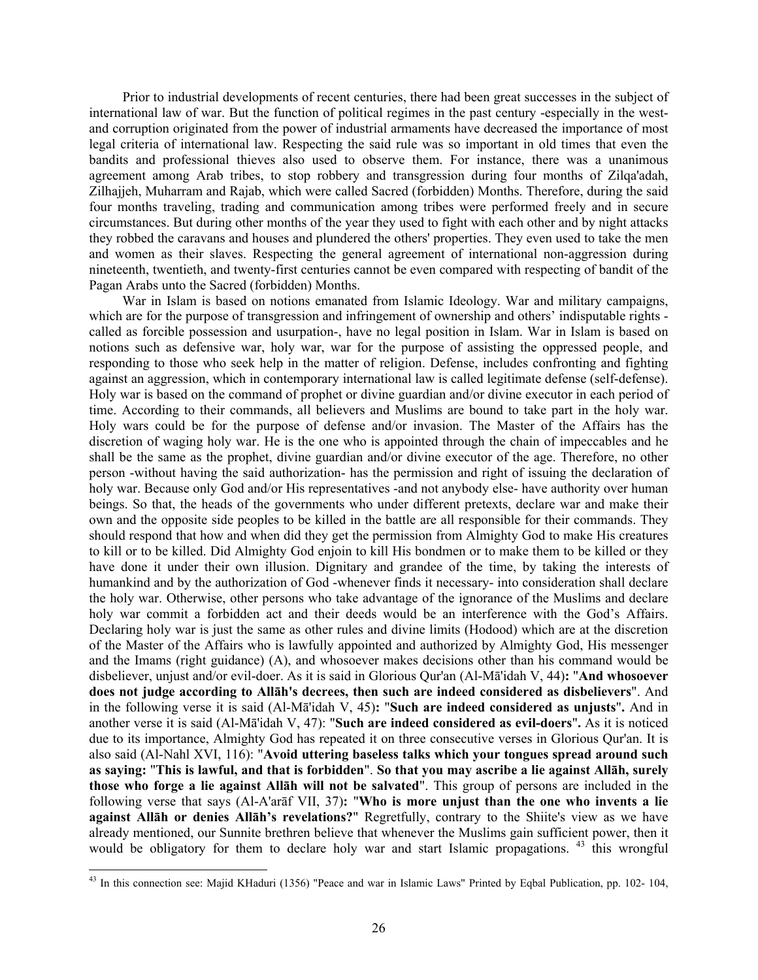Prior to industrial developments of recent centuries, there had been great successes in the subject of international law of war. But the function of political regimes in the past century -especially in the westand corruption originated from the power of industrial armaments have decreased the importance of most legal criteria of international law. Respecting the said rule was so important in old times that even the bandits and professional thieves also used to observe them. For instance, there was a unanimous agreement among Arab tribes, to stop robbery and transgression during four months of Zilqa'adah, Zilhajjeh, Muharram and Rajab, which were called Sacred (forbidden) Months. Therefore, during the said four months traveling, trading and communication among tribes were performed freely and in secure circumstances. But during other months of the year they used to fight with each other and by night attacks they robbed the caravans and houses and plundered the others' properties. They even used to take the men and women as their slaves. Respecting the general agreement of international non-aggression during nineteenth, twentieth, and twenty-first centuries cannot be even compared with respecting of bandit of the Pagan Arabs unto the Sacred (forbidden) Months.

War in Islam is based on notions emanated from Islamic Ideology. War and military campaigns, which are for the purpose of transgression and infringement of ownership and others' indisputable rights called as forcible possession and usurpation-, have no legal position in Islam. War in Islam is based on notions such as defensive war, holy war, war for the purpose of assisting the oppressed people, and responding to those who seek help in the matter of religion. Defense, includes confronting and fighting against an aggression, which in contemporary international law is called legitimate defense (self-defense). Holy war is based on the command of prophet or divine guardian and/or divine executor in each period of time. According to their commands, all believers and Muslims are bound to take part in the holy war. Holy wars could be for the purpose of defense and/or invasion. The Master of the Affairs has the discretion of waging holy war. He is the one who is appointed through the chain of impeccables and he shall be the same as the prophet, divine guardian and/or divine executor of the age. Therefore, no other person -without having the said authorization- has the permission and right of issuing the declaration of holy war. Because only God and/or His representatives -and not anybody else- have authority over human beings. So that, the heads of the governments who under different pretexts, declare war and make their own and the opposite side peoples to be killed in the battle are all responsible for their commands. They should respond that how and when did they get the permission from Almighty God to make His creatures to kill or to be killed. Did Almighty God enjoin to kill His bondmen or to make them to be killed or they have done it under their own illusion. Dignitary and grandee of the time, by taking the interests of humankind and by the authorization of God -whenever finds it necessary- into consideration shall declare the holy war. Otherwise, other persons who take advantage of the ignorance of the Muslims and declare holy war commit a forbidden act and their deeds would be an interference with the God's Affairs. Declaring holy war is just the same as other rules and divine limits (Hodood) which are at the discretion of the Master of the Affairs who is lawfully appointed and authorized by Almighty God, His messenger and the Imams (right guidance) (A), and whosoever makes decisions other than his command would be disbeliever, unjust and/or evil-doer. As it is said in Glorious Qur'an (Al-Mā'idah V, 44)**:** "**And whosoever does not judge according to Allāh's decrees, then such are indeed considered as disbelievers**". And in the following verse it is said (Al-Mā'idah V, 45)**:** "**Such are indeed considered as unjusts**"**.** And in another verse it is said (Al-Mā'idah V, 47): "**Such are indeed considered as evil-doers**"**.** As it is noticed due to its importance, Almighty God has repeated it on three consecutive verses in Glorious Qur'an. It is also said (Al-Nahl XVI, 116): "**Avoid uttering baseless talks which your tongues spread around such as saying:** "**This is lawful, and that is forbidden**". **So that you may ascribe a lie against Allāh, surely those who forge a lie against Allāh will not be salvated**". This group of persons are included in the following verse that says (Al-A'arāf VII, 37)**:** "**Who is more unjust than the one who invents a lie against Allāh or denies Allāh's revelations?**" Regretfully, contrary to the Shiite's view as we have already mentioned, our Sunnite brethren believe that whenever the Muslims gain sufficient power, then it would be obligatory for them to declare holy war and start Islamic propagations. <sup>43</sup> this wrongful

 $43$  In this connection see: Majid KHaduri (1356) "Peace and war in Islamic Laws" Printed by Eqbal Publication, pp. 102-104,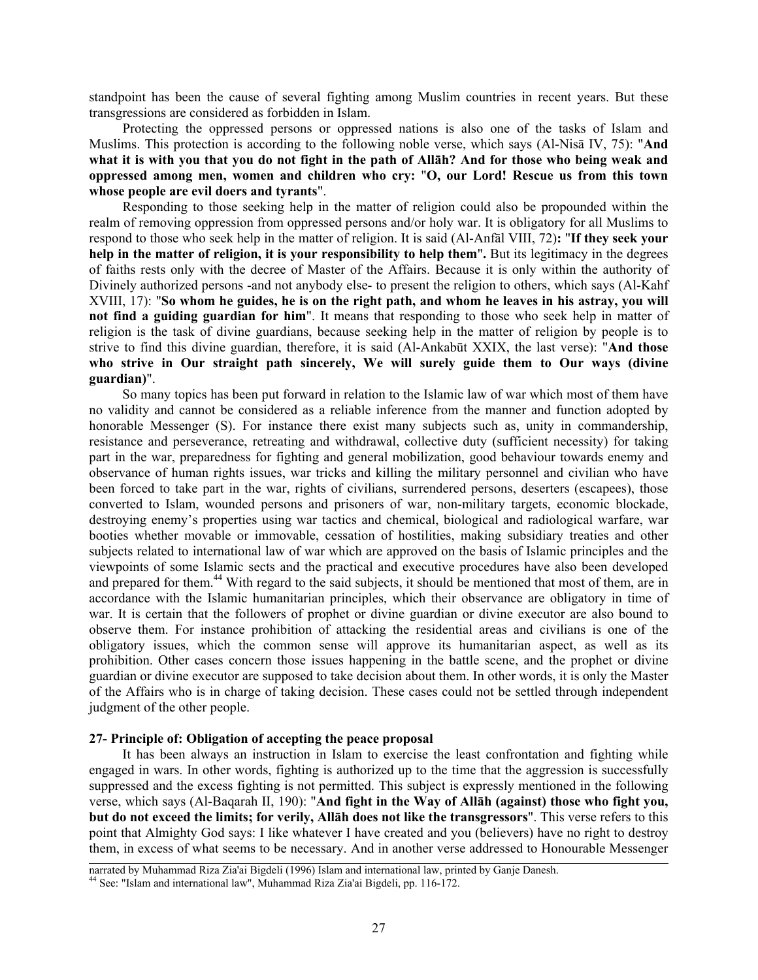standpoint has been the cause of several fighting among Muslim countries in recent years. But these transgressions are considered as forbidden in Islam.

Protecting the oppressed persons or oppressed nations is also one of the tasks of Islam and Muslims. This protection is according to the following noble verse, which says (Al-Nisā IV, 75): "**And what it is with you that you do not fight in the path of Allāh? And for those who being weak and oppressed among men, women and children who cry:** "**O, our Lord! Rescue us from this town whose people are evil doers and tyrants**".

Responding to those seeking help in the matter of religion could also be propounded within the realm of removing oppression from oppressed persons and/or holy war. It is obligatory for all Muslims to respond to those who seek help in the matter of religion. It is said (Al-Anfāl VIII, 72)**:** "**If they seek your help in the matter of religion, it is your responsibility to help them**"**.** But its legitimacy in the degrees of faiths rests only with the decree of Master of the Affairs. Because it is only within the authority of Divinely authorized persons -and not anybody else- to present the religion to others, which says (Al-Kahf XVIII, 17): "**So whom he guides, he is on the right path, and whom he leaves in his astray, you will not find a guiding guardian for him**". It means that responding to those who seek help in matter of religion is the task of divine guardians, because seeking help in the matter of religion by people is to strive to find this divine guardian, therefore, it is said (Al-Ankabūt XXIX, the last verse): "**And those who strive in Our straight path sincerely, We will surely guide them to Our ways (divine guardian)**".

So many topics has been put forward in relation to the Islamic law of war which most of them have no validity and cannot be considered as a reliable inference from the manner and function adopted by honorable Messenger (S). For instance there exist many subjects such as, unity in commandership, resistance and perseverance, retreating and withdrawal, collective duty (sufficient necessity) for taking part in the war, preparedness for fighting and general mobilization, good behaviour towards enemy and observance of human rights issues, war tricks and killing the military personnel and civilian who have been forced to take part in the war, rights of civilians, surrendered persons, deserters (escapees), those converted to Islam, wounded persons and prisoners of war, non-military targets, economic blockade, destroying enemy's properties using war tactics and chemical, biological and radiological warfare, war booties whether movable or immovable, cessation of hostilities, making subsidiary treaties and other subjects related to international law of war which are approved on the basis of Islamic principles and the viewpoints of some Islamic sects and the practical and executive procedures have also been developed and prepared for them.<sup>44</sup> With regard to the said subjects, it should be mentioned that most of them, are in accordance with the Islamic humanitarian principles, which their observance are obligatory in time of war. It is certain that the followers of prophet or divine guardian or divine executor are also bound to observe them. For instance prohibition of attacking the residential areas and civilians is one of the obligatory issues, which the common sense will approve its humanitarian aspect, as well as its prohibition. Other cases concern those issues happening in the battle scene, and the prophet or divine guardian or divine executor are supposed to take decision about them. In other words, it is only the Master of the Affairs who is in charge of taking decision. These cases could not be settled through independent judgment of the other people.

## **27- Principle of: Obligation of accepting the peace proposal**

It has been always an instruction in Islam to exercise the least confrontation and fighting while engaged in wars. In other words, fighting is authorized up to the time that the aggression is successfully suppressed and the excess fighting is not permitted. This subject is expressly mentioned in the following verse, which says (Al-Baqarah II, 190): "**And fight in the Way of Allāh (against) those who fight you, but do not exceed the limits; for verily, Allāh does not like the transgressors**". This verse refers to this point that Almighty God says: I like whatever I have created and you (believers) have no right to destroy them, in excess of what seems to be necessary. And in another verse addressed to Honourable Messenger

narrated by Muhammad Riza Zia'ai Bigdeli (1996) Islam and international law, printed by Ganje Danesh. 44 See: "Islam and international law", Muhammad Riza Zia'ai Bigdeli, pp. 116-172.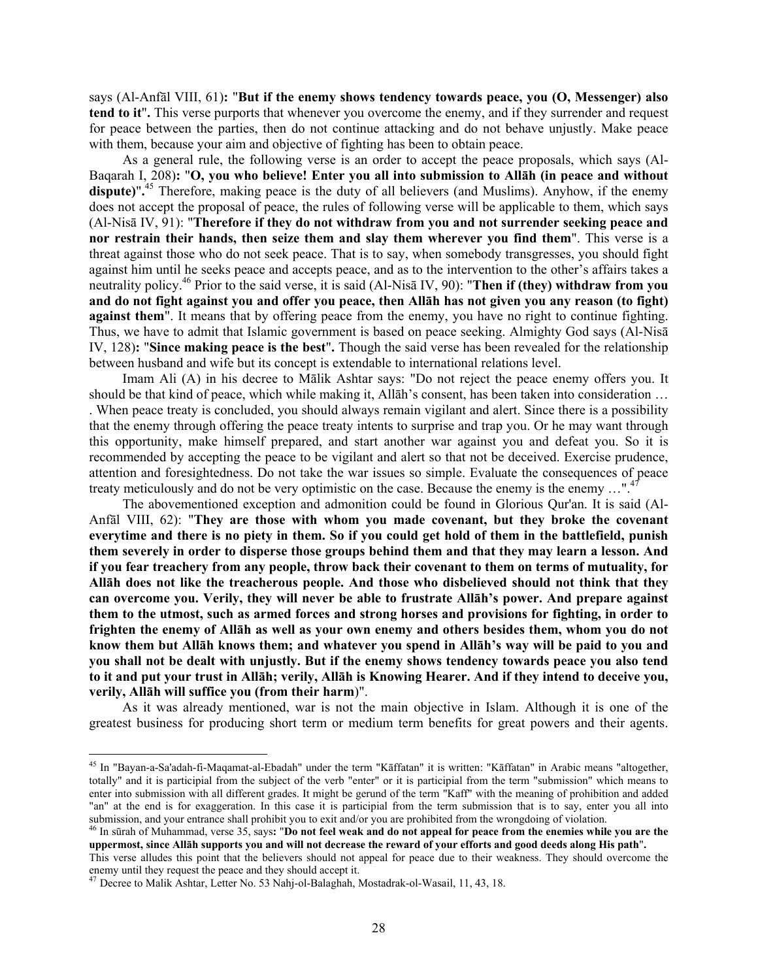says (Al-Anfāl VIII, 61)**:** "**But if the enemy shows tendency towards peace, you (O, Messenger) also tend to it**"**.** This verse purports that whenever you overcome the enemy, and if they surrender and request for peace between the parties, then do not continue attacking and do not behave unjustly. Make peace with them, because your aim and objective of fighting has been to obtain peace.

As a general rule, the following verse is an order to accept the peace proposals, which says (Al-Baqarah I, 208)**:** "**O, you who believe! Enter you all into submission to Allāh (in peace and without**  dispute)".<sup>45</sup> Therefore, making peace is the duty of all believers (and Muslims). Anyhow, if the enemy does not accept the proposal of peace, the rules of following verse will be applicable to them, which says (Al-Nisā IV, 91): "**Therefore if they do not withdraw from you and not surrender seeking peace and nor restrain their hands, then seize them and slay them wherever you find them**". This verse is a threat against those who do not seek peace. That is to say, when somebody transgresses, you should fight against him until he seeks peace and accepts peace, and as to the intervention to the other's affairs takes a neutrality policy.46 Prior to the said verse, it is said (Al-Nisā IV, 90): "**Then if (they) withdraw from you and do not fight against you and offer you peace, then Allāh has not given you any reason (to fight) against them<sup>"</sup>**. It means that by offering peace from the enemy, you have no right to continue fighting. Thus, we have to admit that Islamic government is based on peace seeking. Almighty God says (Al-Nisā IV, 128)**:** "**Since making peace is the best**"**.** Though the said verse has been revealed for the relationship between husband and wife but its concept is extendable to international relations level.

Imam Ali (A) in his decree to Mālik Ashtar says: "Do not reject the peace enemy offers you. It should be that kind of peace, which while making it, Allāh's consent, has been taken into consideration … . When peace treaty is concluded, you should always remain vigilant and alert. Since there is a possibility that the enemy through offering the peace treaty intents to surprise and trap you. Or he may want through this opportunity, make himself prepared, and start another war against you and defeat you. So it is recommended by accepting the peace to be vigilant and alert so that not be deceived. Exercise prudence, attention and foresightedness. Do not take the war issues so simple. Evaluate the consequences of peace treaty meticulously and do not be very optimistic on the case. Because the enemy is the enemy ...".<sup>47</sup>

The abovementioned exception and admonition could be found in Glorious Qur'an. It is said (Al-Anfāl VIII, 62): "**They are those with whom you made covenant, but they broke the covenant everytime and there is no piety in them. So if you could get hold of them in the battlefield, punish them severely in order to disperse those groups behind them and that they may learn a lesson. And if you fear treachery from any people, throw back their covenant to them on terms of mutuality, for Allāh does not like the treacherous people. And those who disbelieved should not think that they can overcome you. Verily, they will never be able to frustrate Allāh's power. And prepare against them to the utmost, such as armed forces and strong horses and provisions for fighting, in order to frighten the enemy of Allāh as well as your own enemy and others besides them, whom you do not know them but Allāh knows them; and whatever you spend in Allāh's way will be paid to you and you shall not be dealt with unjustly. But if the enemy shows tendency towards peace you also tend to it and put your trust in Allāh; verily, Allāh is Knowing Hearer. And if they intend to deceive you, verily, Allāh will suffice you (from their harm**)".

As it was already mentioned, war is not the main objective in Islam. Although it is one of the greatest business for producing short term or medium term benefits for great powers and their agents.

<sup>45</sup> In "Bayan-a-Sa'adah-fi-Maqamat-al-Ebadah" under the term "Kāffatan" it is written: "Kāffatan" in Arabic means "altogether, totally" and it is participial from the subject of the verb "enter" or it is participial from the term "submission" which means to enter into submission with all different grades. It might be gerund of the term "Kaff" with the meaning of prohibition and added "an" at the end is for exaggeration. In this case it is participial from the term submission that is to say, enter you all into submission, and your entrance shall prohibit you to exit and/or you are prohibited from the wrongdoing of violation.<br><sup>46</sup> In sūrah of Muhammad, verse 35, says: "Do not feel weak and do not appeal for peace from the enemies

**uppermost, since Allāh supports you and will not decrease the reward of your efforts and good deeds along His path**"**.**

This verse alludes this point that the believers should not appeal for peace due to their weakness. They should overcome the enemy until they request the peace and they should accept it.<br><sup>47</sup> Decree to Malik Ashtar, Letter No. 53 Nahj-ol-Balaghah, Mostadrak-ol-Wasail, 11, 43, 18.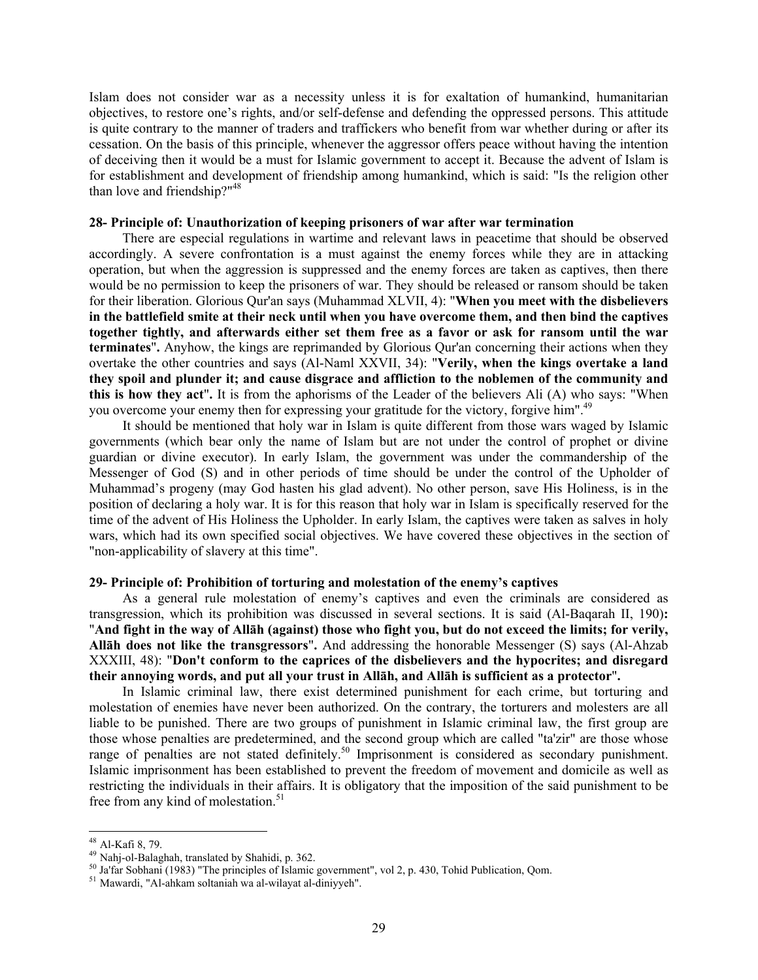Islam does not consider war as a necessity unless it is for exaltation of humankind, humanitarian objectives, to restore one's rights, and/or self-defense and defending the oppressed persons. This attitude is quite contrary to the manner of traders and traffickers who benefit from war whether during or after its cessation. On the basis of this principle, whenever the aggressor offers peace without having the intention of deceiving then it would be a must for Islamic government to accept it. Because the advent of Islam is for establishment and development of friendship among humankind, which is said: "Is the religion other than love and friendship?"48

#### **28- Principle of: Unauthorization of keeping prisoners of war after war termination**

There are especial regulations in wartime and relevant laws in peacetime that should be observed accordingly. A severe confrontation is a must against the enemy forces while they are in attacking operation, but when the aggression is suppressed and the enemy forces are taken as captives, then there would be no permission to keep the prisoners of war. They should be released or ransom should be taken for their liberation. Glorious Qur'an says (Muhammad XLVII, 4): "**When you meet with the disbelievers in the battlefield smite at their neck until when you have overcome them, and then bind the captives together tightly, and afterwards either set them free as a favor or ask for ransom until the war terminates**"**.** Anyhow, the kings are reprimanded by Glorious Qur'an concerning their actions when they overtake the other countries and says (Al-Naml XXVII, 34): "**Verily, when the kings overtake a land they spoil and plunder it; and cause disgrace and affliction to the noblemen of the community and this is how they act**"**.** It is from the aphorisms of the Leader of the believers Ali (A) who says: "When you overcome your enemy then for expressing your gratitude for the victory, forgive him".<sup>49</sup>

It should be mentioned that holy war in Islam is quite different from those wars waged by Islamic governments (which bear only the name of Islam but are not under the control of prophet or divine guardian or divine executor). In early Islam, the government was under the commandership of the Messenger of God (S) and in other periods of time should be under the control of the Upholder of Muhammad's progeny (may God hasten his glad advent). No other person, save His Holiness, is in the position of declaring a holy war. It is for this reason that holy war in Islam is specifically reserved for the time of the advent of His Holiness the Upholder. In early Islam, the captives were taken as salves in holy wars, which had its own specified social objectives. We have covered these objectives in the section of "non-applicability of slavery at this time".

## **29- Principle of: Prohibition of torturing and molestation of the enemy's captives**

As a general rule molestation of enemy's captives and even the criminals are considered as transgression, which its prohibition was discussed in several sections. It is said (Al-Baqarah II, 190)**:**  "**And fight in the way of Allāh (against) those who fight you, but do not exceed the limits; for verily, Allāh does not like the transgressors**"**.** And addressing the honorable Messenger (S) says (Al-Ahzab XXXIII, 48): "**Don't conform to the caprices of the disbelievers and the hypocrites; and disregard their annoying words, and put all your trust in Allāh, and Allāh is sufficient as a protector**"**.** 

In Islamic criminal law, there exist determined punishment for each crime, but torturing and molestation of enemies have never been authorized. On the contrary, the torturers and molesters are all liable to be punished. There are two groups of punishment in Islamic criminal law, the first group are those whose penalties are predetermined, and the second group which are called "ta'zir" are those whose range of penalties are not stated definitely.<sup>50</sup> Imprisonment is considered as secondary punishment. Islamic imprisonment has been established to prevent the freedom of movement and domicile as well as restricting the individuals in their affairs. It is obligatory that the imposition of the said punishment to be free from any kind of molestation.<sup>51</sup>

<sup>&</sup>lt;sup>48</sup> Al-Kafi 8, 79.

<sup>&</sup>lt;sup>49</sup> Nahj-ol-Balaghah, translated by Shahidi, p. 362.<br><sup>50</sup> Ja'far Sobhani (1983) "The principles of Islamic government", vol 2, p. 430, Tohid Publication, Qom.<br><sup>51</sup> Mawardi, "Al-ahkam soltaniah wa al-wilayat al-diniyyeh".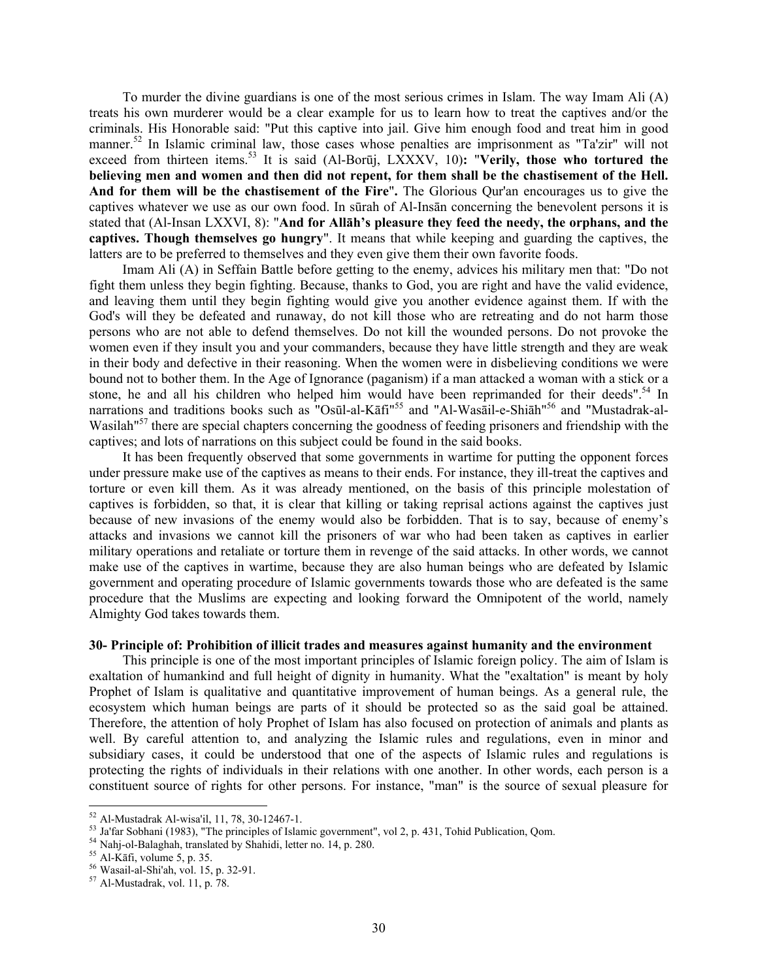To murder the divine guardians is one of the most serious crimes in Islam. The way Imam Ali (A) treats his own murderer would be a clear example for us to learn how to treat the captives and/or the criminals. His Honorable said: "Put this captive into jail. Give him enough food and treat him in good manner.<sup>52</sup> In Islamic criminal law, those cases whose penalties are imprisonment as "Ta'zir" will not exceed from thirteen items.<sup>53</sup> It is said (Al-Borūj, LXXXV, 10): "Verily, those who tortured the **believing men and women and then did not repent, for them shall be the chastisement of the Hell. And for them will be the chastisement of the Fire**"**.** The Glorious Qur'an encourages us to give the captives whatever we use as our own food. In sūrah of Al-Insān concerning the benevolent persons it is stated that (Al-Insan LXXVI, 8): "**And for Allāh's pleasure they feed the needy, the orphans, and the captives. Though themselves go hungry**". It means that while keeping and guarding the captives, the latters are to be preferred to themselves and they even give them their own favorite foods.

Imam Ali (A) in Seffain Battle before getting to the enemy, advices his military men that: "Do not fight them unless they begin fighting. Because, thanks to God, you are right and have the valid evidence, and leaving them until they begin fighting would give you another evidence against them. If with the God's will they be defeated and runaway, do not kill those who are retreating and do not harm those persons who are not able to defend themselves. Do not kill the wounded persons. Do not provoke the women even if they insult you and your commanders, because they have little strength and they are weak in their body and defective in their reasoning. When the women were in disbelieving conditions we were bound not to bother them. In the Age of Ignorance (paganism) if a man attacked a woman with a stick or a stone, he and all his children who helped him would have been reprimanded for their deeds".<sup>54</sup> In narrations and traditions books such as "Osūl-al-Kāfi"<sup>55</sup> and "Al-Wasāil-e-Shiāh"<sup>56</sup> and "Mustadrak-al-Wasilah<sup>"57</sup> there are special chapters concerning the goodness of feeding prisoners and friendship with the captives; and lots of narrations on this subject could be found in the said books.

It has been frequently observed that some governments in wartime for putting the opponent forces under pressure make use of the captives as means to their ends. For instance, they ill-treat the captives and torture or even kill them. As it was already mentioned, on the basis of this principle molestation of captives is forbidden, so that, it is clear that killing or taking reprisal actions against the captives just because of new invasions of the enemy would also be forbidden. That is to say, because of enemy's attacks and invasions we cannot kill the prisoners of war who had been taken as captives in earlier military operations and retaliate or torture them in revenge of the said attacks. In other words, we cannot make use of the captives in wartime, because they are also human beings who are defeated by Islamic government and operating procedure of Islamic governments towards those who are defeated is the same procedure that the Muslims are expecting and looking forward the Omnipotent of the world, namely Almighty God takes towards them.

## **30- Principle of: Prohibition of illicit trades and measures against humanity and the environment**

This principle is one of the most important principles of Islamic foreign policy. The aim of Islam is exaltation of humankind and full height of dignity in humanity. What the "exaltation" is meant by holy Prophet of Islam is qualitative and quantitative improvement of human beings. As a general rule, the ecosystem which human beings are parts of it should be protected so as the said goal be attained. Therefore, the attention of holy Prophet of Islam has also focused on protection of animals and plants as well. By careful attention to, and analyzing the Islamic rules and regulations, even in minor and subsidiary cases, it could be understood that one of the aspects of Islamic rules and regulations is protecting the rights of individuals in their relations with one another. In other words, each person is a constituent source of rights for other persons. For instance, "man" is the source of sexual pleasure for

 $52$  Al-Mustadrak Al-wisa'il, 11, 78, 30-12467-1.

<sup>&</sup>lt;sup>53</sup> Ja'far Sobhani (1983), "The principles of Islamic government", vol 2, p. 431, Tohid Publication, Qom.<br><sup>54</sup> Nahj-ol-Balaghah, translated by Shahidi, letter no. 14, p. 280.<br><sup>55</sup> Al-Kāfi, volume 5, p. 35.<br><sup>55</sup> Wasail-al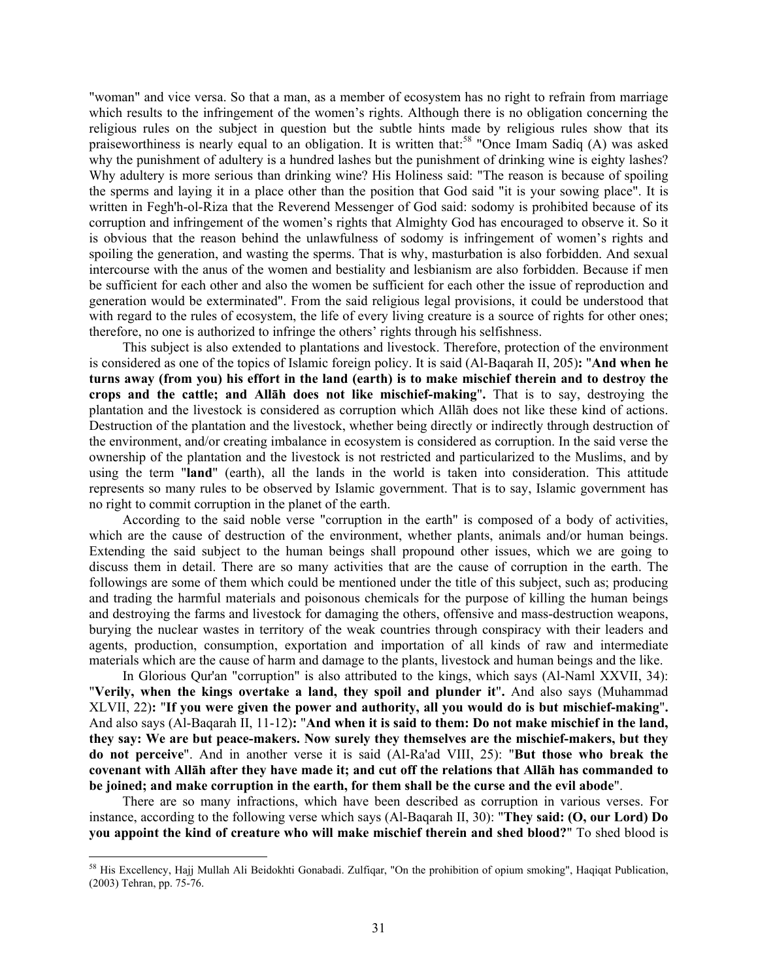"woman" and vice versa. So that a man, as a member of ecosystem has no right to refrain from marriage which results to the infringement of the women's rights. Although there is no obligation concerning the religious rules on the subject in question but the subtle hints made by religious rules show that its praiseworthiness is nearly equal to an obligation. It is written that:<sup>58</sup> "Once Imam Sadiq (A) was asked why the punishment of adultery is a hundred lashes but the punishment of drinking wine is eighty lashes? Why adultery is more serious than drinking wine? His Holiness said: "The reason is because of spoiling the sperms and laying it in a place other than the position that God said "it is your sowing place". It is written in Fegh'h-ol-Riza that the Reverend Messenger of God said: sodomy is prohibited because of its corruption and infringement of the women's rights that Almighty God has encouraged to observe it. So it is obvious that the reason behind the unlawfulness of sodomy is infringement of women's rights and spoiling the generation, and wasting the sperms. That is why, masturbation is also forbidden. And sexual intercourse with the anus of the women and bestiality and lesbianism are also forbidden. Because if men be sufficient for each other and also the women be sufficient for each other the issue of reproduction and generation would be exterminated". From the said religious legal provisions, it could be understood that with regard to the rules of ecosystem, the life of every living creature is a source of rights for other ones; therefore, no one is authorized to infringe the others' rights through his selfishness.

This subject is also extended to plantations and livestock. Therefore, protection of the environment is considered as one of the topics of Islamic foreign policy. It is said (Al-Baqarah II, 205)**:** "**And when he turns away (from you) his effort in the land (earth) is to make mischief therein and to destroy the crops and the cattle; and Allāh does not like mischief-making**"**.** That is to say, destroying the plantation and the livestock is considered as corruption which Allāh does not like these kind of actions. Destruction of the plantation and the livestock, whether being directly or indirectly through destruction of the environment, and/or creating imbalance in ecosystem is considered as corruption. In the said verse the ownership of the plantation and the livestock is not restricted and particularized to the Muslims, and by using the term "**land**" (earth), all the lands in the world is taken into consideration. This attitude represents so many rules to be observed by Islamic government. That is to say, Islamic government has no right to commit corruption in the planet of the earth.

According to the said noble verse "corruption in the earth" is composed of a body of activities, which are the cause of destruction of the environment, whether plants, animals and/or human beings. Extending the said subject to the human beings shall propound other issues, which we are going to discuss them in detail. There are so many activities that are the cause of corruption in the earth. The followings are some of them which could be mentioned under the title of this subject, such as; producing and trading the harmful materials and poisonous chemicals for the purpose of killing the human beings and destroying the farms and livestock for damaging the others, offensive and mass-destruction weapons, burying the nuclear wastes in territory of the weak countries through conspiracy with their leaders and agents, production, consumption, exportation and importation of all kinds of raw and intermediate materials which are the cause of harm and damage to the plants, livestock and human beings and the like.

In Glorious Qur'an "corruption" is also attributed to the kings, which says (Al-Naml XXVII, 34): "**Verily, when the kings overtake a land, they spoil and plunder it**"**.** And also says (Muhammad XLVII, 22)**:** "**If you were given the power and authority, all you would do is but mischief-making**"**.** And also says (Al-Baqarah II, 11-12)**:** "**And when it is said to them: Do not make mischief in the land, they say: We are but peace-makers. Now surely they themselves are the mischief-makers, but they do not perceive**". And in another verse it is said (Al-Ra'ad VIII, 25): "**But those who break the covenant with Allāh after they have made it; and cut off the relations that Allāh has commanded to be joined; and make corruption in the earth, for them shall be the curse and the evil abode**".

There are so many infractions, which have been described as corruption in various verses. For instance, according to the following verse which says (Al-Baqarah II, 30): "**They said: (O, our Lord) Do you appoint the kind of creature who will make mischief therein and shed blood?**" To shed blood is

<sup>&</sup>lt;sup>58</sup> His Excellency, Hajj Mullah Ali Beidokhti Gonabadi. Zulfiqar, "On the prohibition of opium smoking", Haqiqat Publication, (2003) Tehran, pp. 75-76.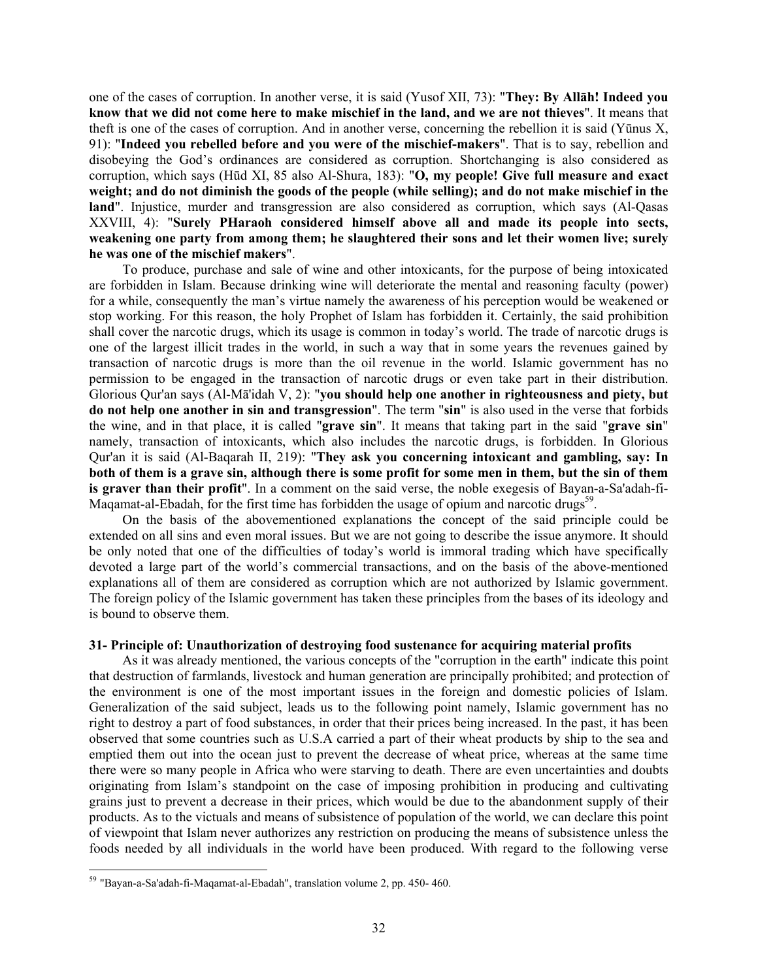one of the cases of corruption. In another verse, it is said (Yusof XII, 73): "**They: By Allāh! Indeed you know that we did not come here to make mischief in the land, and we are not thieves**". It means that theft is one of the cases of corruption. And in another verse, concerning the rebellion it is said (Yūnus X, 91): "**Indeed you rebelled before and you were of the mischief-makers**". That is to say, rebellion and disobeying the God's ordinances are considered as corruption. Shortchanging is also considered as corruption, which says (Hūd XI, 85 also Al-Shura, 183): "**O, my people! Give full measure and exact weight; and do not diminish the goods of the people (while selling); and do not make mischief in the land**". Injustice, murder and transgression are also considered as corruption, which says (Al-Qasas XXVIII, 4): "**Surely PHaraoh considered himself above all and made its people into sects, weakening one party from among them; he slaughtered their sons and let their women live; surely he was one of the mischief makers**".

To produce, purchase and sale of wine and other intoxicants, for the purpose of being intoxicated are forbidden in Islam. Because drinking wine will deteriorate the mental and reasoning faculty (power) for a while, consequently the man's virtue namely the awareness of his perception would be weakened or stop working. For this reason, the holy Prophet of Islam has forbidden it. Certainly, the said prohibition shall cover the narcotic drugs, which its usage is common in today's world. The trade of narcotic drugs is one of the largest illicit trades in the world, in such a way that in some years the revenues gained by transaction of narcotic drugs is more than the oil revenue in the world. Islamic government has no permission to be engaged in the transaction of narcotic drugs or even take part in their distribution. Glorious Qur'an says (Al-Mā'idah V, 2): "**you should help one another in righteousness and piety, but do not help one another in sin and transgression**". The term "**sin**" is also used in the verse that forbids the wine, and in that place, it is called "**grave sin**". It means that taking part in the said "**grave sin**" namely, transaction of intoxicants, which also includes the narcotic drugs, is forbidden. In Glorious Qur'an it is said (Al-Baqarah II, 219): "**They ask you concerning intoxicant and gambling, say: In both of them is a grave sin, although there is some profit for some men in them, but the sin of them is graver than their profit**". In a comment on the said verse, the noble exegesis of Bayan-a-Sa'adah-fi-Maqamat-al-Ebadah, for the first time has forbidden the usage of opium and narcotic drugs<sup>59</sup>.

On the basis of the abovementioned explanations the concept of the said principle could be extended on all sins and even moral issues. But we are not going to describe the issue anymore. It should be only noted that one of the difficulties of today's world is immoral trading which have specifically devoted a large part of the world's commercial transactions, and on the basis of the above-mentioned explanations all of them are considered as corruption which are not authorized by Islamic government. The foreign policy of the Islamic government has taken these principles from the bases of its ideology and is bound to observe them.

## **31- Principle of: Unauthorization of destroying food sustenance for acquiring material profits**

As it was already mentioned, the various concepts of the "corruption in the earth" indicate this point that destruction of farmlands, livestock and human generation are principally prohibited; and protection of the environment is one of the most important issues in the foreign and domestic policies of Islam. Generalization of the said subject, leads us to the following point namely, Islamic government has no right to destroy a part of food substances, in order that their prices being increased. In the past, it has been observed that some countries such as U.S.A carried a part of their wheat products by ship to the sea and emptied them out into the ocean just to prevent the decrease of wheat price, whereas at the same time there were so many people in Africa who were starving to death. There are even uncertainties and doubts originating from Islam's standpoint on the case of imposing prohibition in producing and cultivating grains just to prevent a decrease in their prices, which would be due to the abandonment supply of their products. As to the victuals and means of subsistence of population of the world, we can declare this point of viewpoint that Islam never authorizes any restriction on producing the means of subsistence unless the foods needed by all individuals in the world have been produced. With regard to the following verse

 $59$  "Bayan-a-Sa'adah-fi-Maqamat-al-Ebadah", translation volume 2, pp. 450-460.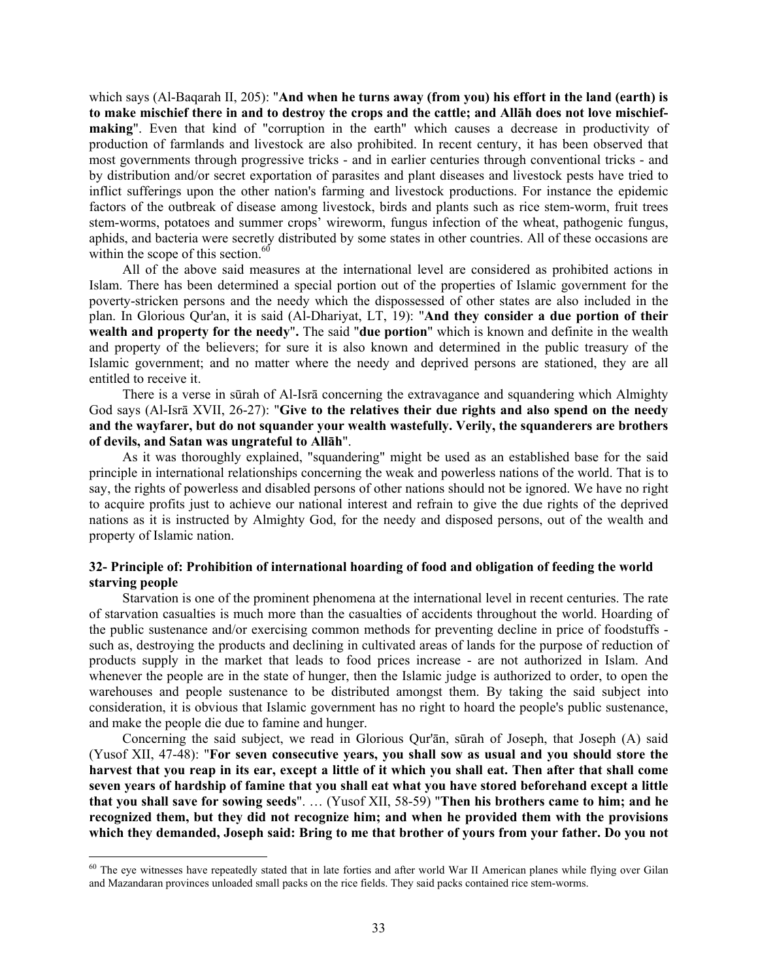which says (Al-Baqarah II, 205): "**And when he turns away (from you) his effort in the land (earth) is to make mischief there in and to destroy the crops and the cattle; and Allāh does not love mischiefmaking**". Even that kind of "corruption in the earth" which causes a decrease in productivity of production of farmlands and livestock are also prohibited. In recent century, it has been observed that most governments through progressive tricks - and in earlier centuries through conventional tricks - and by distribution and/or secret exportation of parasites and plant diseases and livestock pests have tried to inflict sufferings upon the other nation's farming and livestock productions. For instance the epidemic factors of the outbreak of disease among livestock, birds and plants such as rice stem-worm, fruit trees stem-worms, potatoes and summer crops' wireworm, fungus infection of the wheat, pathogenic fungus, aphids, and bacteria were secretly distributed by some states in other countries. All of these occasions are within the scope of this section. $60$ 

All of the above said measures at the international level are considered as prohibited actions in Islam. There has been determined a special portion out of the properties of Islamic government for the poverty-stricken persons and the needy which the dispossessed of other states are also included in the plan. In Glorious Qur'an, it is said (Al-Dhariyat, LT, 19): "**And they consider a due portion of their wealth and property for the needy**"**.** The said "**due portion**" which is known and definite in the wealth and property of the believers; for sure it is also known and determined in the public treasury of the Islamic government; and no matter where the needy and deprived persons are stationed, they are all entitled to receive it.

There is a verse in sūrah of Al-Isrā concerning the extravagance and squandering which Almighty God says (Al-Isrā XVII, 26-27): "**Give to the relatives their due rights and also spend on the needy and the wayfarer, but do not squander your wealth wastefully. Verily, the squanderers are brothers of devils, and Satan was ungrateful to Allāh**".

As it was thoroughly explained, "squandering" might be used as an established base for the said principle in international relationships concerning the weak and powerless nations of the world. That is to say, the rights of powerless and disabled persons of other nations should not be ignored. We have no right to acquire profits just to achieve our national interest and refrain to give the due rights of the deprived nations as it is instructed by Almighty God, for the needy and disposed persons, out of the wealth and property of Islamic nation.

# **32- Principle of: Prohibition of international hoarding of food and obligation of feeding the world starving people**

Starvation is one of the prominent phenomena at the international level in recent centuries. The rate of starvation casualties is much more than the casualties of accidents throughout the world. Hoarding of the public sustenance and/or exercising common methods for preventing decline in price of foodstuffs such as, destroying the products and declining in cultivated areas of lands for the purpose of reduction of products supply in the market that leads to food prices increase - are not authorized in Islam. And whenever the people are in the state of hunger, then the Islamic judge is authorized to order, to open the warehouses and people sustenance to be distributed amongst them. By taking the said subject into consideration, it is obvious that Islamic government has no right to hoard the people's public sustenance, and make the people die due to famine and hunger.

Concerning the said subject, we read in Glorious Qur'ān, sūrah of Joseph, that Joseph (A) said (Yusof XII, 47-48): "**For seven consecutive years, you shall sow as usual and you should store the harvest that you reap in its ear, except a little of it which you shall eat. Then after that shall come seven years of hardship of famine that you shall eat what you have stored beforehand except a little that you shall save for sowing seeds**". … (Yusof XII, 58-59) "**Then his brothers came to him; and he recognized them, but they did not recognize him; and when he provided them with the provisions which they demanded, Joseph said: Bring to me that brother of yours from your father. Do you not** 

 $60$  The eye witnesses have repeatedly stated that in late forties and after world War II American planes while flying over Gilan and Mazandaran provinces unloaded small packs on the rice fields. They said packs contained rice stem-worms.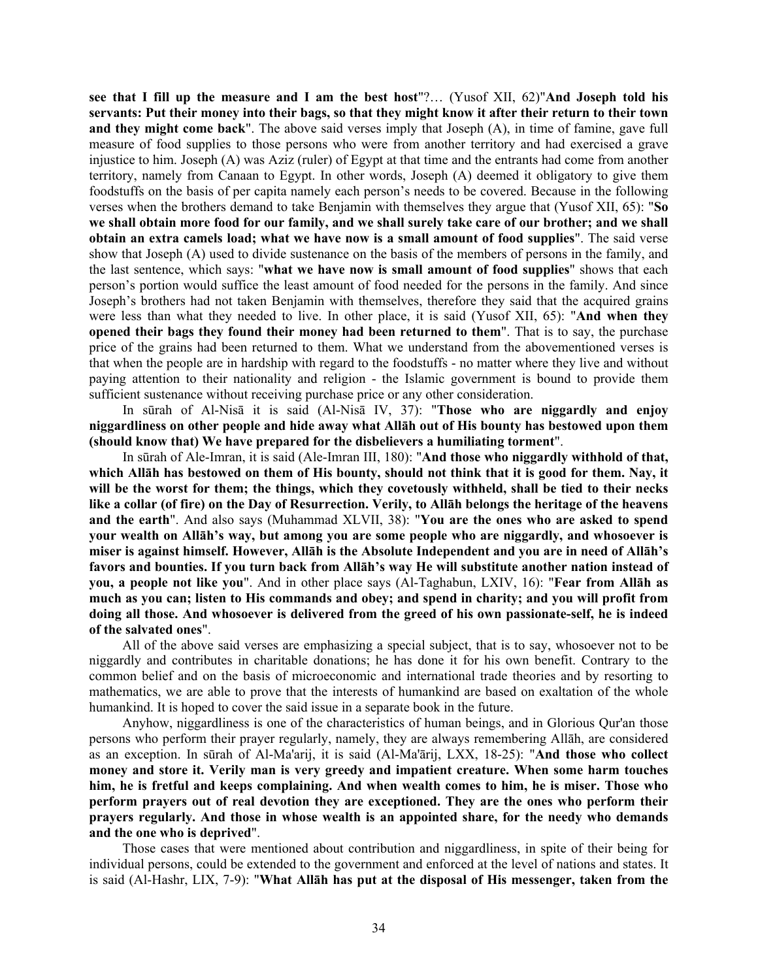**see that I fill up the measure and I am the best host**"?… (Yusof XII, 62)"**And Joseph told his servants: Put their money into their bags, so that they might know it after their return to their town and they might come back**". The above said verses imply that Joseph (A), in time of famine, gave full measure of food supplies to those persons who were from another territory and had exercised a grave injustice to him. Joseph (A) was Aziz (ruler) of Egypt at that time and the entrants had come from another territory, namely from Canaan to Egypt. In other words, Joseph (A) deemed it obligatory to give them foodstuffs on the basis of per capita namely each person's needs to be covered. Because in the following verses when the brothers demand to take Benjamin with themselves they argue that (Yusof XII, 65): "**So we shall obtain more food for our family, and we shall surely take care of our brother; and we shall obtain an extra camels load; what we have now is a small amount of food supplies**". The said verse show that Joseph (A) used to divide sustenance on the basis of the members of persons in the family, and the last sentence, which says: "**what we have now is small amount of food supplies**" shows that each person's portion would suffice the least amount of food needed for the persons in the family. And since Joseph's brothers had not taken Benjamin with themselves, therefore they said that the acquired grains were less than what they needed to live. In other place, it is said (Yusof XII, 65): "**And when they opened their bags they found their money had been returned to them**". That is to say, the purchase price of the grains had been returned to them. What we understand from the abovementioned verses is that when the people are in hardship with regard to the foodstuffs - no matter where they live and without paying attention to their nationality and religion - the Islamic government is bound to provide them sufficient sustenance without receiving purchase price or any other consideration.

In sūrah of Al-Nisā it is said (Al-Nisā IV, 37): "**Those who are niggardly and enjoy niggardliness on other people and hide away what Allāh out of His bounty has bestowed upon them (should know that) We have prepared for the disbelievers a humiliating torment**".

In sūrah of Ale-Imran, it is said (Ale-Imran III, 180): "**And those who niggardly withhold of that, which Allāh has bestowed on them of His bounty, should not think that it is good for them. Nay, it will be the worst for them; the things, which they covetously withheld, shall be tied to their necks like a collar (of fire) on the Day of Resurrection. Verily, to Allāh belongs the heritage of the heavens and the earth**". And also says (Muhammad XLVII, 38): "**You are the ones who are asked to spend your wealth on Allāh's way, but among you are some people who are niggardly, and whosoever is miser is against himself. However, Allāh is the Absolute Independent and you are in need of Allāh's favors and bounties. If you turn back from Allāh's way He will substitute another nation instead of you, a people not like you**". And in other place says (Al-Taghabun, LXIV, 16): "**Fear from Allāh as much as you can; listen to His commands and obey; and spend in charity; and you will profit from doing all those. And whosoever is delivered from the greed of his own passionate-self, he is indeed of the salvated ones**".

All of the above said verses are emphasizing a special subject, that is to say, whosoever not to be niggardly and contributes in charitable donations; he has done it for his own benefit. Contrary to the common belief and on the basis of microeconomic and international trade theories and by resorting to mathematics, we are able to prove that the interests of humankind are based on exaltation of the whole humankind. It is hoped to cover the said issue in a separate book in the future.

Anyhow, niggardliness is one of the characteristics of human beings, and in Glorious Qur'an those persons who perform their prayer regularly, namely, they are always remembering Allāh, are considered as an exception. In sūrah of Al-Ma'arij, it is said (Al-Ma'ārij, LXX, 18-25): "**And those who collect money and store it. Verily man is very greedy and impatient creature. When some harm touches him, he is fretful and keeps complaining. And when wealth comes to him, he is miser. Those who perform prayers out of real devotion they are exceptioned. They are the ones who perform their prayers regularly. And those in whose wealth is an appointed share, for the needy who demands and the one who is deprived**".

Those cases that were mentioned about contribution and niggardliness, in spite of their being for individual persons, could be extended to the government and enforced at the level of nations and states. It is said (Al-Hashr, LIX, 7-9): "**What Allāh has put at the disposal of His messenger, taken from the**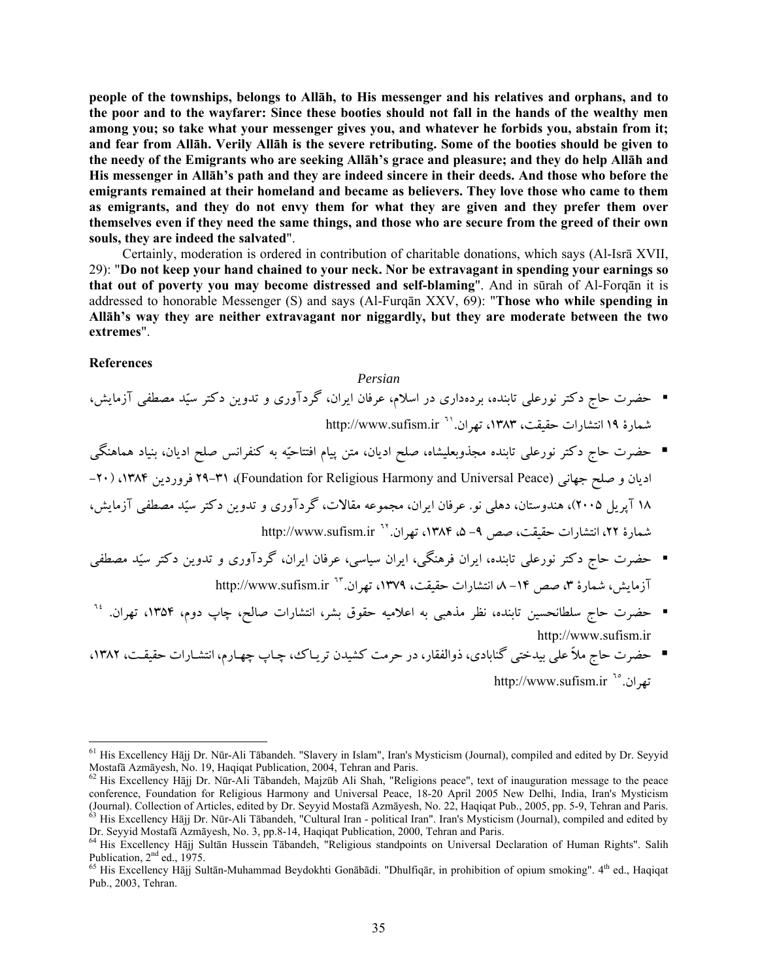**people of the townships, belongs to Allāh, to His messenger and his relatives and orphans, and to the poor and to the wayfarer: Since these booties should not fall in the hands of the wealthy men among you; so take what your messenger gives you, and whatever he forbids you, abstain from it; and fear from Allāh. Verily Allāh is the severe retributing. Some of the booties should be given to the needy of the Emigrants who are seeking Allāh's grace and pleasure; and they do help Allāh and His messenger in Allāh's path and they are indeed sincere in their deeds. And those who before the emigrants remained at their homeland and became as believers. They love those who came to them as emigrants, and they do not envy them for what they are given and they prefer them over themselves even if they need the same things, and those who are secure from the greed of their own souls, they are indeed the salvated**".

Certainly, moderation is ordered in contribution of charitable donations, which says (Al-Isrā XVII, 29): "**Do not keep your hand chained to your neck. Nor be extravagant in spending your earnings so that out of poverty you may become distressed and self-blaming**". And in sūrah of Al-Forqān it is addressed to honorable Messenger (S) and says (Al-Furqān XXV, 69): "**Those who while spending in Allāh's way they are neither extravagant nor niggardly, but they are moderate between the two extremes**".

#### **References**

*Persian*  حضرت حاج دكتر نورعلي تابنده، بردهداري در اسلام، عرفان ايران، گردآوري و تدوين دكتر سيد مصطفي آزمايش، ir.sufism.www://http <sup>٦١</sup> شمارة 19 انتشارات حقيقت، ،1383 تهران.

- حضرت حاج دكتر نورعلي تابنده مجذوبعليشاه، صلح اديان، متن پيام افتتاحيه به كنفرانس صلح اديان، بنياد هماهنگي -20) ،1384 فروردين 29-31 ،)Foundation for Religious Harmony and Universal Peace) جهاني صلح و اديان 18 آپريل 2005)، هندوستان، دهلي نو. عرفان ايران، مجموعه مقالات، گردآوري و تدوين دكتر سيد مصطفي آزمايش،  $\text{http://www.sufism.ir}^{\text{tr.}}$  شمارهٔ ۲۲، انتشارات حقیقت، صص ۹- ۵، ۱۳۸۴، تهران. ``
- حضرت حاج دكتر نورعلي تابنده، ايران فرهنگي، ايران سياسي، عرفان ايران، گردآوري و تدوين دكتر سيد مصطفي littp://www.sufism.ir <sup>٦٣</sup> آزمايش، شمارة ٣، صص ٦۴ – ٨ انتشارات حقيقت، ١٣٧٩، تهران.<sup>٦٣</sup>
- ٦٤ حضرت حاج سلطانحسين تابنده، نظر مذهبي به اعلاميه حقوق بشر، انتشارات صالح، چاپ دوم، ،1354 تهران. http://www.sufism.ir
- حضرت حاج ملاّ علي بيدختي گنابادي، ذوالفقار، در حرمت كشيدن تريـاك، چـاپ چهـارم، انتشـارات حقيقـت، ،1382 http://www.sufism.ir <sup>٦٥</sup>.

<sup>&</sup>lt;sup>61</sup> His Excellency Hājj Dr. Nūr-Ali Tābandeh. "Slavery in Islam", Iran's Mysticism (Journal), compiled and edited by Dr. Seyyid Mostafā Azmāyesh, No. 19, Haqiqat Publication, 2004, Tehran and Paris. 62 His Excellency Hājj Dr. Nūr-Ali Tābandeh, Majzūb Ali Shah, "Religions peace", text of inauguration message to the peace

conference, Foundation for Religious Harmony and Universal Peace, 18-20 April 2005 New Delhi, India, Iran's Mysticism (Journal). Collection of Articles, edited by Dr. Seyyid Mostafā Azmāyesh, No. 22, Haqiqat Pub., 2005, pp. 5-9, Tehran and Paris.<br><sup>63</sup> His Excellency Hājj Dr. Nūr-Ali Tābandeh, "Cultural Iran - political Iran". Iran's Mysti

Dr. Seyyid Mostafā Azmāyesh, No. 3, pp.8-14, Haqiqat Publication, 2000, Tehran and Paris.<br><sup>64</sup> His Excellency Hājj Sultān Hussein Tābandeh, "Religious standpoints on Universal Declaration of Human Rights". Salih<br>Publicatio

<sup>&</sup>lt;sup>65</sup> His Excellency Hājj Sultān-Muhammad Beydokhti Gonābādi. "Dhulfiqār, in prohibition of opium smoking". 4<sup>th</sup> ed., Haqiqat Pub., 2003, Tehran.